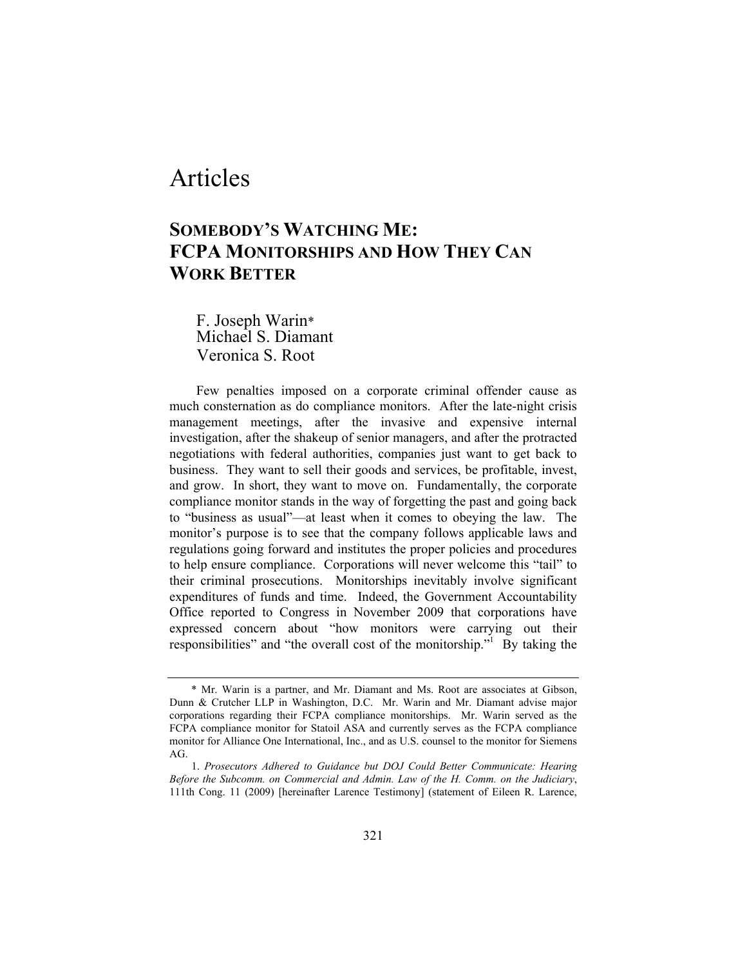# Articles

# **SOMEBODY'S WATCHING ME: FCPA MONITORSHIPS AND HOW THEY CAN WORK BETTER**

F. Joseph Warin\* Michael S. Diamant Veronica S. Root

Few penalties imposed on a corporate criminal offender cause as much consternation as do compliance monitors. After the late-night crisis management meetings, after the invasive and expensive internal investigation, after the shakeup of senior managers, and after the protracted negotiations with federal authorities, companies just want to get back to business. They want to sell their goods and services, be profitable, invest, and grow. In short, they want to move on. Fundamentally, the corporate compliance monitor stands in the way of forgetting the past and going back to "business as usual"—at least when it comes to obeying the law. The monitor's purpose is to see that the company follows applicable laws and regulations going forward and institutes the proper policies and procedures to help ensure compliance. Corporations will never welcome this "tail" to their criminal prosecutions. Monitorships inevitably involve significant expenditures of funds and time. Indeed, the Government Accountability Office reported to Congress in November 2009 that corporations have expressed concern about "how monitors were carrying out their responsibilities" and "the overall cost of the monitorship." By taking the

 <sup>\*</sup> Mr. Warin is a partner, and Mr. Diamant and Ms. Root are associates at Gibson, Dunn & Crutcher LLP in Washington, D.C. Mr. Warin and Mr. Diamant advise major corporations regarding their FCPA compliance monitorships. Mr. Warin served as the FCPA compliance monitor for Statoil ASA and currently serves as the FCPA compliance monitor for Alliance One International, Inc., and as U.S. counsel to the monitor for Siemens AG.

 <sup>1.</sup> *Prosecutors Adhered to Guidance but DOJ Could Better Communicate: Hearing Before the Subcomm. on Commercial and Admin. Law of the H. Comm. on the Judiciary*, 111th Cong. 11 (2009) [hereinafter Larence Testimony] (statement of Eileen R. Larence,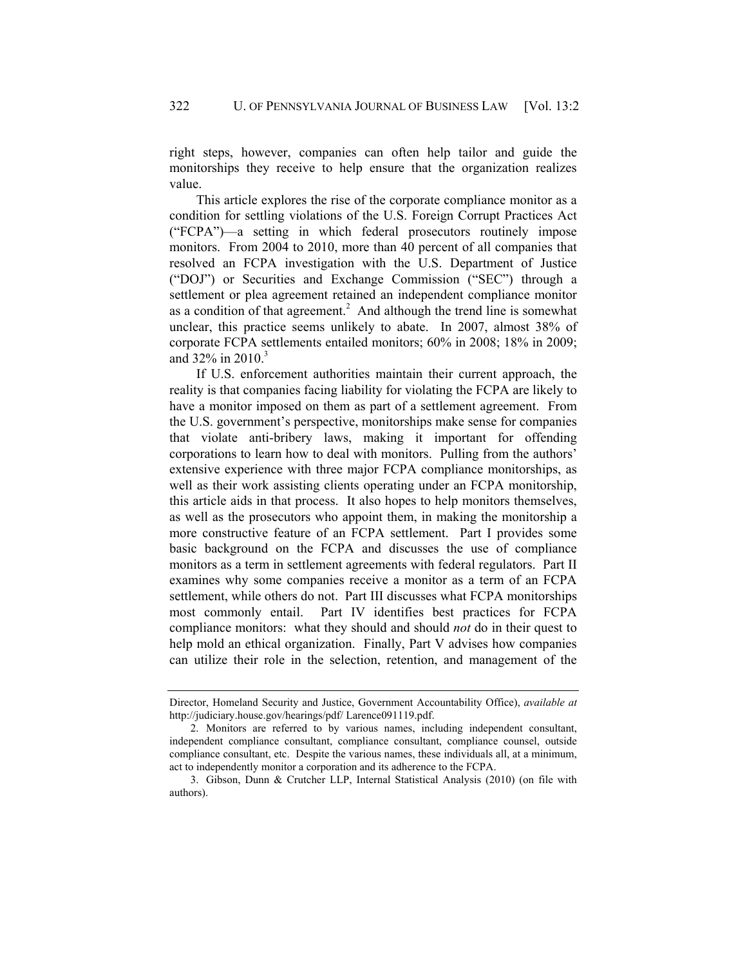right steps, however, companies can often help tailor and guide the monitorships they receive to help ensure that the organization realizes value.

This article explores the rise of the corporate compliance monitor as a condition for settling violations of the U.S. Foreign Corrupt Practices Act ("FCPA")—a setting in which federal prosecutors routinely impose monitors. From 2004 to 2010, more than 40 percent of all companies that resolved an FCPA investigation with the U.S. Department of Justice ("DOJ") or Securities and Exchange Commission ("SEC") through a settlement or plea agreement retained an independent compliance monitor as a condition of that agreement.<sup>2</sup> And although the trend line is somewhat unclear, this practice seems unlikely to abate. In 2007, almost 38% of corporate FCPA settlements entailed monitors; 60% in 2008; 18% in 2009; and  $32\%$  in  $2010$ .<sup>3</sup>

If U.S. enforcement authorities maintain their current approach, the reality is that companies facing liability for violating the FCPA are likely to have a monitor imposed on them as part of a settlement agreement. From the U.S. government's perspective, monitorships make sense for companies that violate anti-bribery laws, making it important for offending corporations to learn how to deal with monitors. Pulling from the authors' extensive experience with three major FCPA compliance monitorships, as well as their work assisting clients operating under an FCPA monitorship, this article aids in that process. It also hopes to help monitors themselves, as well as the prosecutors who appoint them, in making the monitorship a more constructive feature of an FCPA settlement. Part I provides some basic background on the FCPA and discusses the use of compliance monitors as a term in settlement agreements with federal regulators. Part II examines why some companies receive a monitor as a term of an FCPA settlement, while others do not. Part III discusses what FCPA monitorships most commonly entail. Part IV identifies best practices for FCPA compliance monitors: what they should and should *not* do in their quest to help mold an ethical organization. Finally, Part V advises how companies can utilize their role in the selection, retention, and management of the

Director, Homeland Security and Justice, Government Accountability Office), *available at* http://judiciary.house.gov/hearings/pdf/ Larence091119.pdf.

 <sup>2.</sup> Monitors are referred to by various names, including independent consultant, independent compliance consultant, compliance consultant, compliance counsel, outside compliance consultant, etc. Despite the various names, these individuals all, at a minimum, act to independently monitor a corporation and its adherence to the FCPA.

 <sup>3.</sup> Gibson, Dunn & Crutcher LLP, Internal Statistical Analysis (2010) (on file with authors).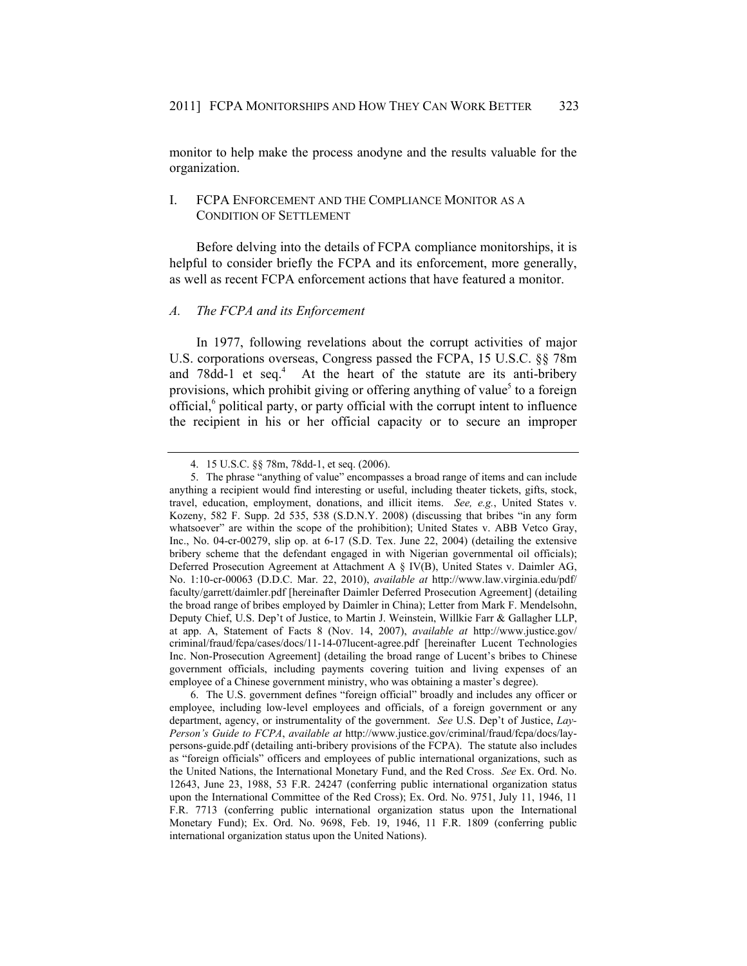monitor to help make the process anodyne and the results valuable for the organization.

# I. FCPA ENFORCEMENT AND THE COMPLIANCE MONITOR AS A CONDITION OF SETTLEMENT

Before delving into the details of FCPA compliance monitorships, it is helpful to consider briefly the FCPA and its enforcement, more generally, as well as recent FCPA enforcement actions that have featured a monitor.

#### *A. The FCPA and its Enforcement*

In 1977, following revelations about the corrupt activities of major U.S. corporations overseas, Congress passed the FCPA, 15 U.S.C. §§ 78m and 78dd-1 et seq.<sup>4</sup> At the heart of the statute are its anti-bribery provisions, which prohibit giving or offering anything of value<sup>5</sup> to a foreign official,<sup>6</sup> political party, or party official with the corrupt intent to influence the recipient in his or her official capacity or to secure an improper

 <sup>4. 15</sup> U.S.C. §§ 78m, 78dd-1, et seq. (2006).

 <sup>5.</sup> The phrase "anything of value" encompasses a broad range of items and can include anything a recipient would find interesting or useful, including theater tickets, gifts, stock, travel, education, employment, donations, and illicit items. *See, e.g.*, United States v. Kozeny, 582 F. Supp. 2d 535, 538 (S.D.N.Y. 2008) (discussing that bribes "in any form whatsoever" are within the scope of the prohibition); United States v. ABB Vetco Gray, Inc., No. 04-cr-00279, slip op. at 6-17 (S.D. Tex. June 22, 2004) (detailing the extensive bribery scheme that the defendant engaged in with Nigerian governmental oil officials); Deferred Prosecution Agreement at Attachment A § IV(B), United States v. Daimler AG, No. 1:10-cr-00063 (D.D.C. Mar. 22, 2010), *available at* http://www.law.virginia.edu/pdf/ faculty/garrett/daimler.pdf [hereinafter Daimler Deferred Prosecution Agreement] (detailing the broad range of bribes employed by Daimler in China); Letter from Mark F. Mendelsohn, Deputy Chief, U.S. Dep't of Justice, to Martin J. Weinstein, Willkie Farr & Gallagher LLP, at app. A, Statement of Facts 8 (Nov. 14, 2007), *available at* http://www.justice.gov/ criminal/fraud/fcpa/cases/docs/11-14-07lucent-agree.pdf [hereinafter Lucent Technologies Inc. Non-Prosecution Agreement] (detailing the broad range of Lucent's bribes to Chinese government officials, including payments covering tuition and living expenses of an employee of a Chinese government ministry, who was obtaining a master's degree).

 <sup>6.</sup> The U.S. government defines "foreign official" broadly and includes any officer or employee, including low-level employees and officials, of a foreign government or any department, agency, or instrumentality of the government. *See* U.S. Dep't of Justice, *Lay-Person's Guide to FCPA*, *available at* http://www.justice.gov/criminal/fraud/fcpa/docs/laypersons-guide.pdf (detailing anti-bribery provisions of the FCPA). The statute also includes as "foreign officials" officers and employees of public international organizations, such as the United Nations, the International Monetary Fund, and the Red Cross. *See* Ex. Ord. No. 12643, June 23, 1988, 53 F.R. 24247 (conferring public international organization status upon the International Committee of the Red Cross); Ex. Ord. No. 9751, July 11, 1946, 11 F.R. 7713 (conferring public international organization status upon the International Monetary Fund); Ex. Ord. No. 9698, Feb. 19, 1946, 11 F.R. 1809 (conferring public international organization status upon the United Nations).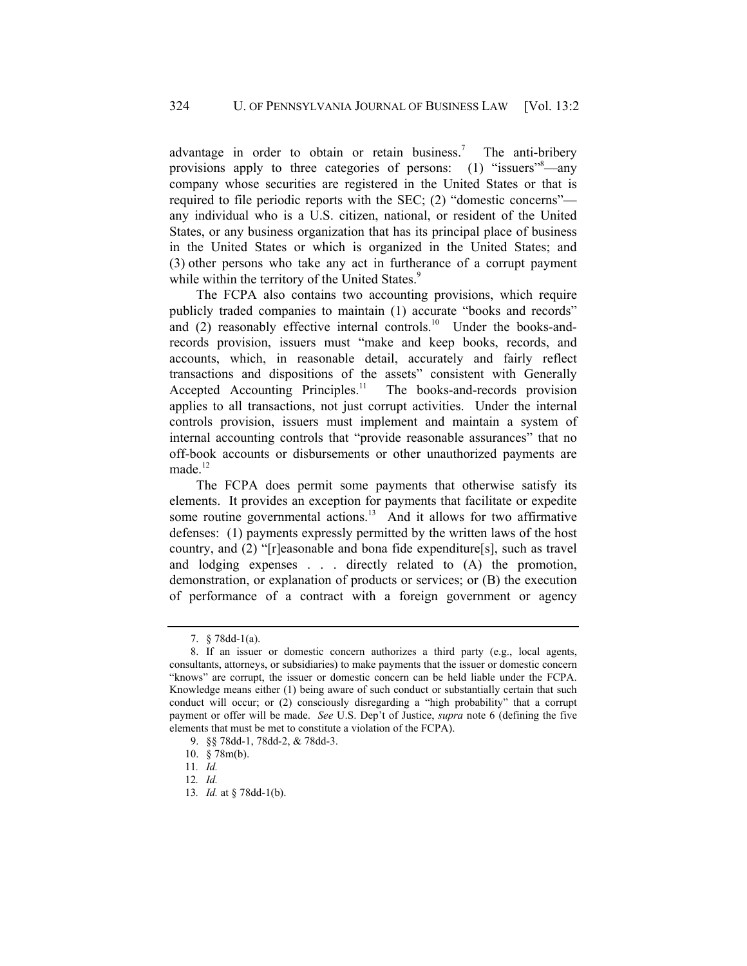advantage in order to obtain or retain business.<sup>7</sup> The anti-bribery provisions apply to three categories of persons: (1) "issuers"<sup>8</sup>—any company whose securities are registered in the United States or that is required to file periodic reports with the SEC; (2) "domestic concerns" any individual who is a U.S. citizen, national, or resident of the United States, or any business organization that has its principal place of business in the United States or which is organized in the United States; and (3) other persons who take any act in furtherance of a corrupt payment while within the territory of the United States.<sup>9</sup>

The FCPA also contains two accounting provisions, which require publicly traded companies to maintain (1) accurate "books and records" and  $(2)$  reasonably effective internal controls.<sup>10</sup> Under the books-andrecords provision, issuers must "make and keep books, records, and accounts, which, in reasonable detail, accurately and fairly reflect transactions and dispositions of the assets" consistent with Generally Accepted Accounting Principles.<sup>11</sup> The books-and-records provision applies to all transactions, not just corrupt activities. Under the internal controls provision, issuers must implement and maintain a system of internal accounting controls that "provide reasonable assurances" that no off-book accounts or disbursements or other unauthorized payments are made. $^{12}$ 

The FCPA does permit some payments that otherwise satisfy its elements. It provides an exception for payments that facilitate or expedite some routine governmental actions.<sup>13</sup> And it allows for two affirmative defenses: (1) payments expressly permitted by the written laws of the host country, and (2) "[r]easonable and bona fide expenditure[s], such as travel and lodging expenses . . . directly related to (A) the promotion, demonstration, or explanation of products or services; or (B) the execution of performance of a contract with a foreign government or agency

 <sup>7. § 78</sup>dd-1(a).

 <sup>8.</sup> If an issuer or domestic concern authorizes a third party (e.g., local agents, consultants, attorneys, or subsidiaries) to make payments that the issuer or domestic concern "knows" are corrupt, the issuer or domestic concern can be held liable under the FCPA. Knowledge means either (1) being aware of such conduct or substantially certain that such conduct will occur; or (2) consciously disregarding a "high probability" that a corrupt payment or offer will be made. *See* U.S. Dep't of Justice, *supra* note 6 (defining the five elements that must be met to constitute a violation of the FCPA).

 <sup>9. §§ 78</sup>dd-1, 78dd-2, & 78dd-3.

 <sup>10. § 78</sup>m(b).

<sup>11</sup>*. Id.*

<sup>12</sup>*. Id.*

<sup>13</sup>*. Id.* at § 78dd-1(b).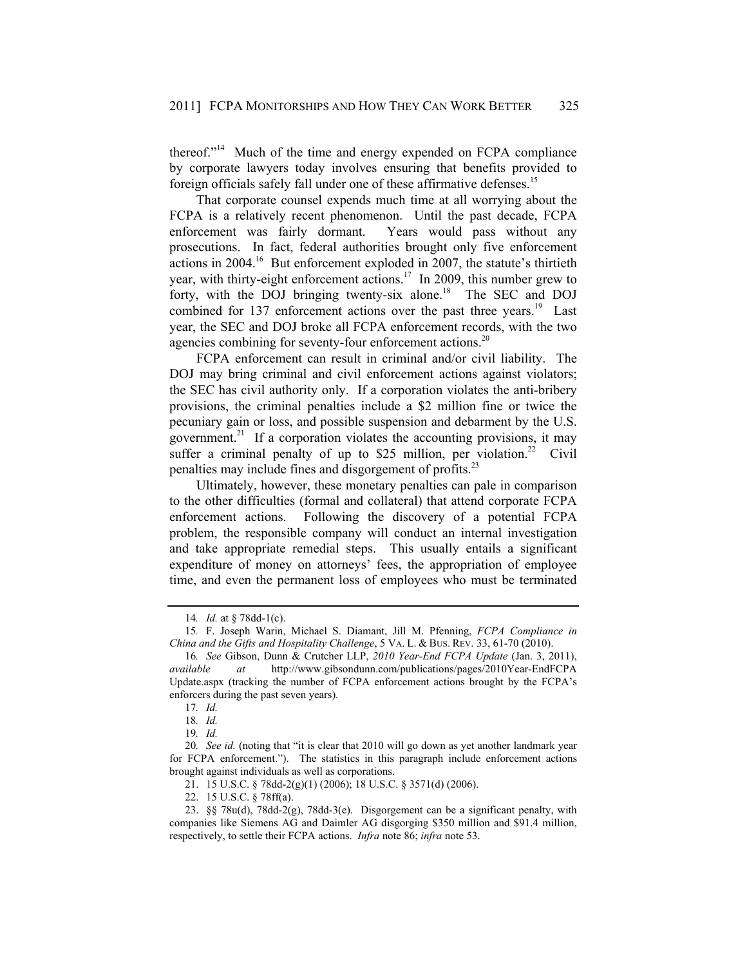thereof."14 Much of the time and energy expended on FCPA compliance by corporate lawyers today involves ensuring that benefits provided to foreign officials safely fall under one of these affirmative defenses.<sup>15</sup>

That corporate counsel expends much time at all worrying about the FCPA is a relatively recent phenomenon. Until the past decade, FCPA enforcement was fairly dormant. Years would pass without any prosecutions. In fact, federal authorities brought only five enforcement actions in 2004.16 But enforcement exploded in 2007, the statute's thirtieth year, with thirty-eight enforcement actions.<sup>17</sup> In 2009, this number grew to forty, with the DOJ bringing twenty-six alone.<sup>18</sup> The SEC and DOJ combined for 137 enforcement actions over the past three years.<sup>19</sup> Last year, the SEC and DOJ broke all FCPA enforcement records, with the two agencies combining for seventy-four enforcement actions.<sup>20</sup>

FCPA enforcement can result in criminal and/or civil liability. The DOJ may bring criminal and civil enforcement actions against violators; the SEC has civil authority only. If a corporation violates the anti-bribery provisions, the criminal penalties include a \$2 million fine or twice the pecuniary gain or loss, and possible suspension and debarment by the U.S. government.<sup>21</sup> If a corporation violates the accounting provisions, it may suffer a criminal penalty of up to \$25 million, per violation.<sup>22</sup> Civil penalties may include fines and disgorgement of profits.<sup>23</sup>

Ultimately, however, these monetary penalties can pale in comparison to the other difficulties (formal and collateral) that attend corporate FCPA enforcement actions. Following the discovery of a potential FCPA problem, the responsible company will conduct an internal investigation and take appropriate remedial steps. This usually entails a significant expenditure of money on attorneys' fees, the appropriation of employee time, and even the permanent loss of employees who must be terminated

<sup>14</sup>*. Id.* at § 78dd-1(c).

<sup>15</sup>*.* F. Joseph Warin, Michael S. Diamant, Jill M. Pfenning, *FCPA Compliance in China and the Gifts and Hospitality Challenge*, 5 VA. L. & BUS. REV. 33, 61-70 (2010).

<sup>16</sup>*. See* Gibson, Dunn & Crutcher LLP, *2010 Year-End FCPA Update* (Jan. 3, 2011), *available at* http://www.gibsondunn.com/publications/pages/2010Year-EndFCPA Update.aspx (tracking the number of FCPA enforcement actions brought by the FCPA's enforcers during the past seven years).

<sup>17</sup>*. Id.*

<sup>18</sup>*. Id.*

<sup>19</sup>*. Id.*

<sup>20</sup>*. See id.* (noting that "it is clear that 2010 will go down as yet another landmark year for FCPA enforcement."). The statistics in this paragraph include enforcement actions brought against individuals as well as corporations.

 <sup>21. 15</sup> U.S.C. § 78dd-2(g)(1) (2006); 18 U.S.C. § 3571(d) (2006).

 <sup>22. 15</sup> U.S.C. § 78ff(a).

 <sup>23. §§ 78</sup>u(d), 78dd-2(g), 78dd-3(e). Disgorgement can be a significant penalty, with companies like Siemens AG and Daimler AG disgorging \$350 million and \$91.4 million, respectively, to settle their FCPA actions. *Infra* note 86; *infra* note 53.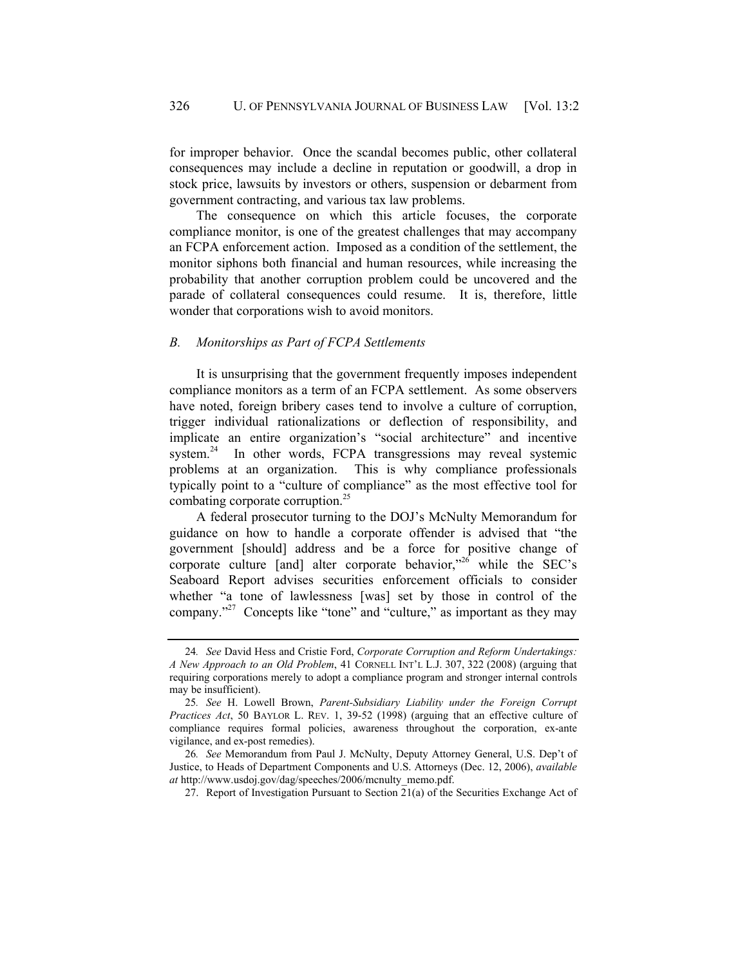for improper behavior. Once the scandal becomes public, other collateral consequences may include a decline in reputation or goodwill, a drop in stock price, lawsuits by investors or others, suspension or debarment from government contracting, and various tax law problems.

The consequence on which this article focuses, the corporate compliance monitor, is one of the greatest challenges that may accompany an FCPA enforcement action. Imposed as a condition of the settlement, the monitor siphons both financial and human resources, while increasing the probability that another corruption problem could be uncovered and the parade of collateral consequences could resume. It is, therefore, little wonder that corporations wish to avoid monitors.

# *B. Monitorships as Part of FCPA Settlements*

It is unsurprising that the government frequently imposes independent compliance monitors as a term of an FCPA settlement. As some observers have noted, foreign bribery cases tend to involve a culture of corruption, trigger individual rationalizations or deflection of responsibility, and implicate an entire organization's "social architecture" and incentive system.<sup>24</sup> In other words, FCPA transgressions may reveal systemic problems at an organization. This is why compliance professionals typically point to a "culture of compliance" as the most effective tool for combating corporate corruption.<sup>25</sup>

A federal prosecutor turning to the DOJ's McNulty Memorandum for guidance on how to handle a corporate offender is advised that "the government [should] address and be a force for positive change of corporate culture  $[and]$  alter corporate behavior,"<sup>26</sup> while the SEC's Seaboard Report advises securities enforcement officials to consider whether "a tone of lawlessness [was] set by those in control of the company."27 Concepts like "tone" and "culture," as important as they may

27. Report of Investigation Pursuant to Section 21(a) of the Securities Exchange Act of

<sup>24</sup>*. See* David Hess and Cristie Ford, *Corporate Corruption and Reform Undertakings: A New Approach to an Old Problem*, 41 CORNELL INT'L L.J. 307, 322 (2008) (arguing that requiring corporations merely to adopt a compliance program and stronger internal controls may be insufficient).

<sup>25</sup>*. See* H. Lowell Brown, *Parent-Subsidiary Liability under the Foreign Corrupt Practices Act*, 50 BAYLOR L. REV. 1, 39-52 (1998) (arguing that an effective culture of compliance requires formal policies, awareness throughout the corporation, ex-ante vigilance, and ex-post remedies).

<sup>26</sup>*. See* Memorandum from Paul J. McNulty, Deputy Attorney General, U.S. Dep't of Justice, to Heads of Department Components and U.S. Attorneys (Dec. 12, 2006), *available at* http://www.usdoj.gov/dag/speeches/2006/mcnulty\_memo.pdf.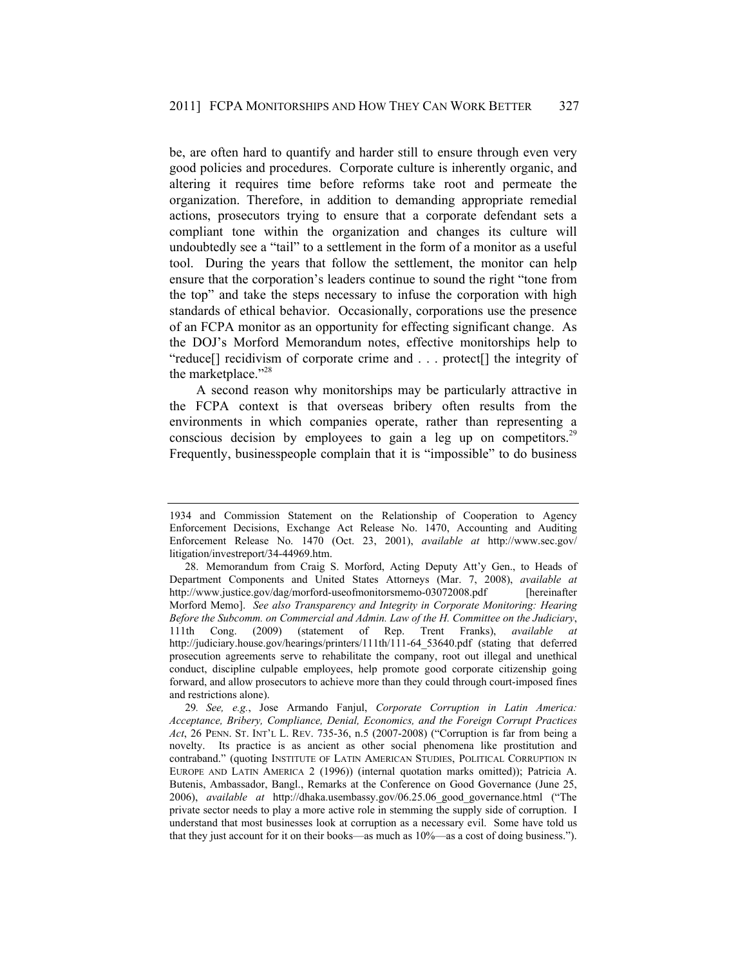be, are often hard to quantify and harder still to ensure through even very good policies and procedures. Corporate culture is inherently organic, and altering it requires time before reforms take root and permeate the organization. Therefore, in addition to demanding appropriate remedial actions, prosecutors trying to ensure that a corporate defendant sets a compliant tone within the organization and changes its culture will undoubtedly see a "tail" to a settlement in the form of a monitor as a useful tool. During the years that follow the settlement, the monitor can help ensure that the corporation's leaders continue to sound the right "tone from the top" and take the steps necessary to infuse the corporation with high standards of ethical behavior. Occasionally, corporations use the presence of an FCPA monitor as an opportunity for effecting significant change. As the DOJ's Morford Memorandum notes, effective monitorships help to "reduce[] recidivism of corporate crime and . . . protect[] the integrity of the marketplace."<sup>28</sup>

A second reason why monitorships may be particularly attractive in the FCPA context is that overseas bribery often results from the environments in which companies operate, rather than representing a conscious decision by employees to gain a leg up on competitors.<sup>29</sup> Frequently, businesspeople complain that it is "impossible" to do business

<sup>1934</sup> and Commission Statement on the Relationship of Cooperation to Agency Enforcement Decisions, Exchange Act Release No. 1470, Accounting and Auditing Enforcement Release No. 1470 (Oct. 23, 2001), *available at* http://www.sec.gov/ litigation/investreport/34-44969.htm.

 <sup>28.</sup> Memorandum from Craig S. Morford, Acting Deputy Att'y Gen., to Heads of Department Components and United States Attorneys (Mar. 7, 2008), *available at* http://www.justice.gov/dag/morford-useofmonitorsmemo-03072008.pdf [hereinafter] Morford Memo]. *See also Transparency and Integrity in Corporate Monitoring: Hearing Before the Subcomm. on Commercial and Admin. Law of the H. Committee on the Judiciary*, 111th Cong. (2009) (statement of Rep. Trent Franks), *available at* http://judiciary.house.gov/hearings/printers/111th/111-64\_53640.pdf (stating that deferred prosecution agreements serve to rehabilitate the company, root out illegal and unethical conduct, discipline culpable employees, help promote good corporate citizenship going forward, and allow prosecutors to achieve more than they could through court-imposed fines and restrictions alone).

<sup>29</sup>*. See, e.g.*, Jose Armando Fanjul, *Corporate Corruption in Latin America: Acceptance, Bribery, Compliance, Denial, Economics, and the Foreign Corrupt Practices Act*, 26 PENN. ST. INT'L L. REV. 735-36, n.5 (2007-2008) ("Corruption is far from being a novelty. Its practice is as ancient as other social phenomena like prostitution and contraband." (quoting INSTITUTE OF LATIN AMERICAN STUDIES, POLITICAL CORRUPTION IN EUROPE AND LATIN AMERICA 2 (1996)) (internal quotation marks omitted)); Patricia A. Butenis, Ambassador, Bangl., Remarks at the Conference on Good Governance (June 25, 2006), *available at* http://dhaka.usembassy.gov/06.25.06\_good\_governance.html ("The private sector needs to play a more active role in stemming the supply side of corruption. I understand that most businesses look at corruption as a necessary evil. Some have told us that they just account for it on their books—as much as 10%—as a cost of doing business.").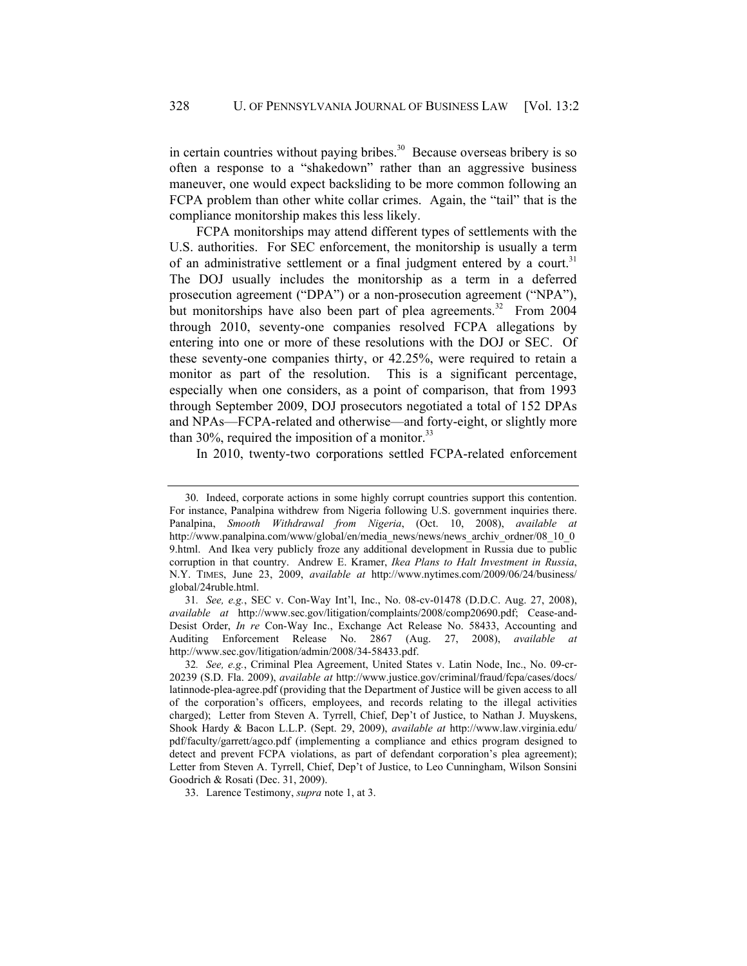in certain countries without paying bribes.<sup>30</sup> Because overseas bribery is so often a response to a "shakedown" rather than an aggressive business maneuver, one would expect backsliding to be more common following an FCPA problem than other white collar crimes. Again, the "tail" that is the compliance monitorship makes this less likely.

FCPA monitorships may attend different types of settlements with the U.S. authorities. For SEC enforcement, the monitorship is usually a term of an administrative settlement or a final judgment entered by a court.<sup>31</sup> The DOJ usually includes the monitorship as a term in a deferred prosecution agreement ("DPA") or a non-prosecution agreement ("NPA"), but monitorships have also been part of plea agreements.<sup>32</sup> From 2004 through 2010, seventy-one companies resolved FCPA allegations by entering into one or more of these resolutions with the DOJ or SEC. Of these seventy-one companies thirty, or 42.25%, were required to retain a monitor as part of the resolution. This is a significant percentage, especially when one considers, as a point of comparison, that from 1993 through September 2009, DOJ prosecutors negotiated a total of 152 DPAs and NPAs—FCPA-related and otherwise—and forty-eight, or slightly more than 30%, required the imposition of a monitor. $^{33}$ 

In 2010, twenty-two corporations settled FCPA-related enforcement

 <sup>30.</sup> Indeed, corporate actions in some highly corrupt countries support this contention. For instance, Panalpina withdrew from Nigeria following U.S. government inquiries there. Panalpina, *Smooth Withdrawal from Nigeria*, (Oct. 10, 2008), *available at* http://www.panalpina.com/www/global/en/media\_news/news/news\_archiv\_ordner/08\_10\_0 9.html. And Ikea very publicly froze any additional development in Russia due to public corruption in that country. Andrew E. Kramer, *Ikea Plans to Halt Investment in Russia*, N.Y. TIMES, June 23, 2009, *available at* http://www.nytimes.com/2009/06/24/business/ global/24ruble.html.

<sup>31</sup>*. See, e.g.*, SEC v. Con-Way Int'l, Inc., No. 08-cv-01478 (D.D.C. Aug. 27, 2008), *available at* http://www.sec.gov/litigation/complaints/2008/comp20690.pdf; Cease-and-Desist Order, *In re* Con-Way Inc., Exchange Act Release No. 58433, Accounting and Auditing Enforcement Release No. 2867 (Aug. 27, 2008), *available at* http://www.sec.gov/litigation/admin/2008/34-58433.pdf.

<sup>32</sup>*. See, e.g.*, Criminal Plea Agreement, United States v. Latin Node, Inc., No. 09-cr-20239 (S.D. Fla. 2009), *available at* http://www.justice.gov/criminal/fraud/fcpa/cases/docs/ latinnode-plea-agree.pdf (providing that the Department of Justice will be given access to all of the corporation's officers, employees, and records relating to the illegal activities charged); Letter from Steven A. Tyrrell, Chief, Dep't of Justice, to Nathan J. Muyskens, Shook Hardy & Bacon L.L.P. (Sept. 29, 2009), *available at* http://www.law.virginia.edu/ pdf/faculty/garrett/agco.pdf (implementing a compliance and ethics program designed to detect and prevent FCPA violations, as part of defendant corporation's plea agreement); Letter from Steven A. Tyrrell, Chief, Dep't of Justice, to Leo Cunningham, Wilson Sonsini Goodrich & Rosati (Dec. 31, 2009).

 <sup>33.</sup> Larence Testimony, *supra* note 1, at 3.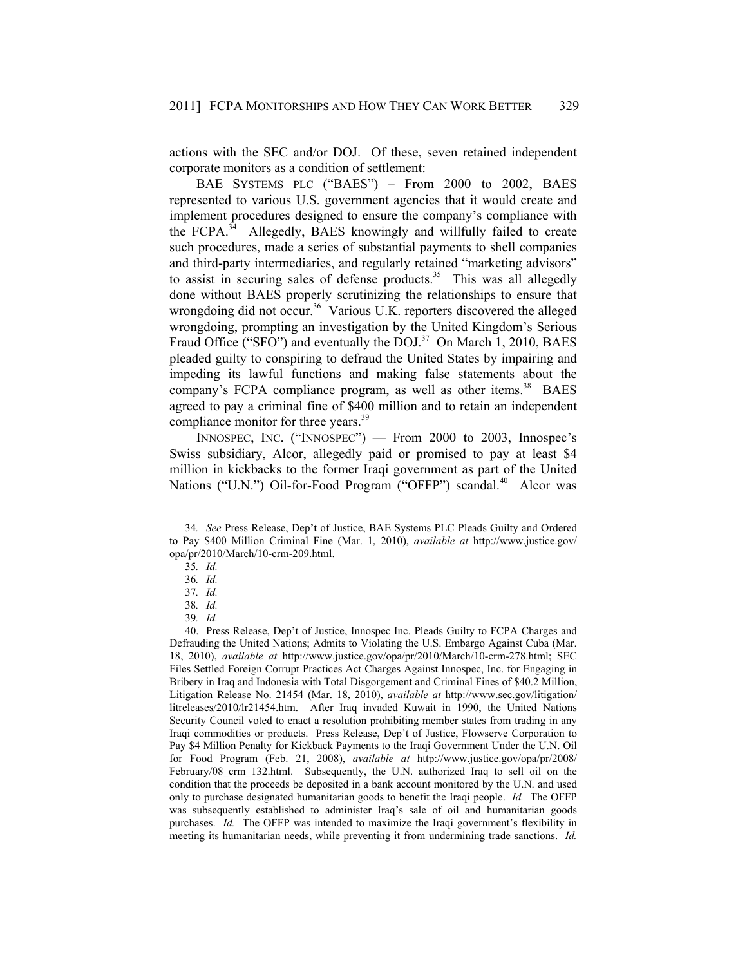actions with the SEC and/or DOJ. Of these, seven retained independent corporate monitors as a condition of settlement:

BAE SYSTEMS PLC ("BAES") – From 2000 to 2002, BAES represented to various U.S. government agencies that it would create and implement procedures designed to ensure the company's compliance with the FCPA.<sup>34</sup> Allegedly, BAES knowingly and willfully failed to create such procedures, made a series of substantial payments to shell companies and third-party intermediaries, and regularly retained "marketing advisors" to assist in securing sales of defense products.<sup>35</sup> This was all allegedly done without BAES properly scrutinizing the relationships to ensure that wrongdoing did not occur.<sup>36</sup> Various U.K. reporters discovered the alleged wrongdoing, prompting an investigation by the United Kingdom's Serious Fraud Office ("SFO") and eventually the DOJ.<sup>37</sup> On March 1, 2010, BAES pleaded guilty to conspiring to defraud the United States by impairing and impeding its lawful functions and making false statements about the company's FCPA compliance program, as well as other items.<sup>38</sup> BAES agreed to pay a criminal fine of \$400 million and to retain an independent compliance monitor for three years.<sup>39</sup>

INNOSPEC, INC. ("INNOSPEC") — From 2000 to 2003, Innospec's Swiss subsidiary, Alcor, allegedly paid or promised to pay at least \$4 million in kickbacks to the former Iraqi government as part of the United Nations ("U.N.") Oil-for-Food Program ("OFFP") scandal.<sup>40</sup> Alcor was

<sup>34</sup>*. See* Press Release, Dep't of Justice, BAE Systems PLC Pleads Guilty and Ordered to Pay \$400 Million Criminal Fine (Mar. 1, 2010), *available at* http://www.justice.gov/ opa/pr/2010/March/10-crm-209.html.

<sup>35</sup>*. Id.*

<sup>36</sup>*. Id.*

<sup>37</sup>*. Id.*

<sup>38</sup>*. Id.*

<sup>39</sup>*. Id.*

 <sup>40.</sup> Press Release, Dep't of Justice, Innospec Inc. Pleads Guilty to FCPA Charges and Defrauding the United Nations; Admits to Violating the U.S. Embargo Against Cuba (Mar. 18, 2010), *available at* http://www.justice.gov/opa/pr/2010/March/10-crm-278.html; SEC Files Settled Foreign Corrupt Practices Act Charges Against Innospec, Inc. for Engaging in Bribery in Iraq and Indonesia with Total Disgorgement and Criminal Fines of \$40.2 Million, Litigation Release No. 21454 (Mar. 18, 2010), *available at* http://www.sec.gov/litigation/ litreleases/2010/lr21454.htm. After Iraq invaded Kuwait in 1990, the United Nations Security Council voted to enact a resolution prohibiting member states from trading in any Iraqi commodities or products. Press Release, Dep't of Justice, Flowserve Corporation to Pay \$4 Million Penalty for Kickback Payments to the Iraqi Government Under the U.N. Oil for Food Program (Feb. 21, 2008), *available at* http://www.justice.gov/opa/pr/2008/ February/08 crm 132.html. Subsequently, the U.N. authorized Iraq to sell oil on the condition that the proceeds be deposited in a bank account monitored by the U.N. and used only to purchase designated humanitarian goods to benefit the Iraqi people. *Id.* The OFFP was subsequently established to administer Iraq's sale of oil and humanitarian goods purchases. *Id.* The OFFP was intended to maximize the Iraqi government's flexibility in meeting its humanitarian needs, while preventing it from undermining trade sanctions. *Id.*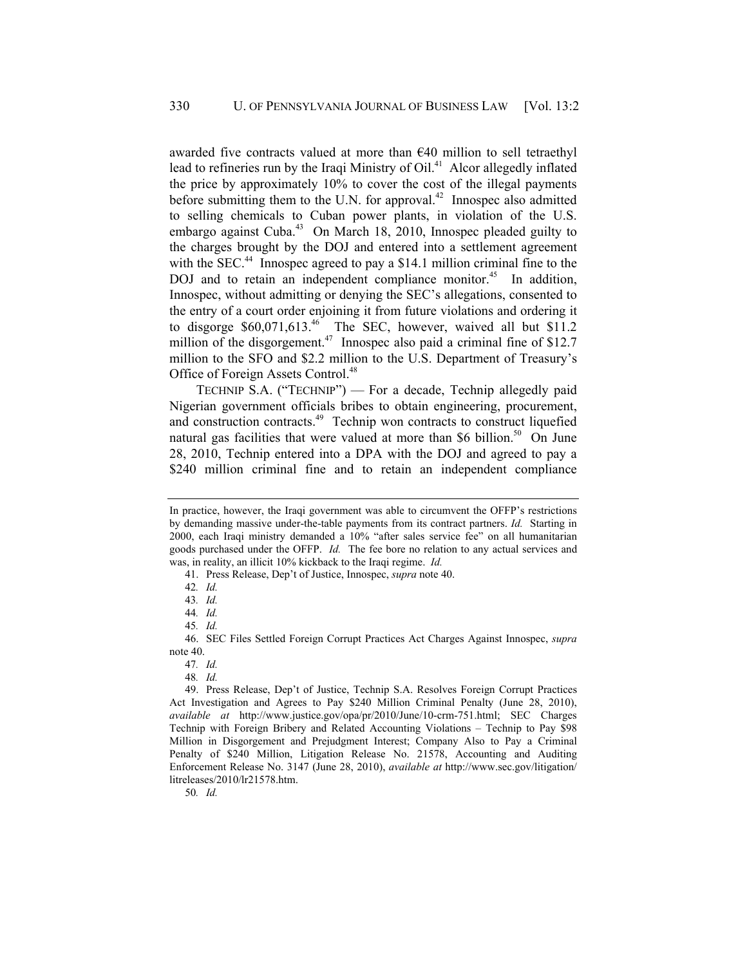awarded five contracts valued at more than €40 million to sell tetraethyl lead to refineries run by the Iraqi Ministry of Oil.<sup>41</sup> Alcor allegedly inflated the price by approximately 10% to cover the cost of the illegal payments before submitting them to the U.N. for approval.<sup>42</sup> Innospec also admitted to selling chemicals to Cuban power plants, in violation of the U.S. embargo against Cuba.<sup>43</sup> On March 18, 2010, Innospec pleaded guilty to the charges brought by the DOJ and entered into a settlement agreement with the SEC. $44$  Innospec agreed to pay a \$14.1 million criminal fine to the DOJ and to retain an independent compliance monitor.<sup>45</sup> In addition, Innospec, without admitting or denying the SEC's allegations, consented to the entry of a court order enjoining it from future violations and ordering it to disgorge  $$60,071,613<sup>46</sup>$  The SEC, however, waived all but \$11.2 million of the disgorgement.<sup>47</sup> Innospec also paid a criminal fine of \$12.7 million to the SFO and \$2.2 million to the U.S. Department of Treasury's Office of Foreign Assets Control.<sup>48</sup>

TECHNIP S.A. ("TECHNIP") — For a decade, Technip allegedly paid Nigerian government officials bribes to obtain engineering, procurement, and construction contracts.<sup>49</sup> Technip won contracts to construct liquefied natural gas facilities that were valued at more than \$6 billion.<sup>50</sup> On June 28, 2010, Technip entered into a DPA with the DOJ and agreed to pay a \$240 million criminal fine and to retain an independent compliance

41. Press Release, Dep't of Justice, Innospec, *supra* note 40.

50*. Id.*

In practice, however, the Iraqi government was able to circumvent the OFFP's restrictions by demanding massive under-the-table payments from its contract partners. *Id.* Starting in 2000, each Iraqi ministry demanded a 10% "after sales service fee" on all humanitarian goods purchased under the OFFP. *Id.* The fee bore no relation to any actual services and was, in reality, an illicit 10% kickback to the Iraqi regime. *Id.*

<sup>42</sup>*. Id.*

<sup>43</sup>*. Id.*

<sup>44</sup>*. Id.*

<sup>45</sup>*. Id.*

 <sup>46.</sup> SEC Files Settled Foreign Corrupt Practices Act Charges Against Innospec, *supra* note 40.

<sup>47</sup>*. Id.*

<sup>48</sup>*. Id.*

 <sup>49.</sup> Press Release, Dep't of Justice, Technip S.A. Resolves Foreign Corrupt Practices Act Investigation and Agrees to Pay \$240 Million Criminal Penalty (June 28, 2010), *available at* http://www.justice.gov/opa/pr/2010/June/10-crm-751.html; SEC Charges Technip with Foreign Bribery and Related Accounting Violations – Technip to Pay \$98 Million in Disgorgement and Prejudgment Interest; Company Also to Pay a Criminal Penalty of \$240 Million, Litigation Release No. 21578, Accounting and Auditing Enforcement Release No. 3147 (June 28, 2010), *available at* http://www.sec.gov/litigation/ litreleases/2010/lr21578.htm.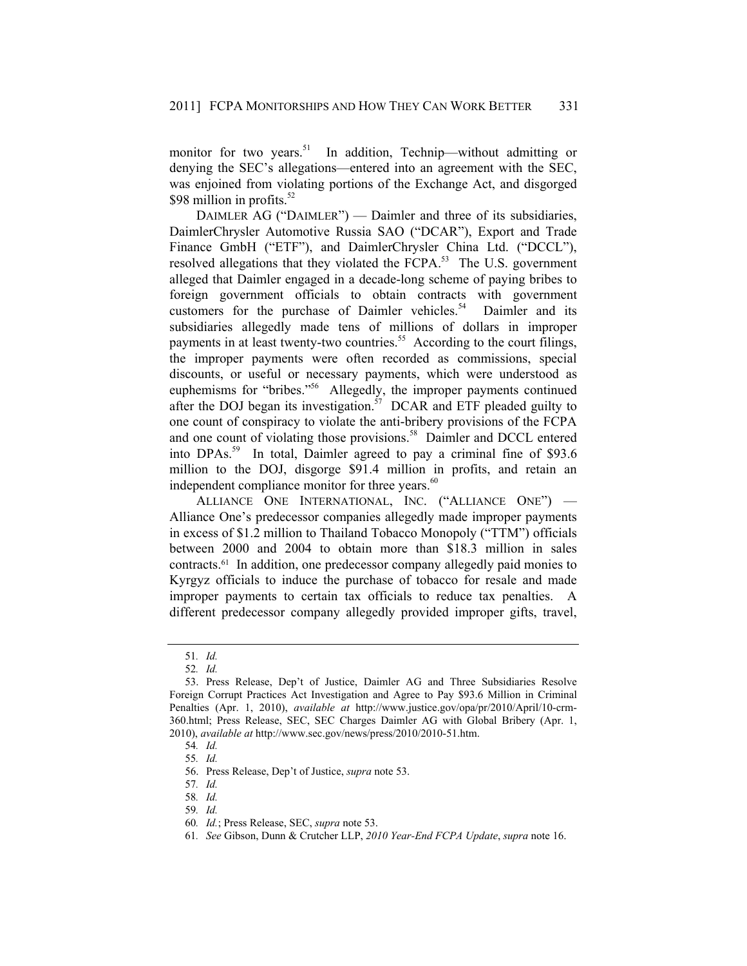monitor for two years.<sup>51</sup> In addition, Technip—without admitting or denying the SEC's allegations—entered into an agreement with the SEC, was enjoined from violating portions of the Exchange Act, and disgorged \$98 million in profits. $52$ 

DAIMLER AG ("DAIMLER") — Daimler and three of its subsidiaries, DaimlerChrysler Automotive Russia SAO ("DCAR"), Export and Trade Finance GmbH ("ETF"), and DaimlerChrysler China Ltd. ("DCCL"), resolved allegations that they violated the FCPA.<sup>53</sup> The U.S. government alleged that Daimler engaged in a decade-long scheme of paying bribes to foreign government officials to obtain contracts with government customers for the purchase of Daimler vehicles.<sup>54</sup> Daimler and its subsidiaries allegedly made tens of millions of dollars in improper payments in at least twenty-two countries.<sup>55</sup> According to the court filings, the improper payments were often recorded as commissions, special discounts, or useful or necessary payments, which were understood as euphemisms for "bribes."<sup>56</sup> Allegedly, the improper payments continued after the DOJ began its investigation.<sup>57</sup> DCAR and ETF pleaded guilty to one count of conspiracy to violate the anti-bribery provisions of the FCPA and one count of violating those provisions.<sup>58</sup> Daimler and DCCL entered into DPAs.<sup>59</sup> In total, Daimler agreed to pay a criminal fine of \$93.6 million to the DOJ, disgorge \$91.4 million in profits, and retain an independent compliance monitor for three years.<sup>60</sup>

ALLIANCE ONE INTERNATIONAL, INC. ("ALLIANCE ONE") — Alliance One's predecessor companies allegedly made improper payments in excess of \$1.2 million to Thailand Tobacco Monopoly ("TTM") officials between 2000 and 2004 to obtain more than \$18.3 million in sales contracts.61 In addition, one predecessor company allegedly paid monies to Kyrgyz officials to induce the purchase of tobacco for resale and made improper payments to certain tax officials to reduce tax penalties. A different predecessor company allegedly provided improper gifts, travel,

<sup>51</sup>*. Id.*

<sup>52</sup>*. Id.*

 <sup>53.</sup> Press Release, Dep't of Justice, Daimler AG and Three Subsidiaries Resolve Foreign Corrupt Practices Act Investigation and Agree to Pay \$93.6 Million in Criminal Penalties (Apr. 1, 2010), *available at* http://www.justice.gov/opa/pr/2010/April/10-crm-360.html; Press Release, SEC, SEC Charges Daimler AG with Global Bribery (Apr. 1, 2010), *available at* http://www.sec.gov/news/press/2010/2010-51.htm.

<sup>54</sup>*. Id.*

<sup>55</sup>*. Id.*

 <sup>56.</sup> Press Release, Dep't of Justice, *supra* note 53.

<sup>57</sup>*. Id.*

<sup>58</sup>*. Id.*

<sup>59</sup>*. Id.*

<sup>60</sup>*. Id.*; Press Release, SEC, *supra* note 53.

 <sup>61</sup>*. See* Gibson, Dunn & Crutcher LLP, *2010 Year-End FCPA Update*, *supra* note 16.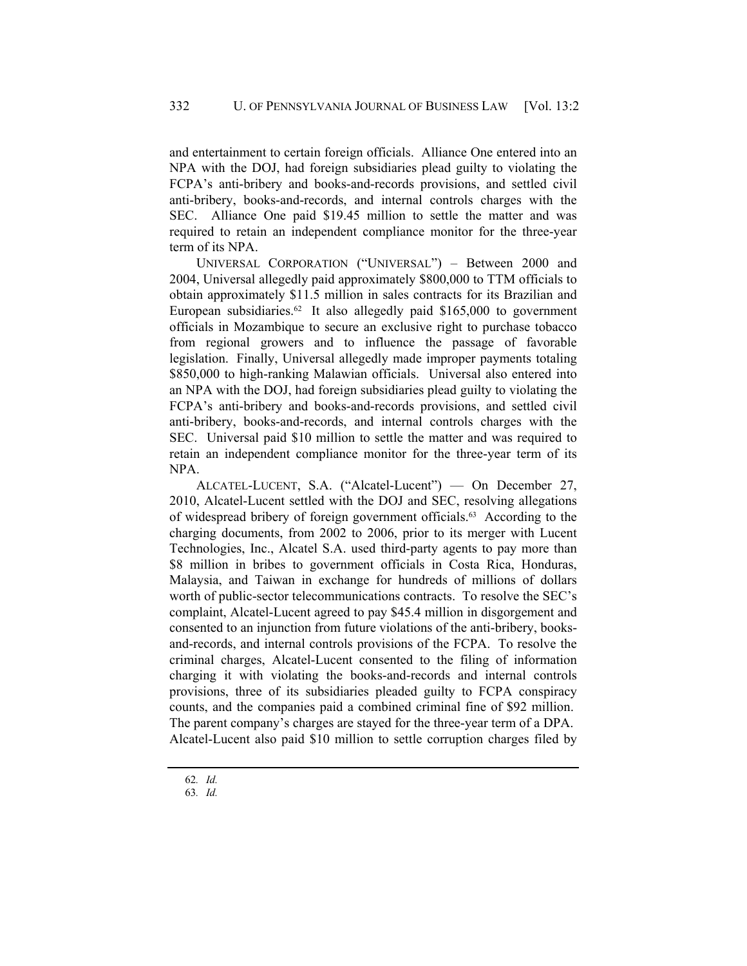and entertainment to certain foreign officials. Alliance One entered into an NPA with the DOJ, had foreign subsidiaries plead guilty to violating the FCPA's anti-bribery and books-and-records provisions, and settled civil anti-bribery, books-and-records, and internal controls charges with the SEC. Alliance One paid \$19.45 million to settle the matter and was required to retain an independent compliance monitor for the three-year term of its NPA.

UNIVERSAL CORPORATION ("UNIVERSAL") – Between 2000 and 2004, Universal allegedly paid approximately \$800,000 to TTM officials to obtain approximately \$11.5 million in sales contracts for its Brazilian and European subsidiaries.<sup>62</sup> It also allegedly paid  $$165,000$  to government officials in Mozambique to secure an exclusive right to purchase tobacco from regional growers and to influence the passage of favorable legislation. Finally, Universal allegedly made improper payments totaling \$850,000 to high-ranking Malawian officials. Universal also entered into an NPA with the DOJ, had foreign subsidiaries plead guilty to violating the FCPA's anti-bribery and books-and-records provisions, and settled civil anti-bribery, books-and-records, and internal controls charges with the SEC. Universal paid \$10 million to settle the matter and was required to retain an independent compliance monitor for the three-year term of its NPA.

ALCATEL-LUCENT, S.A. ("Alcatel-Lucent") — On December 27, 2010, Alcatel-Lucent settled with the DOJ and SEC, resolving allegations of widespread bribery of foreign government officials.63 According to the charging documents, from 2002 to 2006, prior to its merger with Lucent Technologies, Inc., Alcatel S.A. used third-party agents to pay more than \$8 million in bribes to government officials in Costa Rica, Honduras, Malaysia, and Taiwan in exchange for hundreds of millions of dollars worth of public-sector telecommunications contracts. To resolve the SEC's complaint, Alcatel-Lucent agreed to pay \$45.4 million in disgorgement and consented to an injunction from future violations of the anti-bribery, booksand-records, and internal controls provisions of the FCPA. To resolve the criminal charges, Alcatel-Lucent consented to the filing of information charging it with violating the books-and-records and internal controls provisions, three of its subsidiaries pleaded guilty to FCPA conspiracy counts, and the companies paid a combined criminal fine of \$92 million. The parent company's charges are stayed for the three-year term of a DPA. Alcatel-Lucent also paid \$10 million to settle corruption charges filed by

 <sup>62</sup>*. Id.*

 <sup>63</sup>*. Id.*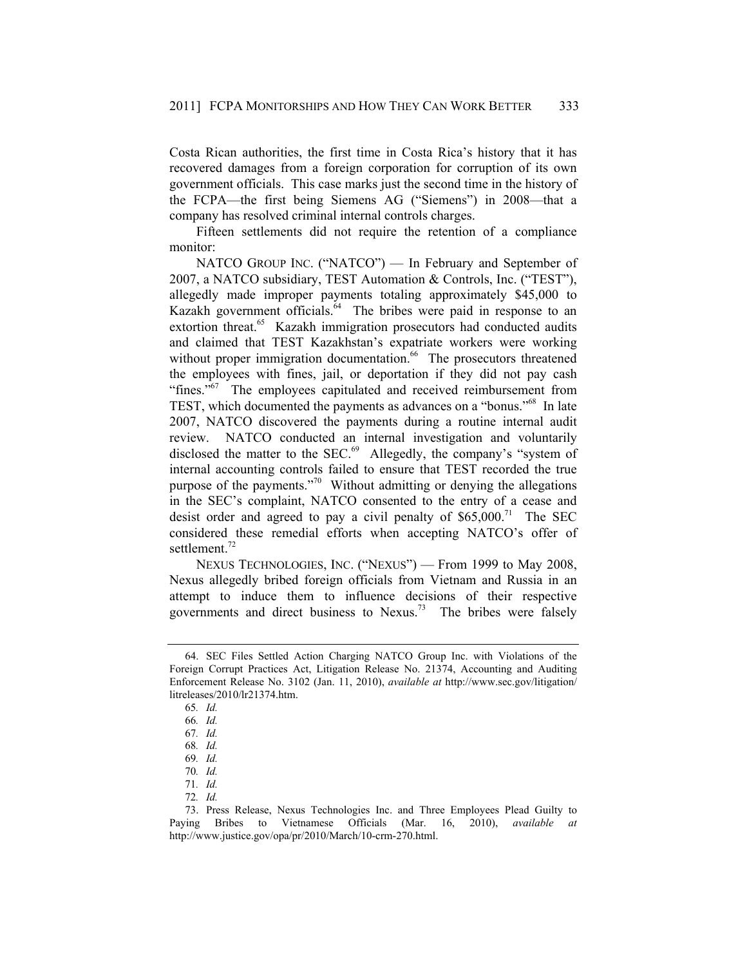Costa Rican authorities, the first time in Costa Rica's history that it has recovered damages from a foreign corporation for corruption of its own government officials. This case marks just the second time in the history of the FCPA—the first being Siemens AG ("Siemens") in 2008—that a company has resolved criminal internal controls charges.

Fifteen settlements did not require the retention of a compliance monitor:

NATCO GROUP INC. ("NATCO") — In February and September of 2007, a NATCO subsidiary, TEST Automation & Controls, Inc. ("TEST"), allegedly made improper payments totaling approximately \$45,000 to Kazakh government officials.<sup>64</sup> The bribes were paid in response to an extortion threat.<sup>65</sup> Kazakh immigration prosecutors had conducted audits and claimed that TEST Kazakhstan's expatriate workers were working without proper immigration documentation.<sup>66</sup> The prosecutors threatened the employees with fines, jail, or deportation if they did not pay cash "fines."<sup>67</sup> The employees capitulated and received reimbursement from TEST, which documented the payments as advances on a "bonus."68 In late 2007, NATCO discovered the payments during a routine internal audit review. NATCO conducted an internal investigation and voluntarily disclosed the matter to the SEC. $^{69}$  Allegedly, the company's "system of internal accounting controls failed to ensure that TEST recorded the true purpose of the payments."70 Without admitting or denying the allegations in the SEC's complaint, NATCO consented to the entry of a cease and desist order and agreed to pay a civil penalty of  $$65,000.<sup>71</sup>$  The SEC considered these remedial efforts when accepting NATCO's offer of settlement.<sup>72</sup>

NEXUS TECHNOLOGIES, INC. ("NEXUS") — From 1999 to May 2008, Nexus allegedly bribed foreign officials from Vietnam and Russia in an attempt to induce them to influence decisions of their respective governments and direct business to Nexus.73 The bribes were falsely

 <sup>64.</sup> SEC Files Settled Action Charging NATCO Group Inc. with Violations of the Foreign Corrupt Practices Act, Litigation Release No. 21374, Accounting and Auditing Enforcement Release No. 3102 (Jan. 11, 2010), *available at* http://www.sec.gov/litigation/ litreleases/2010/lr21374.htm.

<sup>65</sup>*. Id.*

<sup>66</sup>*. Id.*

<sup>67</sup>*. Id.*

<sup>68</sup>*. Id.*

<sup>69</sup>*. Id.*

<sup>70</sup>*. Id.*

<sup>71</sup>*. Id.*

<sup>72</sup>*. Id.*

 <sup>73.</sup> Press Release, Nexus Technologies Inc. and Three Employees Plead Guilty to Paying Bribes to Vietnamese Officials (Mar. 16, 2010), *available at* http://www.justice.gov/opa/pr/2010/March/10-crm-270.html.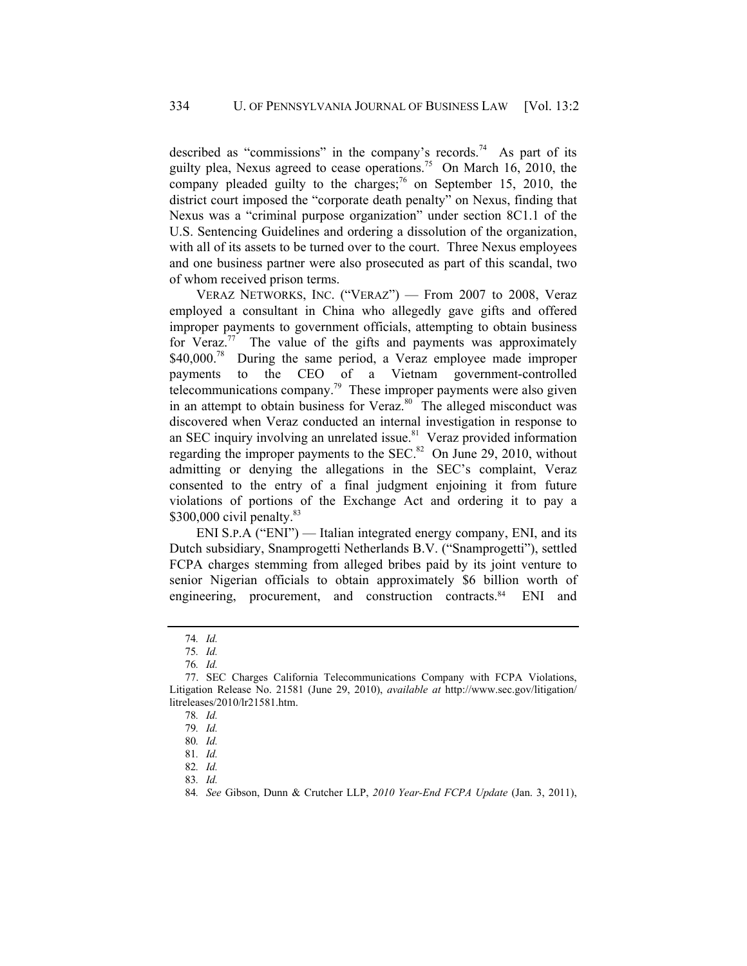described as "commissions" in the company's records.<sup>74</sup> As part of its guilty plea, Nexus agreed to cease operations.<sup>75</sup> On March 16, 2010, the company pleaded guilty to the charges;<sup>76</sup> on September 15, 2010, the district court imposed the "corporate death penalty" on Nexus, finding that Nexus was a "criminal purpose organization" under section 8C1.1 of the U.S. Sentencing Guidelines and ordering a dissolution of the organization, with all of its assets to be turned over to the court. Three Nexus employees and one business partner were also prosecuted as part of this scandal, two of whom received prison terms.

VERAZ NETWORKS, INC. ("VERAZ") — From 2007 to 2008, Veraz employed a consultant in China who allegedly gave gifts and offered improper payments to government officials, attempting to obtain business for Veraz.<sup>77</sup> The value of the gifts and payments was approximately \$40,000.<sup>78</sup> During the same period, a Veraz employee made improper payments to the CEO of a Vietnam government-controlled telecommunications company.<sup>79</sup> These improper payments were also given in an attempt to obtain business for Veraz.<sup>80</sup> The alleged misconduct was discovered when Veraz conducted an internal investigation in response to an SEC inquiry involving an unrelated issue. $81$  Veraz provided information regarding the improper payments to the SEC. $82$  On June 29, 2010, without admitting or denying the allegations in the SEC's complaint, Veraz consented to the entry of a final judgment enjoining it from future violations of portions of the Exchange Act and ordering it to pay a \$300,000 civil penalty. $83$ 

ENI S.P.A ("ENI") — Italian integrated energy company, ENI, and its Dutch subsidiary, Snamprogetti Netherlands B.V. ("Snamprogetti"), settled FCPA charges stemming from alleged bribes paid by its joint venture to senior Nigerian officials to obtain approximately \$6 billion worth of engineering, procurement, and construction contracts.<sup>84</sup> ENI and

83*. Id.*

<sup>74</sup>*. Id.*

<sup>75</sup>*. Id.*

<sup>76</sup>*. Id.*

 <sup>77.</sup> SEC Charges California Telecommunications Company with FCPA Violations, Litigation Release No. 21581 (June 29, 2010), *available at* http://www.sec.gov/litigation/ litreleases/2010/lr21581.htm.

<sup>78</sup>*. Id.*

<sup>79</sup>*. Id.*

<sup>80</sup>*. Id.*

<sup>81</sup>*. Id.*

<sup>82</sup>*. Id.*

 <sup>84</sup>*. See* Gibson, Dunn & Crutcher LLP, *2010 Year-End FCPA Update* (Jan. 3, 2011),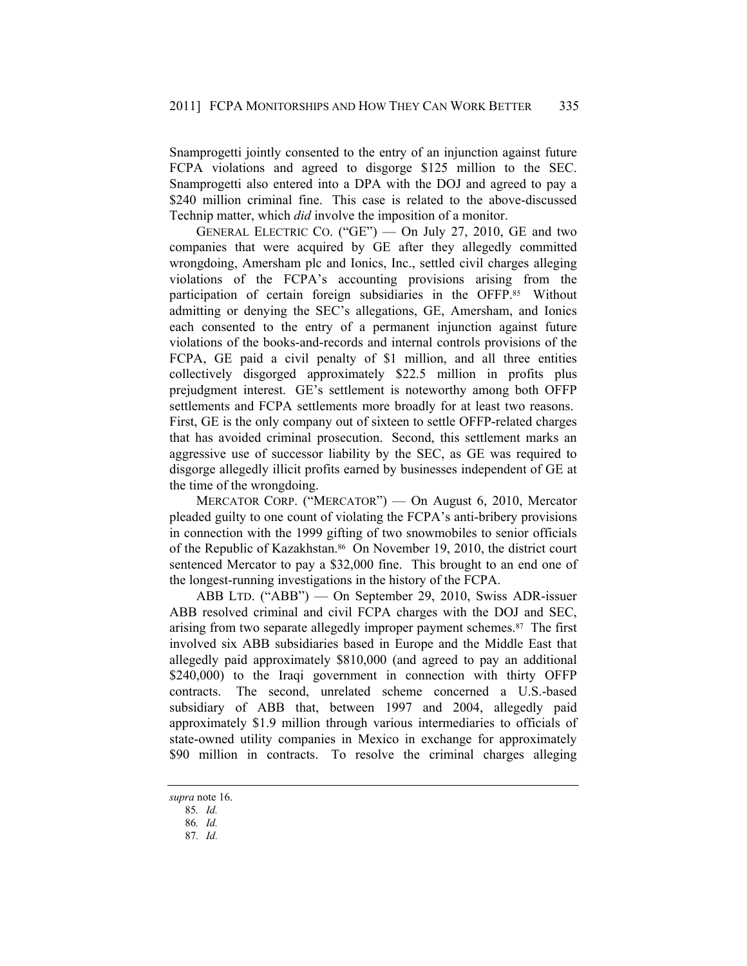Snamprogetti jointly consented to the entry of an injunction against future FCPA violations and agreed to disgorge \$125 million to the SEC. Snamprogetti also entered into a DPA with the DOJ and agreed to pay a \$240 million criminal fine. This case is related to the above-discussed Technip matter, which *did* involve the imposition of a monitor.

GENERAL ELECTRIC CO. ("GE") — On July 27, 2010, GE and two companies that were acquired by GE after they allegedly committed wrongdoing, Amersham plc and Ionics, Inc., settled civil charges alleging violations of the FCPA's accounting provisions arising from the participation of certain foreign subsidiaries in the OFFP.85 Without admitting or denying the SEC's allegations, GE, Amersham, and Ionics each consented to the entry of a permanent injunction against future violations of the books-and-records and internal controls provisions of the FCPA, GE paid a civil penalty of \$1 million, and all three entities collectively disgorged approximately \$22.5 million in profits plus prejudgment interest. GE's settlement is noteworthy among both OFFP settlements and FCPA settlements more broadly for at least two reasons. First, GE is the only company out of sixteen to settle OFFP-related charges that has avoided criminal prosecution. Second, this settlement marks an aggressive use of successor liability by the SEC, as GE was required to disgorge allegedly illicit profits earned by businesses independent of GE at the time of the wrongdoing.

MERCATOR CORP. ("MERCATOR") — On August 6, 2010, Mercator pleaded guilty to one count of violating the FCPA's anti-bribery provisions in connection with the 1999 gifting of two snowmobiles to senior officials of the Republic of Kazakhstan.<sup>86</sup> On November 19, 2010, the district court sentenced Mercator to pay a \$32,000 fine. This brought to an end one of the longest-running investigations in the history of the FCPA.

ABB LTD. ("ABB") — On September 29, 2010, Swiss ADR-issuer ABB resolved criminal and civil FCPA charges with the DOJ and SEC, arising from two separate allegedly improper payment schemes.<sup>87</sup> The first involved six ABB subsidiaries based in Europe and the Middle East that allegedly paid approximately \$810,000 (and agreed to pay an additional \$240,000) to the Iraqi government in connection with thirty OFFP contracts. The second, unrelated scheme concerned a U.S.-based subsidiary of ABB that, between 1997 and 2004, allegedly paid approximately \$1.9 million through various intermediaries to officials of state-owned utility companies in Mexico in exchange for approximately \$90 million in contracts. To resolve the criminal charges alleging

*supra* note 16.

 <sup>85</sup>*. Id.*

 <sup>86</sup>*. Id.*

 <sup>87</sup>*. Id.*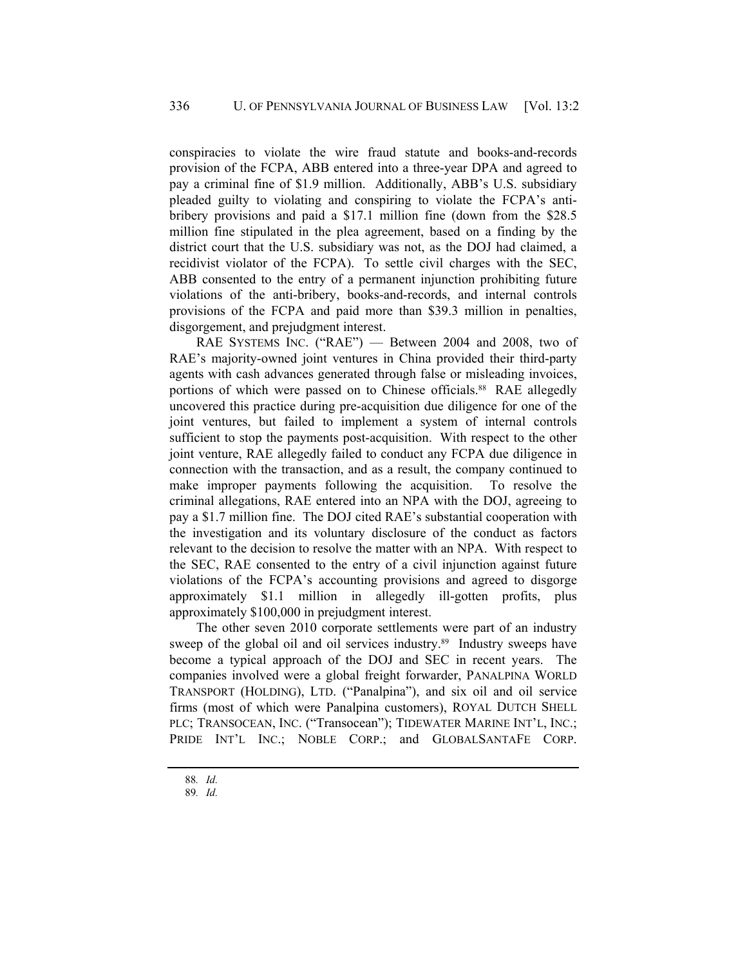conspiracies to violate the wire fraud statute and books-and-records provision of the FCPA, ABB entered into a three-year DPA and agreed to pay a criminal fine of \$1.9 million. Additionally, ABB's U.S. subsidiary pleaded guilty to violating and conspiring to violate the FCPA's antibribery provisions and paid a \$17.1 million fine (down from the \$28.5 million fine stipulated in the plea agreement, based on a finding by the district court that the U.S. subsidiary was not, as the DOJ had claimed, a recidivist violator of the FCPA). To settle civil charges with the SEC, ABB consented to the entry of a permanent injunction prohibiting future violations of the anti-bribery, books-and-records, and internal controls provisions of the FCPA and paid more than \$39.3 million in penalties, disgorgement, and prejudgment interest.

RAE SYSTEMS INC. ("RAE") - Between 2004 and 2008, two of RAE's majority-owned joint ventures in China provided their third-party agents with cash advances generated through false or misleading invoices, portions of which were passed on to Chinese officials.<sup>88</sup> RAE allegedly uncovered this practice during pre-acquisition due diligence for one of the joint ventures, but failed to implement a system of internal controls sufficient to stop the payments post-acquisition. With respect to the other joint venture, RAE allegedly failed to conduct any FCPA due diligence in connection with the transaction, and as a result, the company continued to make improper payments following the acquisition. To resolve the criminal allegations, RAE entered into an NPA with the DOJ, agreeing to pay a \$1.7 million fine. The DOJ cited RAE's substantial cooperation with the investigation and its voluntary disclosure of the conduct as factors relevant to the decision to resolve the matter with an NPA. With respect to the SEC, RAE consented to the entry of a civil injunction against future violations of the FCPA's accounting provisions and agreed to disgorge approximately \$1.1 million in allegedly ill-gotten profits, plus approximately \$100,000 in prejudgment interest.

The other seven 2010 corporate settlements were part of an industry sweep of the global oil and oil services industry.<sup>89</sup> Industry sweeps have become a typical approach of the DOJ and SEC in recent years. The companies involved were a global freight forwarder, PANALPINA WORLD TRANSPORT (HOLDING), LTD. ("Panalpina"), and six oil and oil service firms (most of which were Panalpina customers), ROYAL DUTCH SHELL PLC; TRANSOCEAN, INC. ("Transocean"); TIDEWATER MARINE INT'L, INC.; PRIDE INT'L INC.; NOBLE CORP.; and GLOBALSANTAFE CORP.

 <sup>88</sup>*. Id.* 

 <sup>89</sup>*. Id.*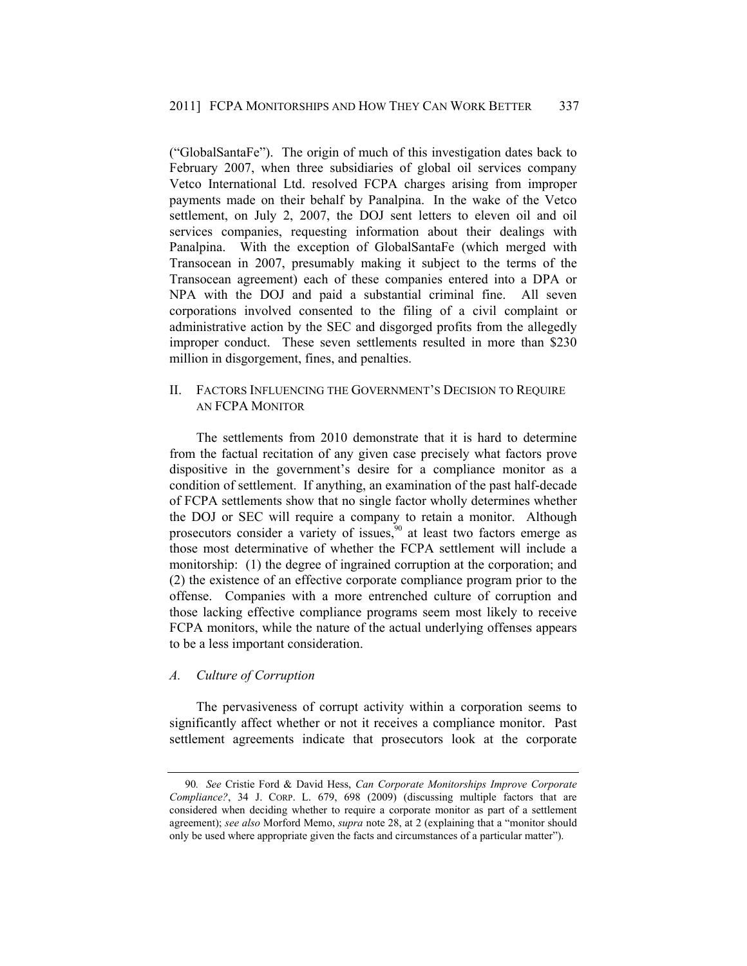("GlobalSantaFe"). The origin of much of this investigation dates back to February 2007, when three subsidiaries of global oil services company Vetco International Ltd. resolved FCPA charges arising from improper payments made on their behalf by Panalpina. In the wake of the Vetco settlement, on July 2, 2007, the DOJ sent letters to eleven oil and oil services companies, requesting information about their dealings with Panalpina. With the exception of GlobalSantaFe (which merged with Transocean in 2007, presumably making it subject to the terms of the Transocean agreement) each of these companies entered into a DPA or NPA with the DOJ and paid a substantial criminal fine. All seven corporations involved consented to the filing of a civil complaint or administrative action by the SEC and disgorged profits from the allegedly improper conduct. These seven settlements resulted in more than \$230 million in disgorgement, fines, and penalties.

# II. FACTORS INFLUENCING THE GOVERNMENT'S DECISION TO REQUIRE AN FCPA MONITOR

The settlements from 2010 demonstrate that it is hard to determine from the factual recitation of any given case precisely what factors prove dispositive in the government's desire for a compliance monitor as a condition of settlement. If anything, an examination of the past half-decade of FCPA settlements show that no single factor wholly determines whether the DOJ or SEC will require a company to retain a monitor. Although prosecutors consider a variety of issues,  $\frac{5}{90}$  at least two factors emerge as those most determinative of whether the FCPA settlement will include a monitorship: (1) the degree of ingrained corruption at the corporation; and (2) the existence of an effective corporate compliance program prior to the offense. Companies with a more entrenched culture of corruption and those lacking effective compliance programs seem most likely to receive FCPA monitors, while the nature of the actual underlying offenses appears to be a less important consideration.

#### *A. Culture of Corruption*

The pervasiveness of corrupt activity within a corporation seems to significantly affect whether or not it receives a compliance monitor. Past settlement agreements indicate that prosecutors look at the corporate

<sup>90</sup>*. See* Cristie Ford & David Hess, *Can Corporate Monitorships Improve Corporate Compliance?*, 34 J. CORP. L. 679, 698 (2009) (discussing multiple factors that are considered when deciding whether to require a corporate monitor as part of a settlement agreement); *see also* Morford Memo, *supra* note 28, at 2 (explaining that a "monitor should only be used where appropriate given the facts and circumstances of a particular matter").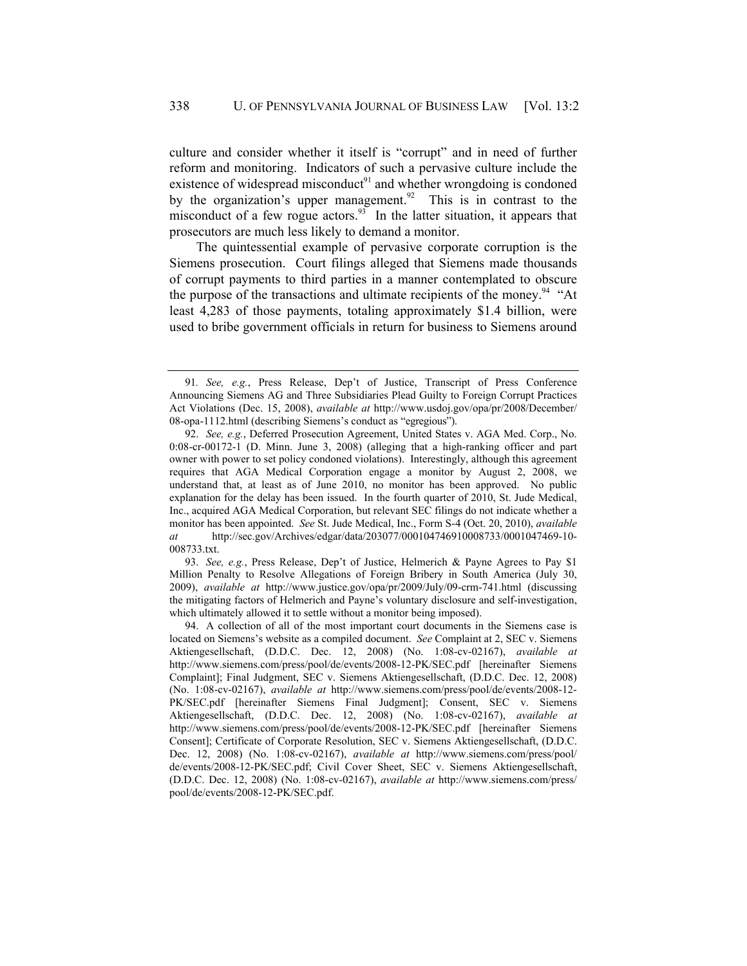culture and consider whether it itself is "corrupt" and in need of further reform and monitoring. Indicators of such a pervasive culture include the existence of widespread misconduct $91$  and whether wrongdoing is condoned by the organization's upper management.<sup>92</sup> This is in contrast to the misconduct of a few rogue actors.<sup>93</sup> In the latter situation, it appears that prosecutors are much less likely to demand a monitor.

The quintessential example of pervasive corporate corruption is the Siemens prosecution. Court filings alleged that Siemens made thousands of corrupt payments to third parties in a manner contemplated to obscure the purpose of the transactions and ultimate recipients of the money.<sup>94</sup> "At least 4,283 of those payments, totaling approximately \$1.4 billion, were used to bribe government officials in return for business to Siemens around

93. *See, e.g.*, Press Release, Dep't of Justice, Helmerich & Payne Agrees to Pay \$1 Million Penalty to Resolve Allegations of Foreign Bribery in South America (July 30, 2009), *available at* http://www.justice.gov/opa/pr/2009/July/09-crm-741.html (discussing the mitigating factors of Helmerich and Payne's voluntary disclosure and self-investigation, which ultimately allowed it to settle without a monitor being imposed).

 94. A collection of all of the most important court documents in the Siemens case is located on Siemens's website as a compiled document. *See* Complaint at 2, SEC v. Siemens Aktiengesellschaft, (D.D.C. Dec. 12, 2008) (No. 1:08-cv-02167), *available at* http://www.siemens.com/press/pool/de/events/2008-12-PK/SEC.pdf [hereinafter Siemens Complaint]; Final Judgment, SEC v. Siemens Aktiengesellschaft, (D.D.C. Dec. 12, 2008) (No. 1:08-cv-02167), *available at* http://www.siemens.com/press/pool/de/events/2008-12- PK/SEC.pdf [hereinafter Siemens Final Judgment]; Consent, SEC v. Siemens Aktiengesellschaft, (D.D.C. Dec. 12, 2008) (No. 1:08-cv-02167), *available at* http://www.siemens.com/press/pool/de/events/2008-12-PK/SEC.pdf [hereinafter Siemens Consent]; Certificate of Corporate Resolution, SEC v. Siemens Aktiengesellschaft, (D.D.C. Dec. 12, 2008) (No. 1:08-cv-02167), *available at* http://www.siemens.com/press/pool/ de/events/2008-12-PK/SEC.pdf; Civil Cover Sheet, SEC v. Siemens Aktiengesellschaft, (D.D.C. Dec. 12, 2008) (No. 1:08-cv-02167), *available at* http://www.siemens.com/press/ pool/de/events/2008-12-PK/SEC.pdf.

<sup>91</sup>*. See, e.g.*, Press Release, Dep't of Justice, Transcript of Press Conference Announcing Siemens AG and Three Subsidiaries Plead Guilty to Foreign Corrupt Practices Act Violations (Dec. 15, 2008), *available at* http://www.usdoj.gov/opa/pr/2008/December/ 08-opa-1112.html (describing Siemens's conduct as "egregious").

<sup>92.</sup> *See, e.g.*, Deferred Prosecution Agreement, United States v. AGA Med. Corp., No. 0:08-cr-00172-1 (D. Minn. June 3, 2008) (alleging that a high-ranking officer and part owner with power to set policy condoned violations). Interestingly, although this agreement requires that AGA Medical Corporation engage a monitor by August 2, 2008, we understand that, at least as of June 2010, no monitor has been approved. No public explanation for the delay has been issued. In the fourth quarter of 2010, St. Jude Medical, Inc., acquired AGA Medical Corporation, but relevant SEC filings do not indicate whether a monitor has been appointed. *See* St. Jude Medical, Inc., Form S-4 (Oct. 20, 2010), *available at* http://sec.gov/Archives/edgar/data/203077/000104746910008733/0001047469-10- 008733.txt.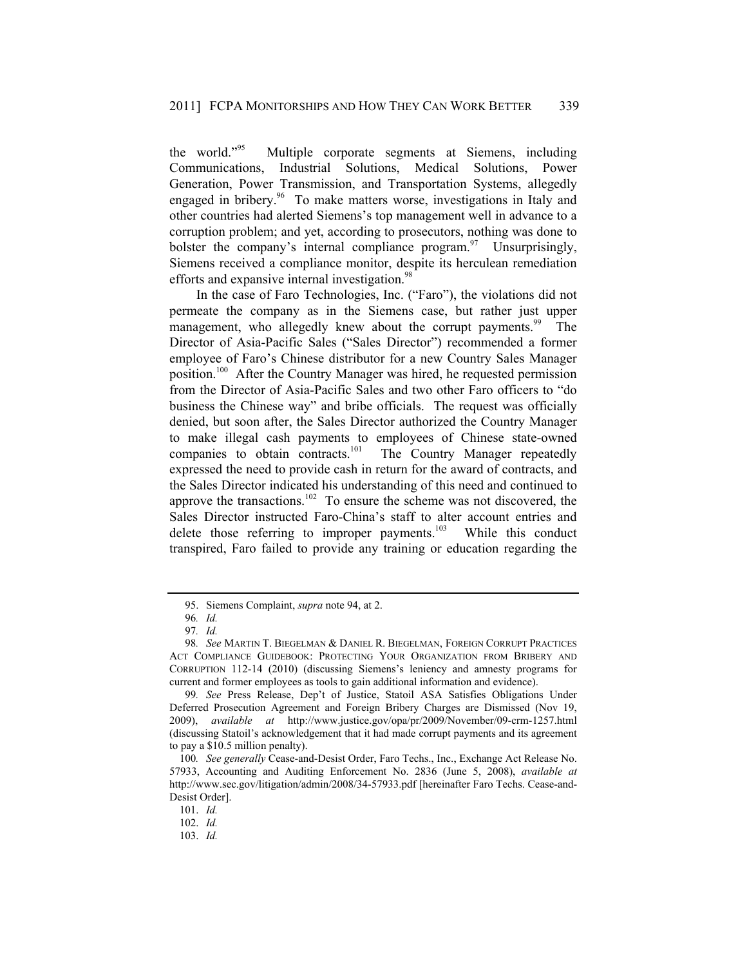the world."95 Multiple corporate segments at Siemens, including Communications, Industrial Solutions, Medical Solutions, Power Generation, Power Transmission, and Transportation Systems, allegedly engaged in bribery.<sup>96</sup> To make matters worse, investigations in Italy and other countries had alerted Siemens's top management well in advance to a corruption problem; and yet, according to prosecutors, nothing was done to bolster the company's internal compliance program. $\frac{97}{10}$  Unsurprisingly, Siemens received a compliance monitor, despite its herculean remediation efforts and expansive internal investigation.<sup>98</sup>

In the case of Faro Technologies, Inc. ("Faro"), the violations did not permeate the company as in the Siemens case, but rather just upper management, who allegedly knew about the corrupt payments.<sup>99</sup> The Director of Asia-Pacific Sales ("Sales Director") recommended a former employee of Faro's Chinese distributor for a new Country Sales Manager position.100 After the Country Manager was hired, he requested permission from the Director of Asia-Pacific Sales and two other Faro officers to "do business the Chinese way" and bribe officials. The request was officially denied, but soon after, the Sales Director authorized the Country Manager to make illegal cash payments to employees of Chinese state-owned companies to obtain contracts.<sup>101</sup> The Country Manager repeatedly expressed the need to provide cash in return for the award of contracts, and the Sales Director indicated his understanding of this need and continued to approve the transactions.102 To ensure the scheme was not discovered, the Sales Director instructed Faro-China's staff to alter account entries and delete those referring to improper payments.<sup>103</sup> While this conduct transpired, Faro failed to provide any training or education regarding the

 <sup>95.</sup> Siemens Complaint, *supra* note 94, at 2.

<sup>96</sup>*. Id.*

<sup>97</sup>*. Id.*

<sup>98</sup>*. See* MARTIN T. BIEGELMAN & DANIEL R. BIEGELMAN, FOREIGN CORRUPT PRACTICES ACT COMPLIANCE GUIDEBOOK: PROTECTING YOUR ORGANIZATION FROM BRIBERY AND CORRUPTION 112-14 (2010) (discussing Siemens's leniency and amnesty programs for current and former employees as tools to gain additional information and evidence).

<sup>99</sup>*. See* Press Release, Dep't of Justice, Statoil ASA Satisfies Obligations Under Deferred Prosecution Agreement and Foreign Bribery Charges are Dismissed (Nov 19, 2009), *available at* http://www.justice.gov/opa/pr/2009/November/09-crm-1257.html (discussing Statoil's acknowledgement that it had made corrupt payments and its agreement to pay a \$10.5 million penalty).

<sup>100</sup>*. See generally* Cease-and-Desist Order, Faro Techs., Inc., Exchange Act Release No. 57933, Accounting and Auditing Enforcement No. 2836 (June 5, 2008), *available at* http://www.sec.gov/litigation/admin/2008/34-57933.pdf [hereinafter Faro Techs. Cease-and-Desist Order].

<sup>101.</sup> *Id.*

<sup>102.</sup> *Id.*

<sup>103.</sup> *Id.*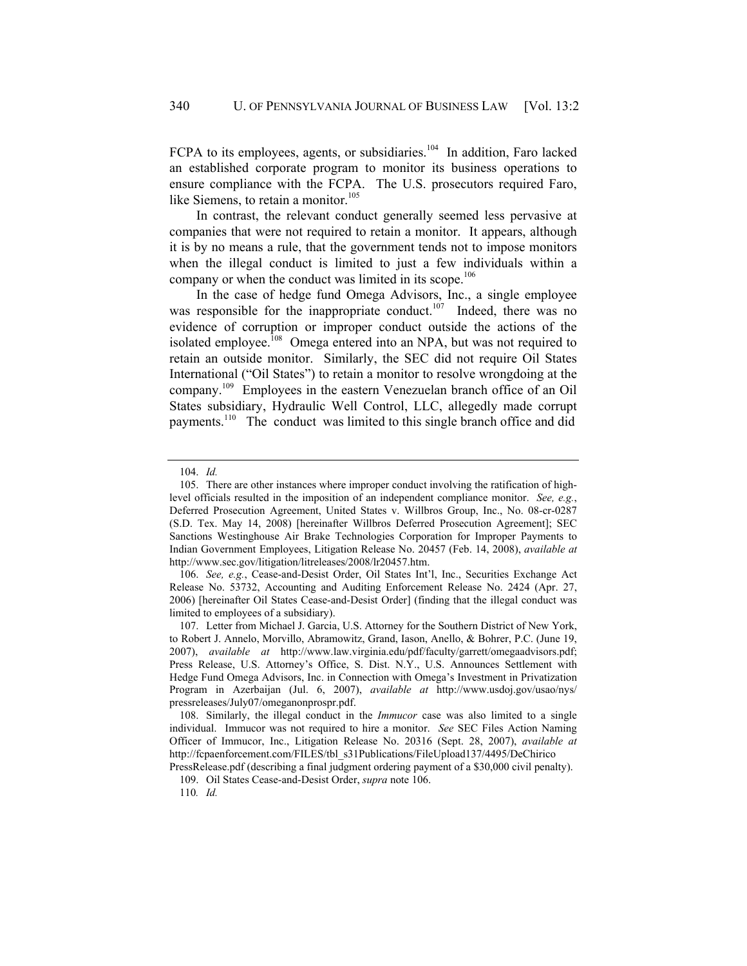FCPA to its employees, agents, or subsidiaries.<sup>104</sup> In addition, Faro lacked an established corporate program to monitor its business operations to ensure compliance with the FCPA. The U.S. prosecutors required Faro, like Siemens, to retain a monitor. $105$ 

In contrast, the relevant conduct generally seemed less pervasive at companies that were not required to retain a monitor. It appears, although it is by no means a rule, that the government tends not to impose monitors when the illegal conduct is limited to just a few individuals within a company or when the conduct was limited in its scope.<sup>106</sup>

In the case of hedge fund Omega Advisors, Inc., a single employee was responsible for the inappropriate conduct.<sup>107</sup> Indeed, there was no evidence of corruption or improper conduct outside the actions of the isolated employee.<sup>108</sup> Omega entered into an NPA, but was not required to retain an outside monitor. Similarly, the SEC did not require Oil States International ("Oil States") to retain a monitor to resolve wrongdoing at the company.109 Employees in the eastern Venezuelan branch office of an Oil States subsidiary, Hydraulic Well Control, LLC, allegedly made corrupt payments.110 The conduct was limited to this single branch office and did

<sup>104.</sup> *Id.*

 <sup>105.</sup> There are other instances where improper conduct involving the ratification of highlevel officials resulted in the imposition of an independent compliance monitor. *See, e.g.*, Deferred Prosecution Agreement, United States v. Willbros Group, Inc., No. 08-cr-0287 (S.D. Tex. May 14, 2008) [hereinafter Willbros Deferred Prosecution Agreement]; SEC Sanctions Westinghouse Air Brake Technologies Corporation for Improper Payments to Indian Government Employees, Litigation Release No. 20457 (Feb. 14, 2008), *available at* http://www.sec.gov/litigation/litreleases/2008/lr20457.htm.

<sup>106.</sup> *See, e.g.*, Cease-and-Desist Order, Oil States Int'l, Inc., Securities Exchange Act Release No. 53732, Accounting and Auditing Enforcement Release No. 2424 (Apr. 27, 2006) [hereinafter Oil States Cease-and-Desist Order] (finding that the illegal conduct was limited to employees of a subsidiary).

 <sup>107.</sup> Letter from Michael J. Garcia, U.S. Attorney for the Southern District of New York, to Robert J. Annelo, Morvillo, Abramowitz, Grand, Iason, Anello, & Bohrer, P.C. (June 19, 2007), *available at* http://www.law.virginia.edu/pdf/faculty/garrett/omegaadvisors.pdf; Press Release, U.S. Attorney's Office, S. Dist. N.Y., U.S. Announces Settlement with Hedge Fund Omega Advisors, Inc. in Connection with Omega's Investment in Privatization Program in Azerbaijan (Jul. 6, 2007), *available at* http://www.usdoj.gov/usao/nys/ pressreleases/July07/omeganonprospr.pdf.

 <sup>108.</sup> Similarly, the illegal conduct in the *Immucor* case was also limited to a single individual. Immucor was not required to hire a monitor. *See* SEC Files Action Naming Officer of Immucor, Inc., Litigation Release No. 20316 (Sept. 28, 2007), *available at* http://fcpaenforcement.com/FILES/tbl\_s31Publications/FileUpload137/4495/DeChirico

PressRelease.pdf (describing a final judgment ordering payment of a \$30,000 civil penalty).

 <sup>109.</sup> Oil States Cease-and-Desist Order, *supra* note 106.

<sup>110</sup>*. Id.*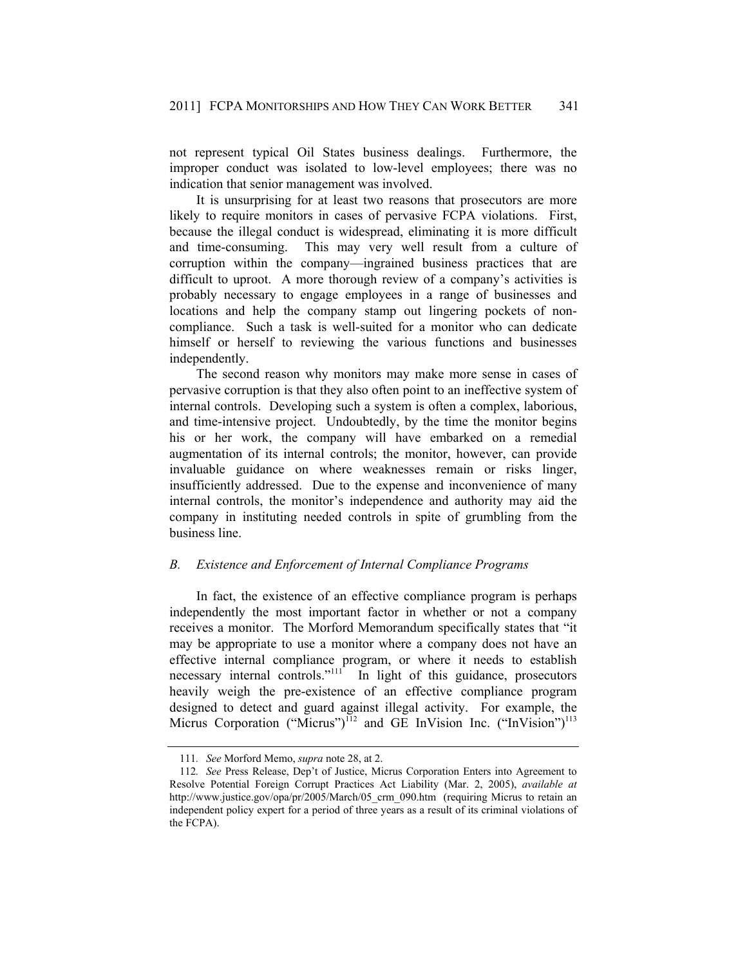not represent typical Oil States business dealings. Furthermore, the improper conduct was isolated to low-level employees; there was no indication that senior management was involved.

It is unsurprising for at least two reasons that prosecutors are more likely to require monitors in cases of pervasive FCPA violations. First, because the illegal conduct is widespread, eliminating it is more difficult and time-consuming. This may very well result from a culture of corruption within the company—ingrained business practices that are difficult to uproot. A more thorough review of a company's activities is probably necessary to engage employees in a range of businesses and locations and help the company stamp out lingering pockets of noncompliance. Such a task is well-suited for a monitor who can dedicate himself or herself to reviewing the various functions and businesses independently.

The second reason why monitors may make more sense in cases of pervasive corruption is that they also often point to an ineffective system of internal controls. Developing such a system is often a complex, laborious, and time-intensive project. Undoubtedly, by the time the monitor begins his or her work, the company will have embarked on a remedial augmentation of its internal controls; the monitor, however, can provide invaluable guidance on where weaknesses remain or risks linger, insufficiently addressed. Due to the expense and inconvenience of many internal controls, the monitor's independence and authority may aid the company in instituting needed controls in spite of grumbling from the business line.

# *B. Existence and Enforcement of Internal Compliance Programs*

In fact, the existence of an effective compliance program is perhaps independently the most important factor in whether or not a company receives a monitor. The Morford Memorandum specifically states that "it may be appropriate to use a monitor where a company does not have an effective internal compliance program, or where it needs to establish necessary internal controls."<sup>111</sup> In light of this guidance, prosecutors heavily weigh the pre-existence of an effective compliance program designed to detect and guard against illegal activity. For example, the Micrus Corporation ("Micrus")<sup>112</sup> and GE InVision Inc. ("InVision")<sup>113</sup>

<sup>111</sup>*. See* Morford Memo, *supra* note 28, at 2.

<sup>112</sup>*. See* Press Release, Dep't of Justice, Micrus Corporation Enters into Agreement to Resolve Potential Foreign Corrupt Practices Act Liability (Mar. 2, 2005), *available at* http://www.justice.gov/opa/pr/2005/March/05 crm 090.htm (requiring Micrus to retain an independent policy expert for a period of three years as a result of its criminal violations of the FCPA).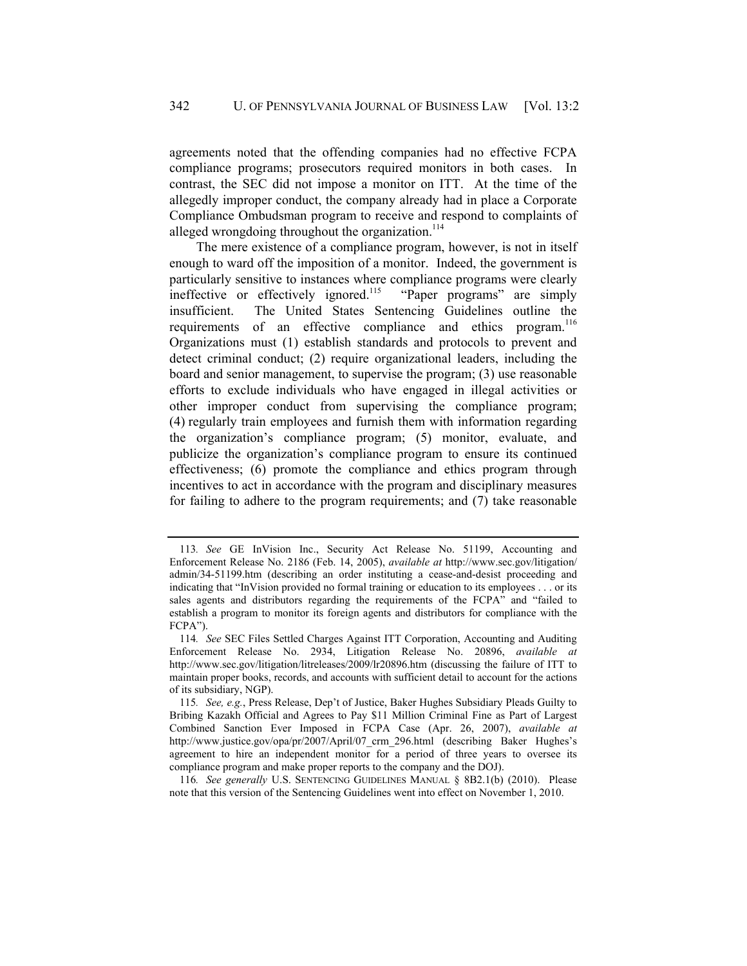agreements noted that the offending companies had no effective FCPA compliance programs; prosecutors required monitors in both cases. In contrast, the SEC did not impose a monitor on ITT. At the time of the allegedly improper conduct, the company already had in place a Corporate Compliance Ombudsman program to receive and respond to complaints of alleged wrongdoing throughout the organization.<sup>114</sup>

The mere existence of a compliance program, however, is not in itself enough to ward off the imposition of a monitor. Indeed, the government is particularly sensitive to instances where compliance programs were clearly ineffective or effectively ignored.<sup>115</sup> "Paper programs" are simply insufficient. The United States Sentencing Guidelines outline the requirements of an effective compliance and ethics program.<sup>116</sup> Organizations must (1) establish standards and protocols to prevent and detect criminal conduct; (2) require organizational leaders, including the board and senior management, to supervise the program; (3) use reasonable efforts to exclude individuals who have engaged in illegal activities or other improper conduct from supervising the compliance program; (4) regularly train employees and furnish them with information regarding the organization's compliance program; (5) monitor, evaluate, and publicize the organization's compliance program to ensure its continued effectiveness; (6) promote the compliance and ethics program through incentives to act in accordance with the program and disciplinary measures for failing to adhere to the program requirements; and (7) take reasonable

116*. See generally* U.S. SENTENCING GUIDELINES MANUAL § 8B2.1(b) (2010). Please note that this version of the Sentencing Guidelines went into effect on November 1, 2010.

<sup>113</sup>*. See* GE InVision Inc., Security Act Release No. 51199, Accounting and Enforcement Release No. 2186 (Feb. 14, 2005), *available at* http://www.sec.gov/litigation/ admin/34-51199.htm (describing an order instituting a cease-and-desist proceeding and indicating that "InVision provided no formal training or education to its employees . . . or its sales agents and distributors regarding the requirements of the FCPA" and "failed to establish a program to monitor its foreign agents and distributors for compliance with the FCPA").

<sup>114</sup>*. See* SEC Files Settled Charges Against ITT Corporation, Accounting and Auditing Enforcement Release No. 2934, Litigation Release No. 20896, *available at* http://www.sec.gov/litigation/litreleases/2009/lr20896.htm (discussing the failure of ITT to maintain proper books, records, and accounts with sufficient detail to account for the actions of its subsidiary, NGP).

<sup>115</sup>*. See, e.g.*, Press Release, Dep't of Justice, Baker Hughes Subsidiary Pleads Guilty to Bribing Kazakh Official and Agrees to Pay \$11 Million Criminal Fine as Part of Largest Combined Sanction Ever Imposed in FCPA Case (Apr. 26, 2007), *available at* http://www.justice.gov/opa/pr/2007/April/07\_crm\_296.html (describing Baker Hughes's agreement to hire an independent monitor for a period of three years to oversee its compliance program and make proper reports to the company and the DOJ).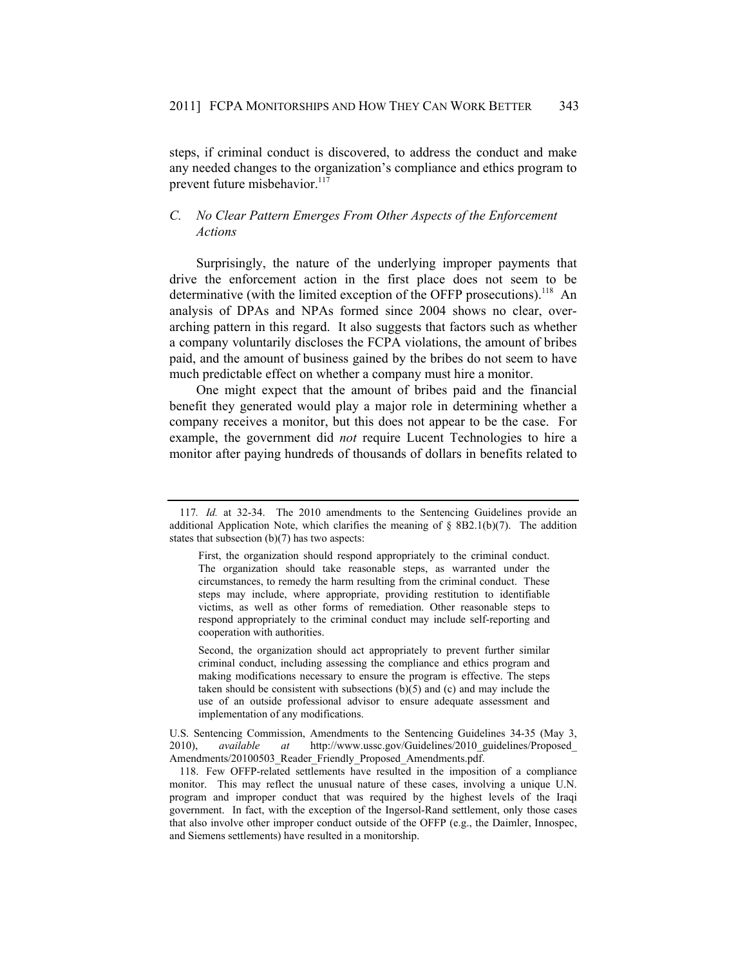steps, if criminal conduct is discovered, to address the conduct and make any needed changes to the organization's compliance and ethics program to prevent future misbehavior.<sup>117</sup>

# *C. No Clear Pattern Emerges From Other Aspects of the Enforcement Actions*

Surprisingly, the nature of the underlying improper payments that drive the enforcement action in the first place does not seem to be determinative (with the limited exception of the OFFP prosecutions).<sup>118</sup> An analysis of DPAs and NPAs formed since 2004 shows no clear, overarching pattern in this regard. It also suggests that factors such as whether a company voluntarily discloses the FCPA violations, the amount of bribes paid, and the amount of business gained by the bribes do not seem to have much predictable effect on whether a company must hire a monitor.

One might expect that the amount of bribes paid and the financial benefit they generated would play a major role in determining whether a company receives a monitor, but this does not appear to be the case. For example, the government did *not* require Lucent Technologies to hire a monitor after paying hundreds of thousands of dollars in benefits related to

 Second, the organization should act appropriately to prevent further similar criminal conduct, including assessing the compliance and ethics program and making modifications necessary to ensure the program is effective. The steps taken should be consistent with subsections (b)(5) and (c) and may include the use of an outside professional advisor to ensure adequate assessment and implementation of any modifications.

<sup>117</sup>*. Id.* at 32-34. The 2010 amendments to the Sentencing Guidelines provide an additional Application Note, which clarifies the meaning of  $\S$  8B2.1(b)(7). The addition states that subsection (b)(7) has two aspects:

First, the organization should respond appropriately to the criminal conduct. The organization should take reasonable steps, as warranted under the circumstances, to remedy the harm resulting from the criminal conduct. These steps may include, where appropriate, providing restitution to identifiable victims, as well as other forms of remediation. Other reasonable steps to respond appropriately to the criminal conduct may include self-reporting and cooperation with authorities.

U.S. Sentencing Commission, Amendments to the Sentencing Guidelines 34-35 (May 3, 2010), *available at* http://www.ussc.gov/Guidelines/2010\_guidelines/Proposed\_ Amendments/20100503\_Reader\_Friendly\_Proposed\_Amendments.pdf.

 <sup>118.</sup> Few OFFP-related settlements have resulted in the imposition of a compliance monitor. This may reflect the unusual nature of these cases, involving a unique U.N. program and improper conduct that was required by the highest levels of the Iraqi government. In fact, with the exception of the Ingersol-Rand settlement, only those cases that also involve other improper conduct outside of the OFFP (e.g., the Daimler, Innospec, and Siemens settlements) have resulted in a monitorship.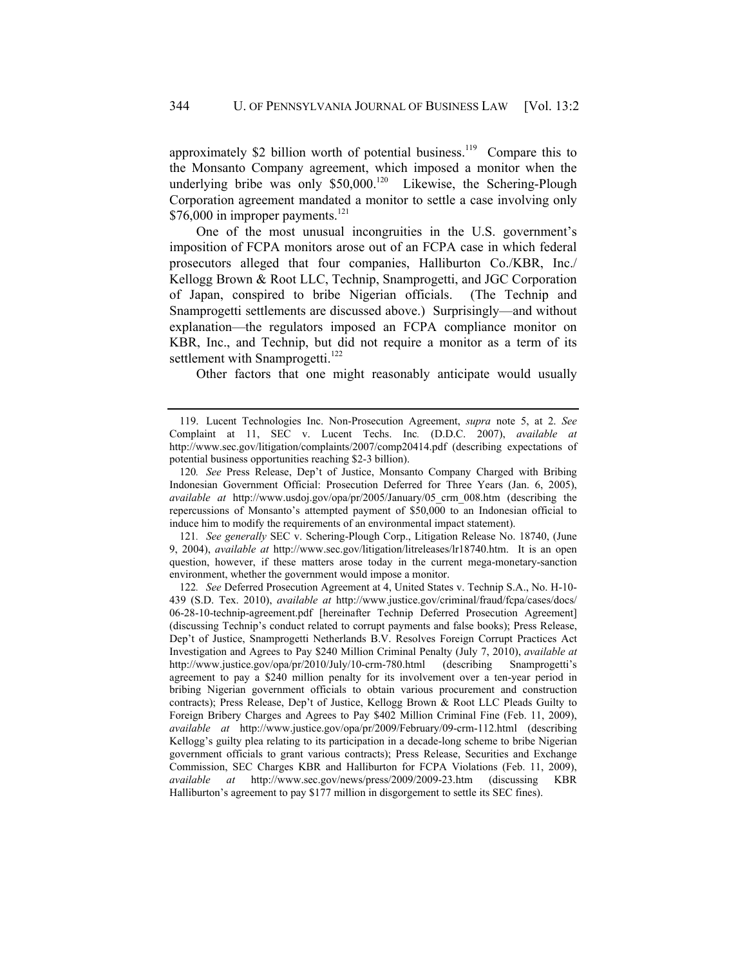approximately \$2 billion worth of potential business.<sup>119</sup> Compare this to the Monsanto Company agreement, which imposed a monitor when the underlying bribe was only  $$50,000$ .<sup>120</sup> Likewise, the Schering-Plough Corporation agreement mandated a monitor to settle a case involving only  $$76,000$  in improper payments.<sup>121</sup>

One of the most unusual incongruities in the U.S. government's imposition of FCPA monitors arose out of an FCPA case in which federal prosecutors alleged that four companies, Halliburton Co./KBR, Inc./ Kellogg Brown & Root LLC, Technip, Snamprogetti, and JGC Corporation of Japan, conspired to bribe Nigerian officials. (The Technip and Snamprogetti settlements are discussed above.) Surprisingly—and without explanation—the regulators imposed an FCPA compliance monitor on KBR, Inc., and Technip, but did not require a monitor as a term of its settlement with Snamprogetti.<sup>122</sup>

Other factors that one might reasonably anticipate would usually

121*. See generally* SEC v. Schering-Plough Corp., Litigation Release No. 18740, (June 9, 2004), *available at* http://www.sec.gov/litigation/litreleases/lr18740.htm. It is an open question, however, if these matters arose today in the current mega-monetary-sanction environment, whether the government would impose a monitor.

122*. See* Deferred Prosecution Agreement at 4, United States v. Technip S.A., No. H-10- 439 (S.D. Tex. 2010), *available at* http://www.justice.gov/criminal/fraud/fcpa/cases/docs/ 06-28-10-technip-agreement.pdf [hereinafter Technip Deferred Prosecution Agreement] (discussing Technip's conduct related to corrupt payments and false books); Press Release, Dep't of Justice, Snamprogetti Netherlands B.V. Resolves Foreign Corrupt Practices Act Investigation and Agrees to Pay \$240 Million Criminal Penalty (July 7, 2010), *available at* http://www.justice.gov/opa/pr/2010/July/10-crm-780.html (describing Snamprogetti's agreement to pay a \$240 million penalty for its involvement over a ten-year period in bribing Nigerian government officials to obtain various procurement and construction contracts); Press Release, Dep't of Justice, Kellogg Brown & Root LLC Pleads Guilty to Foreign Bribery Charges and Agrees to Pay \$402 Million Criminal Fine (Feb. 11, 2009), *available at* http://www.justice.gov/opa/pr/2009/February/09-crm-112.html (describing Kellogg's guilty plea relating to its participation in a decade-long scheme to bribe Nigerian government officials to grant various contracts); Press Release, Securities and Exchange Commission, SEC Charges KBR and Halliburton for FCPA Violations (Feb. 11, 2009), *available at* http://www.sec.gov/news/press/2009/2009-23.htm (discussing KBR Halliburton's agreement to pay \$177 million in disgorgement to settle its SEC fines).

 <sup>119.</sup> Lucent Technologies Inc. Non-Prosecution Agreement, *supra* note 5, at 2. *See* Complaint at 11, SEC v. Lucent Techs. Inc*.* (D.D.C. 2007), *available at* http://www.sec.gov/litigation/complaints/2007/comp20414.pdf (describing expectations of potential business opportunities reaching \$2-3 billion).

<sup>120</sup>*. See* Press Release, Dep't of Justice, Monsanto Company Charged with Bribing Indonesian Government Official: Prosecution Deferred for Three Years (Jan. 6, 2005), *available at* http://www.usdoj.gov/opa/pr/2005/January/05\_crm\_008.htm (describing the repercussions of Monsanto's attempted payment of \$50,000 to an Indonesian official to induce him to modify the requirements of an environmental impact statement).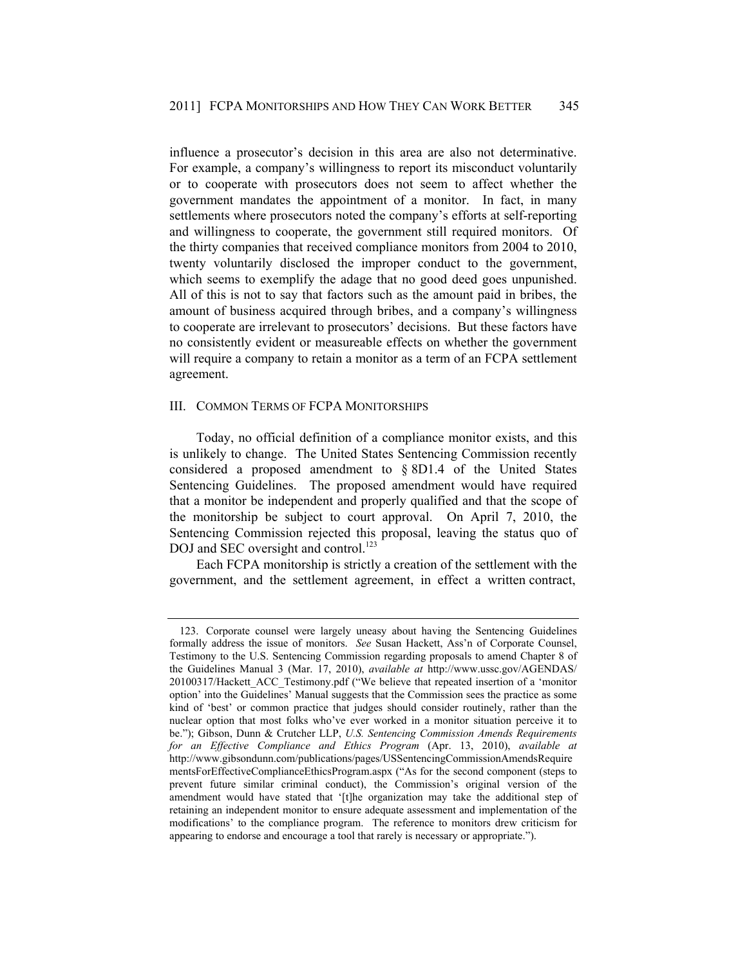influence a prosecutor's decision in this area are also not determinative. For example, a company's willingness to report its misconduct voluntarily or to cooperate with prosecutors does not seem to affect whether the government mandates the appointment of a monitor. In fact, in many settlements where prosecutors noted the company's efforts at self-reporting and willingness to cooperate, the government still required monitors. Of the thirty companies that received compliance monitors from 2004 to 2010, twenty voluntarily disclosed the improper conduct to the government, which seems to exemplify the adage that no good deed goes unpunished. All of this is not to say that factors such as the amount paid in bribes, the amount of business acquired through bribes, and a company's willingness to cooperate are irrelevant to prosecutors' decisions. But these factors have no consistently evident or measureable effects on whether the government will require a company to retain a monitor as a term of an FCPA settlement agreement.

# III. COMMON TERMS OF FCPA MONITORSHIPS

Today, no official definition of a compliance monitor exists, and this is unlikely to change. The United States Sentencing Commission recently considered a proposed amendment to § 8D1.4 of the United States Sentencing Guidelines. The proposed amendment would have required that a monitor be independent and properly qualified and that the scope of the monitorship be subject to court approval. On April 7, 2010, the Sentencing Commission rejected this proposal, leaving the status quo of DOJ and SEC oversight and control.<sup>123</sup>

Each FCPA monitorship is strictly a creation of the settlement with the government, and the settlement agreement, in effect a written contract,

 <sup>123.</sup> Corporate counsel were largely uneasy about having the Sentencing Guidelines formally address the issue of monitors. *See* Susan Hackett, Ass'n of Corporate Counsel, Testimony to the U.S. Sentencing Commission regarding proposals to amend Chapter 8 of the Guidelines Manual 3 (Mar. 17, 2010), *available at* http://www.ussc.gov/AGENDAS/ 20100317/Hackett ACC\_Testimony.pdf ("We believe that repeated insertion of a 'monitor option' into the Guidelines' Manual suggests that the Commission sees the practice as some kind of 'best' or common practice that judges should consider routinely, rather than the nuclear option that most folks who've ever worked in a monitor situation perceive it to be."); Gibson, Dunn & Crutcher LLP, *U.S. Sentencing Commission Amends Requirements for an Effective Compliance and Ethics Program* (Apr. 13, 2010), *available at* http://www.gibsondunn.com/publications/pages/USSentencingCommissionAmendsRequire mentsForEffectiveComplianceEthicsProgram.aspx ("As for the second component (steps to prevent future similar criminal conduct), the Commission's original version of the amendment would have stated that '[t]he organization may take the additional step of retaining an independent monitor to ensure adequate assessment and implementation of the modifications' to the compliance program. The reference to monitors drew criticism for appearing to endorse and encourage a tool that rarely is necessary or appropriate.").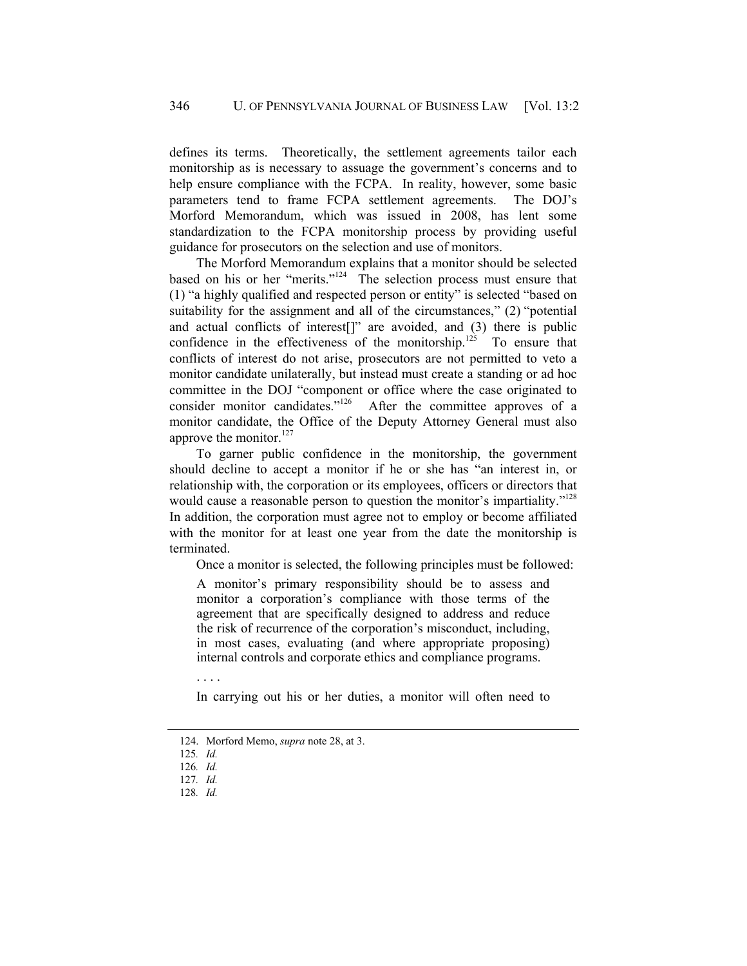defines its terms. Theoretically, the settlement agreements tailor each monitorship as is necessary to assuage the government's concerns and to help ensure compliance with the FCPA. In reality, however, some basic parameters tend to frame FCPA settlement agreements. The DOJ's Morford Memorandum, which was issued in 2008, has lent some standardization to the FCPA monitorship process by providing useful guidance for prosecutors on the selection and use of monitors.

The Morford Memorandum explains that a monitor should be selected based on his or her "merits."124 The selection process must ensure that (1) "a highly qualified and respected person or entity" is selected "based on suitability for the assignment and all of the circumstances," (2) "potential and actual conflicts of interest[]" are avoided, and (3) there is public confidence in the effectiveness of the monitorship.<sup>125</sup> To ensure that conflicts of interest do not arise, prosecutors are not permitted to veto a monitor candidate unilaterally, but instead must create a standing or ad hoc committee in the DOJ "component or office where the case originated to consider monitor candidates."<sup>126</sup> After the committee approves of a After the committee approves of a monitor candidate, the Office of the Deputy Attorney General must also approve the monitor. $127$ 

To garner public confidence in the monitorship, the government should decline to accept a monitor if he or she has "an interest in, or relationship with, the corporation or its employees, officers or directors that would cause a reasonable person to question the monitor's impartiality."<sup>128</sup> In addition, the corporation must agree not to employ or become affiliated with the monitor for at least one year from the date the monitorship is terminated.

Once a monitor is selected, the following principles must be followed:

A monitor's primary responsibility should be to assess and monitor a corporation's compliance with those terms of the agreement that are specifically designed to address and reduce the risk of recurrence of the corporation's misconduct, including, in most cases, evaluating (and where appropriate proposing) internal controls and corporate ethics and compliance programs.

. . . .

In carrying out his or her duties, a monitor will often need to

 <sup>124.</sup> Morford Memo, *supra* note 28, at 3.

<sup>125</sup>*. Id.*

<sup>126</sup>*. Id.*

<sup>127</sup>*. Id.*

<sup>128</sup>*. Id.*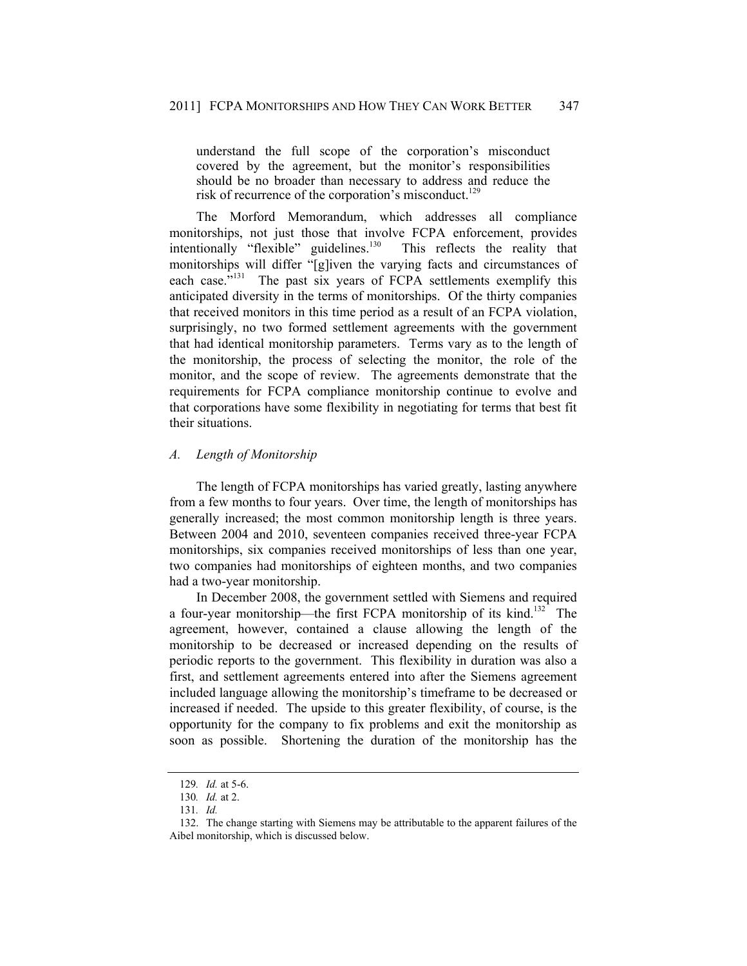understand the full scope of the corporation's misconduct covered by the agreement, but the monitor's responsibilities should be no broader than necessary to address and reduce the risk of recurrence of the corporation's misconduct.<sup>129</sup>

The Morford Memorandum, which addresses all compliance monitorships, not just those that involve FCPA enforcement, provides intentionally "flexible" guidelines.<sup>130</sup> This reflects the reality that monitorships will differ "[g]iven the varying facts and circumstances of each case.<sup>5131</sup> The past six years of FCPA settlements exemplify this anticipated diversity in the terms of monitorships. Of the thirty companies that received monitors in this time period as a result of an FCPA violation, surprisingly, no two formed settlement agreements with the government that had identical monitorship parameters. Terms vary as to the length of the monitorship, the process of selecting the monitor, the role of the monitor, and the scope of review. The agreements demonstrate that the requirements for FCPA compliance monitorship continue to evolve and that corporations have some flexibility in negotiating for terms that best fit their situations.

# *A. Length of Monitorship*

The length of FCPA monitorships has varied greatly, lasting anywhere from a few months to four years. Over time, the length of monitorships has generally increased; the most common monitorship length is three years. Between 2004 and 2010, seventeen companies received three-year FCPA monitorships, six companies received monitorships of less than one year, two companies had monitorships of eighteen months, and two companies had a two-year monitorship.

In December 2008, the government settled with Siemens and required a four-year monitorship—the first FCPA monitorship of its kind.<sup>132</sup> The agreement, however, contained a clause allowing the length of the monitorship to be decreased or increased depending on the results of periodic reports to the government. This flexibility in duration was also a first, and settlement agreements entered into after the Siemens agreement included language allowing the monitorship's timeframe to be decreased or increased if needed. The upside to this greater flexibility, of course, is the opportunity for the company to fix problems and exit the monitorship as soon as possible. Shortening the duration of the monitorship has the

<sup>129</sup>*. Id.* at 5-6.

<sup>130</sup>*. Id.* at 2.

<sup>131</sup>*. Id.*

 <sup>132.</sup> The change starting with Siemens may be attributable to the apparent failures of the Aibel monitorship, which is discussed below.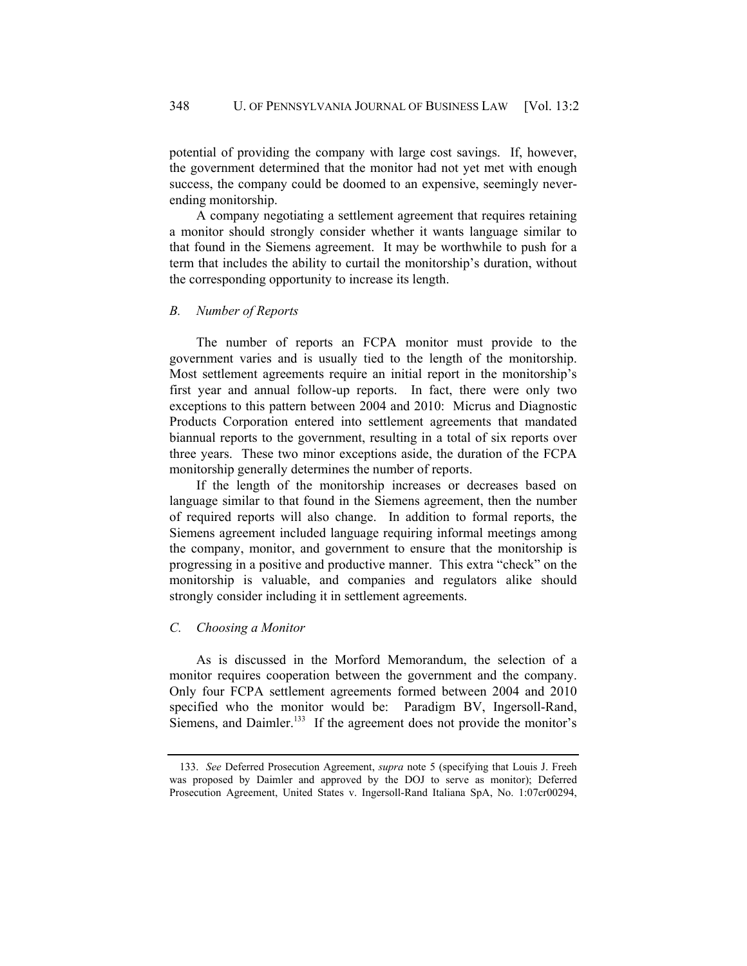potential of providing the company with large cost savings. If, however, the government determined that the monitor had not yet met with enough success, the company could be doomed to an expensive, seemingly neverending monitorship.

A company negotiating a settlement agreement that requires retaining a monitor should strongly consider whether it wants language similar to that found in the Siemens agreement. It may be worthwhile to push for a term that includes the ability to curtail the monitorship's duration, without the corresponding opportunity to increase its length.

#### *B. Number of Reports*

The number of reports an FCPA monitor must provide to the government varies and is usually tied to the length of the monitorship. Most settlement agreements require an initial report in the monitorship's first year and annual follow-up reports. In fact, there were only two exceptions to this pattern between 2004 and 2010: Micrus and Diagnostic Products Corporation entered into settlement agreements that mandated biannual reports to the government, resulting in a total of six reports over three years. These two minor exceptions aside, the duration of the FCPA monitorship generally determines the number of reports.

If the length of the monitorship increases or decreases based on language similar to that found in the Siemens agreement, then the number of required reports will also change. In addition to formal reports, the Siemens agreement included language requiring informal meetings among the company, monitor, and government to ensure that the monitorship is progressing in a positive and productive manner. This extra "check" on the monitorship is valuable, and companies and regulators alike should strongly consider including it in settlement agreements.

#### *C. Choosing a Monitor*

As is discussed in the Morford Memorandum, the selection of a monitor requires cooperation between the government and the company. Only four FCPA settlement agreements formed between 2004 and 2010 specified who the monitor would be: Paradigm BV, Ingersoll-Rand, Siemens, and Daimler.<sup>133</sup> If the agreement does not provide the monitor's

 <sup>133.</sup> *See* Deferred Prosecution Agreement, *supra* note 5 (specifying that Louis J. Freeh was proposed by Daimler and approved by the DOJ to serve as monitor); Deferred Prosecution Agreement, United States v. Ingersoll-Rand Italiana SpA, No. 1:07cr00294,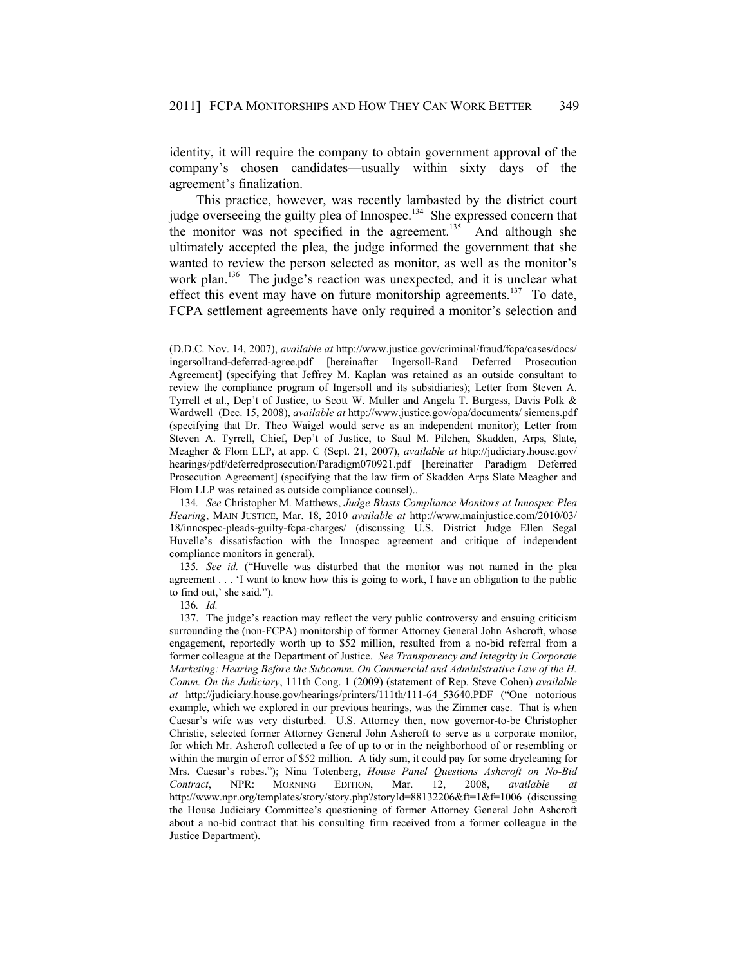identity, it will require the company to obtain government approval of the company's chosen candidates—usually within sixty days of the agreement's finalization.

This practice, however, was recently lambasted by the district court judge overseeing the guilty plea of Innospec.<sup>134</sup> She expressed concern that the monitor was not specified in the agreement.<sup>135</sup> And although she ultimately accepted the plea, the judge informed the government that she wanted to review the person selected as monitor, as well as the monitor's work plan.<sup>136</sup> The judge's reaction was unexpected, and it is unclear what effect this event may have on future monitorship agreements.<sup>137</sup> To date, FCPA settlement agreements have only required a monitor's selection and

134*. See* Christopher M. Matthews, *Judge Blasts Compliance Monitors at Innospec Plea Hearing*, MAIN JUSTICE, Mar. 18, 2010 *available at* http://www.mainjustice.com/2010/03/ 18/innospec-pleads-guilty-fcpa-charges/ (discussing U.S. District Judge Ellen Segal Huvelle's dissatisfaction with the Innospec agreement and critique of independent compliance monitors in general).

135*. See id.* ("Huvelle was disturbed that the monitor was not named in the plea agreement . . . 'I want to know how this is going to work, I have an obligation to the public to find out,' she said.").

136*. Id.*

<sup>(</sup>D.D.C. Nov. 14, 2007), *available at* http://www.justice.gov/criminal/fraud/fcpa/cases/docs/ ingersollrand-deferred-agree.pdf [hereinafter Ingersoll-Rand Deferred Prosecution Agreement] (specifying that Jeffrey M. Kaplan was retained as an outside consultant to review the compliance program of Ingersoll and its subsidiaries); Letter from Steven A. Tyrrell et al., Dep't of Justice, to Scott W. Muller and Angela T. Burgess, Davis Polk & Wardwell (Dec. 15, 2008), *available at* http://www.justice.gov/opa/documents/ siemens.pdf (specifying that Dr. Theo Waigel would serve as an independent monitor); Letter from Steven A. Tyrrell, Chief, Dep't of Justice, to Saul M. Pilchen, Skadden, Arps, Slate, Meagher & Flom LLP, at app. C (Sept. 21, 2007), *available at* http://judiciary.house.gov/ hearings/pdf/deferredprosecution/Paradigm070921.pdf [hereinafter Paradigm Deferred Prosecution Agreement] (specifying that the law firm of Skadden Arps Slate Meagher and Flom LLP was retained as outside compliance counsel)..

 <sup>137.</sup> The judge's reaction may reflect the very public controversy and ensuing criticism surrounding the (non-FCPA) monitorship of former Attorney General John Ashcroft, whose engagement, reportedly worth up to \$52 million, resulted from a no-bid referral from a former colleague at the Department of Justice. *See Transparency and Integrity in Corporate Marketing: Hearing Before the Subcomm. On Commercial and Administrative Law of the H. Comm. On the Judiciary*, 111th Cong. 1 (2009) (statement of Rep. Steve Cohen) *available at* http://judiciary.house.gov/hearings/printers/111th/111-64\_53640.PDF ("One notorious example, which we explored in our previous hearings, was the Zimmer case. That is when Caesar's wife was very disturbed. U.S. Attorney then, now governor-to-be Christopher Christie, selected former Attorney General John Ashcroft to serve as a corporate monitor, for which Mr. Ashcroft collected a fee of up to or in the neighborhood of or resembling or within the margin of error of \$52 million. A tidy sum, it could pay for some drycleaning for Mrs. Caesar's robes."); Nina Totenberg, *House Panel Questions Ashcroft on No-Bid Contract*, NPR: MORNING EDITION, Mar. 12, 2008, *available at*  http://www.npr.org/templates/story/story.php?storyId=88132206&ft=1&f=1006 (discussing the House Judiciary Committee's questioning of former Attorney General John Ashcroft about a no-bid contract that his consulting firm received from a former colleague in the Justice Department).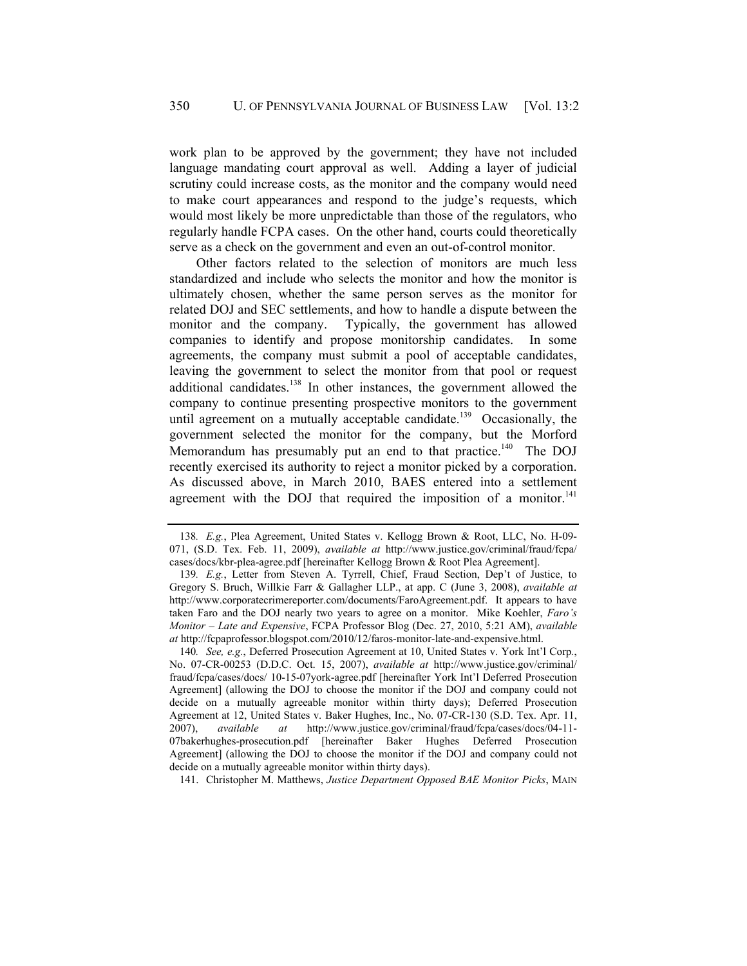work plan to be approved by the government; they have not included language mandating court approval as well. Adding a layer of judicial scrutiny could increase costs, as the monitor and the company would need to make court appearances and respond to the judge's requests, which would most likely be more unpredictable than those of the regulators, who regularly handle FCPA cases. On the other hand, courts could theoretically serve as a check on the government and even an out-of-control monitor.

Other factors related to the selection of monitors are much less standardized and include who selects the monitor and how the monitor is ultimately chosen, whether the same person serves as the monitor for related DOJ and SEC settlements, and how to handle a dispute between the monitor and the company. Typically, the government has allowed companies to identify and propose monitorship candidates. In some agreements, the company must submit a pool of acceptable candidates, leaving the government to select the monitor from that pool or request additional candidates.<sup>138</sup> In other instances, the government allowed the company to continue presenting prospective monitors to the government until agreement on a mutually acceptable candidate.<sup>139</sup> Occasionally, the government selected the monitor for the company, but the Morford Memorandum has presumably put an end to that practice.<sup>140</sup> The DOJ recently exercised its authority to reject a monitor picked by a corporation. As discussed above, in March 2010, BAES entered into a settlement agreement with the DOJ that required the imposition of a monitor.<sup>141</sup>

141. Christopher M. Matthews, *Justice Department Opposed BAE Monitor Picks*, MAIN

<sup>138</sup>*. E.g.*, Plea Agreement, United States v. Kellogg Brown & Root, LLC, No. H-09- 071, (S.D. Tex. Feb. 11, 2009), *available at* http://www.justice.gov/criminal/fraud/fcpa/ cases/docs/kbr-plea-agree.pdf [hereinafter Kellogg Brown & Root Plea Agreement].

<sup>139</sup>*. E.g.*, Letter from Steven A. Tyrrell, Chief, Fraud Section, Dep't of Justice, to Gregory S. Bruch, Willkie Farr & Gallagher LLP., at app. C (June 3, 2008), *available at* http://www.corporatecrimereporter.com/documents/FaroAgreement.pdf. It appears to have taken Faro and the DOJ nearly two years to agree on a monitor. Mike Koehler, *Faro's Monitor – Late and Expensive*, FCPA Professor Blog (Dec. 27, 2010, 5:21 AM), *available at* http://fcpaprofessor.blogspot.com/2010/12/faros-monitor-late-and-expensive.html.

<sup>140</sup>*. See, e.g.*, Deferred Prosecution Agreement at 10, United States v. York Int'l Corp*.*, No. 07-CR-00253 (D.D.C. Oct. 15, 2007), *available at* http://www.justice.gov/criminal/ fraud/fcpa/cases/docs/ 10-15-07york-agree.pdf [hereinafter York Int'l Deferred Prosecution Agreement] (allowing the DOJ to choose the monitor if the DOJ and company could not decide on a mutually agreeable monitor within thirty days); Deferred Prosecution Agreement at 12, United States v. Baker Hughes, Inc., No. 07-CR-130 (S.D. Tex. Apr. 11, 2007), *available at* http://www.justice.gov/criminal/fraud/fcpa/cases/docs/04-11- 07bakerhughes-prosecution.pdf [hereinafter Baker Hughes Deferred Prosecution Agreement] (allowing the DOJ to choose the monitor if the DOJ and company could not decide on a mutually agreeable monitor within thirty days).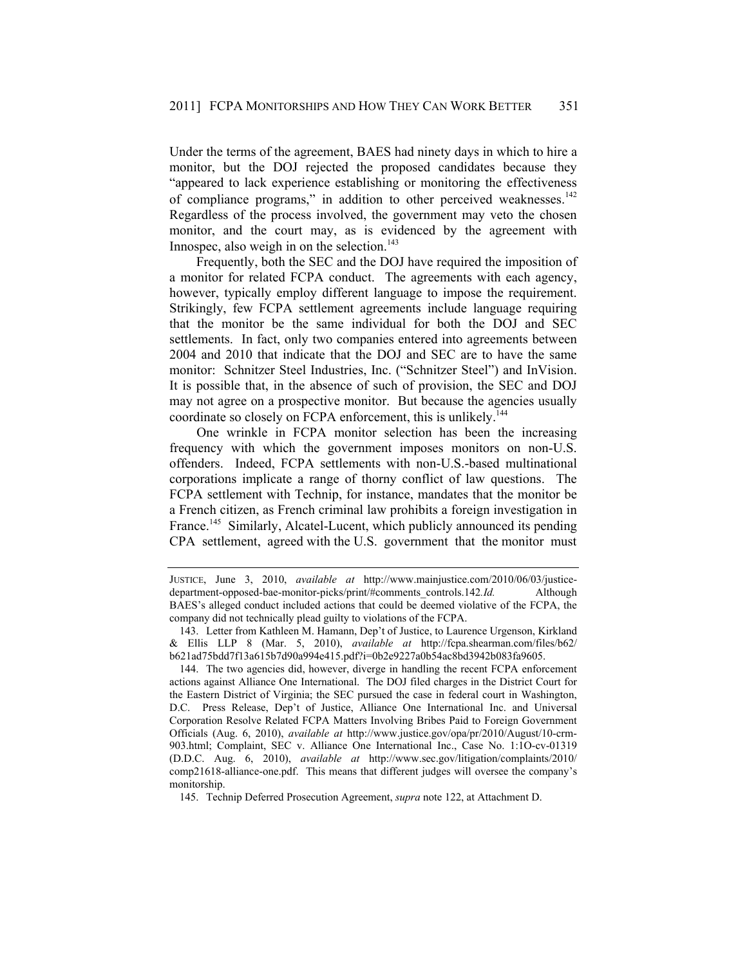Under the terms of the agreement, BAES had ninety days in which to hire a monitor, but the DOJ rejected the proposed candidates because they "appeared to lack experience establishing or monitoring the effectiveness of compliance programs," in addition to other perceived weaknesses.<sup>142</sup> Regardless of the process involved, the government may veto the chosen monitor, and the court may, as is evidenced by the agreement with Innospec, also weigh in on the selection.<sup>143</sup>

Frequently, both the SEC and the DOJ have required the imposition of a monitor for related FCPA conduct. The agreements with each agency, however, typically employ different language to impose the requirement. Strikingly, few FCPA settlement agreements include language requiring that the monitor be the same individual for both the DOJ and SEC settlements. In fact, only two companies entered into agreements between 2004 and 2010 that indicate that the DOJ and SEC are to have the same monitor: Schnitzer Steel Industries, Inc. ("Schnitzer Steel") and InVision. It is possible that, in the absence of such of provision, the SEC and DOJ may not agree on a prospective monitor. But because the agencies usually coordinate so closely on FCPA enforcement, this is unlikely.<sup>144</sup>

One wrinkle in FCPA monitor selection has been the increasing frequency with which the government imposes monitors on non-U.S. offenders. Indeed, FCPA settlements with non-U.S.-based multinational corporations implicate a range of thorny conflict of law questions. The FCPA settlement with Technip, for instance, mandates that the monitor be a French citizen, as French criminal law prohibits a foreign investigation in France.<sup>145</sup> Similarly, Alcatel-Lucent, which publicly announced its pending CPA settlement, agreed with the U.S. government that the monitor must

JUSTICE, June 3, 2010, *available at* http://www.mainjustice.com/2010/06/03/justicedepartment-opposed-bae-monitor-picks/print/#comments\_controls.142*. Id.* Although BAES's alleged conduct included actions that could be deemed violative of the FCPA, the company did not technically plead guilty to violations of the FCPA.

 <sup>143.</sup> Letter from Kathleen M. Hamann, Dep't of Justice, to Laurence Urgenson, Kirkland & Ellis LLP 8 (Mar. 5, 2010), *available at* http://fcpa.shearman.com/files/b62/ b621ad75bdd7f13a615b7d90a994e415.pdf?i=0b2e9227a0b54ac8bd3942b083fa9605.

 <sup>144.</sup> The two agencies did, however, diverge in handling the recent FCPA enforcement actions against Alliance One International. The DOJ filed charges in the District Court for the Eastern District of Virginia; the SEC pursued the case in federal court in Washington, D.C. Press Release, Dep't of Justice, Alliance One International Inc. and Universal Corporation Resolve Related FCPA Matters Involving Bribes Paid to Foreign Government Officials (Aug. 6, 2010), *available at* http://www.justice.gov/opa/pr/2010/August/10-crm-903.html; Complaint, SEC v. Alliance One International Inc., Case No. 1:1O-cv-01319 (D.D.C. Aug. 6, 2010), *available at* http://www.sec.gov/litigation/complaints/2010/ comp21618-alliance-one.pdf. This means that different judges will oversee the company's monitorship.

 <sup>145.</sup> Technip Deferred Prosecution Agreement, *supra* note 122, at Attachment D.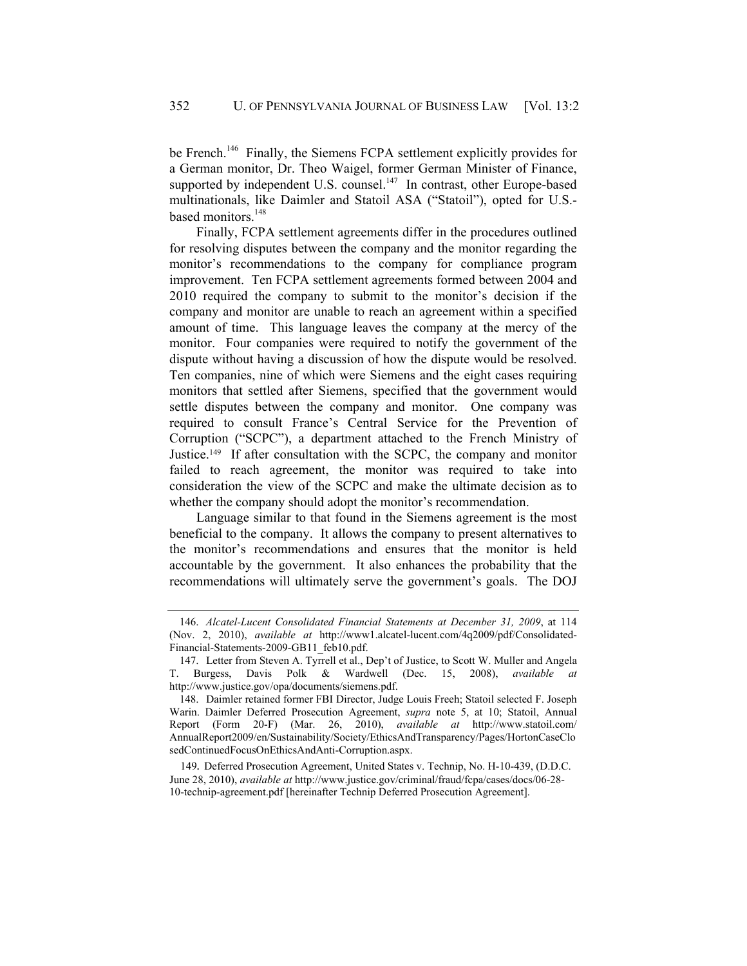be French.<sup>146</sup> Finally, the Siemens FCPA settlement explicitly provides for a German monitor, Dr. Theo Waigel, former German Minister of Finance, supported by independent U.S. counsel. $147$  In contrast, other Europe-based multinationals, like Daimler and Statoil ASA ("Statoil"), opted for U.S. based monitors.<sup>148</sup>

Finally, FCPA settlement agreements differ in the procedures outlined for resolving disputes between the company and the monitor regarding the monitor's recommendations to the company for compliance program improvement. Ten FCPA settlement agreements formed between 2004 and 2010 required the company to submit to the monitor's decision if the company and monitor are unable to reach an agreement within a specified amount of time. This language leaves the company at the mercy of the monitor. Four companies were required to notify the government of the dispute without having a discussion of how the dispute would be resolved. Ten companies, nine of which were Siemens and the eight cases requiring monitors that settled after Siemens, specified that the government would settle disputes between the company and monitor. One company was required to consult France's Central Service for the Prevention of Corruption ("SCPC"), a department attached to the French Ministry of Justice.149 If after consultation with the SCPC, the company and monitor failed to reach agreement, the monitor was required to take into consideration the view of the SCPC and make the ultimate decision as to whether the company should adopt the monitor's recommendation.

Language similar to that found in the Siemens agreement is the most beneficial to the company. It allows the company to present alternatives to the monitor's recommendations and ensures that the monitor is held accountable by the government. It also enhances the probability that the recommendations will ultimately serve the government's goals. The DOJ

 <sup>146.</sup> *Alcatel-Lucent Consolidated Financial Statements at December 31, 2009*, at 114 (Nov. 2, 2010), *available at* http://www1.alcatel-lucent.com/4q2009/pdf/Consolidated-Financial-Statements-2009-GB11\_feb10.pdf.

 <sup>147.</sup> Letter from Steven A. Tyrrell et al., Dep't of Justice, to Scott W. Muller and Angela T. Burgess, Davis Polk & Wardwell (Dec. 15, 2008), *available at* http://www.justice.gov/opa/documents/siemens.pdf.

 <sup>148.</sup> Daimler retained former FBI Director, Judge Louis Freeh; Statoil selected F. Joseph Warin. Daimler Deferred Prosecution Agreement, *supra* note 5, at 10; Statoil, Annual Report (Form 20-F) (Mar. 26, 2010), *available at* http://www.statoil.com/ AnnualReport2009/en/Sustainability/Society/EthicsAndTransparency/Pages/HortonCaseClo sedContinuedFocusOnEthicsAndAnti-Corruption.aspx.

<sup>149</sup>*.* Deferred Prosecution Agreement, United States v. Technip, No. H-10-439, (D.D.C. June 28, 2010), *available at* http://www.justice.gov/criminal/fraud/fcpa/cases/docs/06-28- 10-technip-agreement.pdf [hereinafter Technip Deferred Prosecution Agreement].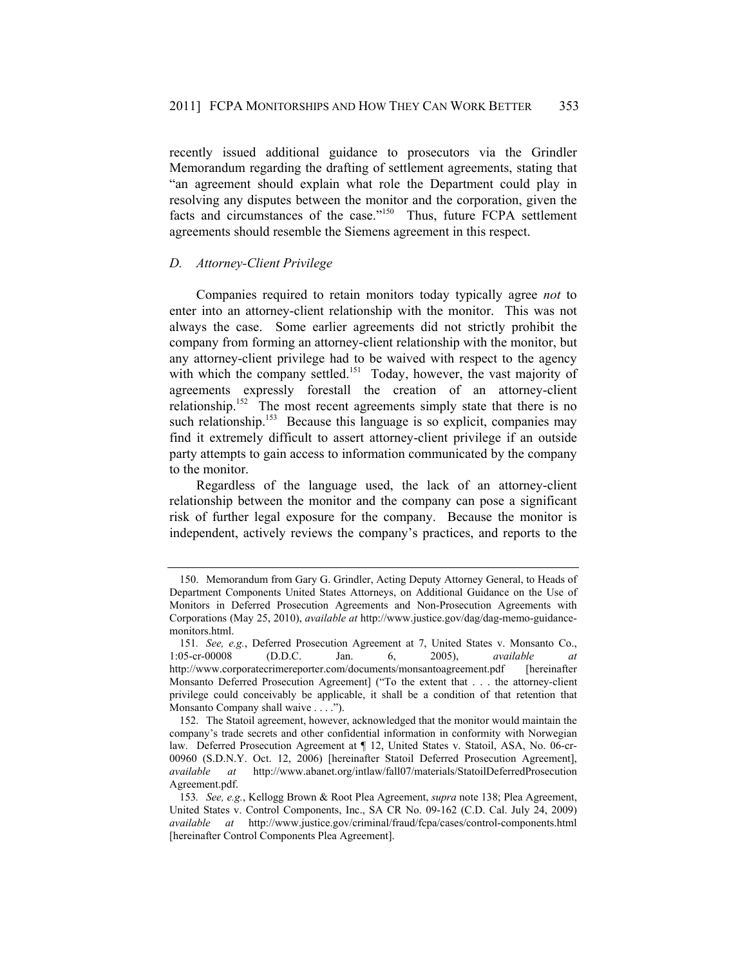recently issued additional guidance to prosecutors via the Grindler Memorandum regarding the drafting of settlement agreements, stating that "an agreement should explain what role the Department could play in resolving any disputes between the monitor and the corporation, given the facts and circumstances of the case."<sup>150</sup> Thus, future FCPA settlement agreements should resemble the Siemens agreement in this respect.

#### *D. Attorney-Client Privilege*

Companies required to retain monitors today typically agree *not* to enter into an attorney-client relationship with the monitor. This was not always the case. Some earlier agreements did not strictly prohibit the company from forming an attorney-client relationship with the monitor, but any attorney-client privilege had to be waived with respect to the agency with which the company settled.<sup>151</sup> Today, however, the vast majority of agreements expressly forestall the creation of an attorney-client relationship.<sup>152</sup> The most recent agreements simply state that there is no such relationship.<sup>153</sup> Because this language is so explicit, companies may find it extremely difficult to assert attorney-client privilege if an outside party attempts to gain access to information communicated by the company to the monitor.

Regardless of the language used, the lack of an attorney-client relationship between the monitor and the company can pose a significant risk of further legal exposure for the company. Because the monitor is independent, actively reviews the company's practices, and reports to the

 <sup>150.</sup> Memorandum from Gary G. Grindler, Acting Deputy Attorney General, to Heads of Department Components United States Attorneys, on Additional Guidance on the Use of Monitors in Deferred Prosecution Agreements and Non-Prosecution Agreements with Corporations (May 25, 2010), *available at* http://www.justice.gov/dag/dag-memo-guidancemonitors.html.

<sup>151</sup>*. See, e.g.*, Deferred Prosecution Agreement at 7, United States v. Monsanto Co., 1:05-cr-00008 (D.D.C. Jan. 6, 2005), *available* http://www.corporatecrimereporter.com/documents/monsantoagreement.pdf [hereinafter Monsanto Deferred Prosecution Agreement] ("To the extent that . . . the attorney-client privilege could conceivably be applicable, it shall be a condition of that retention that Monsanto Company shall waive . . . .").

 <sup>152.</sup> The Statoil agreement, however, acknowledged that the monitor would maintain the company's trade secrets and other confidential information in conformity with Norwegian law. Deferred Prosecution Agreement at ¶ 12, United States v. Statoil, ASA, No. 06-cr-00960 (S.D.N.Y. Oct. 12, 2006) [hereinafter Statoil Deferred Prosecution Agreement], *available at* http://www.abanet.org/intlaw/fall07/materials/StatoilDeferredProsecution Agreement.pdf.

<sup>153</sup>*. See, e.g.*, Kellogg Brown & Root Plea Agreement, *supra* note 138; Plea Agreement, United States v. Control Components, Inc., SA CR No. 09-162 (C.D. Cal. July 24, 2009) *available at* http://www.justice.gov/criminal/fraud/fcpa/cases/control-components.html [hereinafter Control Components Plea Agreement].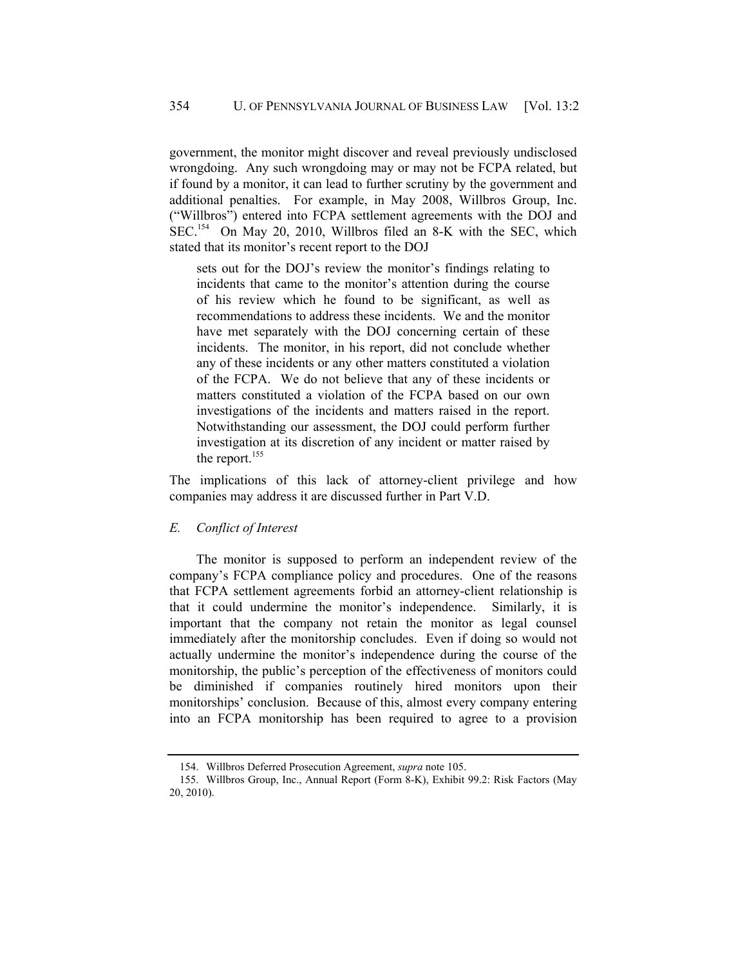government, the monitor might discover and reveal previously undisclosed wrongdoing. Any such wrongdoing may or may not be FCPA related, but if found by a monitor, it can lead to further scrutiny by the government and additional penalties. For example, in May 2008, Willbros Group, Inc. ("Willbros") entered into FCPA settlement agreements with the DOJ and SEC.<sup>154</sup> On May 20, 2010, Willbros filed an 8-K with the SEC, which stated that its monitor's recent report to the DOJ

sets out for the DOJ's review the monitor's findings relating to incidents that came to the monitor's attention during the course of his review which he found to be significant, as well as recommendations to address these incidents. We and the monitor have met separately with the DOJ concerning certain of these incidents. The monitor, in his report, did not conclude whether any of these incidents or any other matters constituted a violation of the FCPA. We do not believe that any of these incidents or matters constituted a violation of the FCPA based on our own investigations of the incidents and matters raised in the report. Notwithstanding our assessment, the DOJ could perform further investigation at its discretion of any incident or matter raised by the report.<sup>155</sup>

The implications of this lack of attorney-client privilege and how companies may address it are discussed further in Part V.D.

#### *E. Conflict of Interest*

The monitor is supposed to perform an independent review of the company's FCPA compliance policy and procedures. One of the reasons that FCPA settlement agreements forbid an attorney-client relationship is that it could undermine the monitor's independence. Similarly, it is important that the company not retain the monitor as legal counsel immediately after the monitorship concludes. Even if doing so would not actually undermine the monitor's independence during the course of the monitorship, the public's perception of the effectiveness of monitors could be diminished if companies routinely hired monitors upon their monitorships' conclusion. Because of this, almost every company entering into an FCPA monitorship has been required to agree to a provision

 <sup>154.</sup> Willbros Deferred Prosecution Agreement, *supra* note 105.

 <sup>155.</sup> Willbros Group, Inc., Annual Report (Form 8-K), Exhibit 99.2: Risk Factors (May 20, 2010).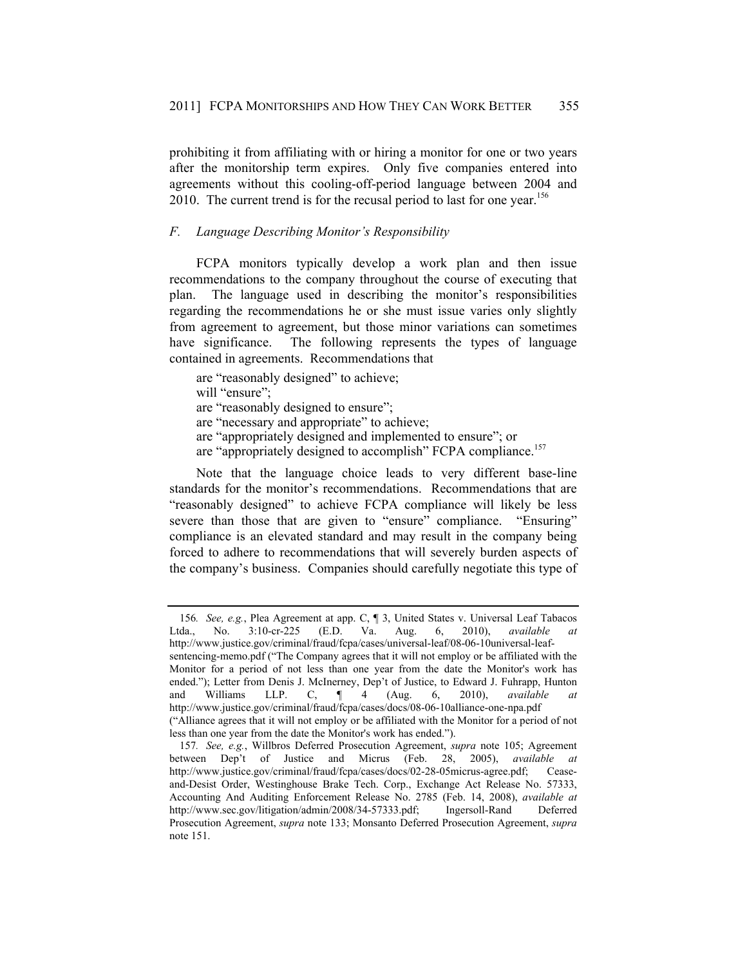prohibiting it from affiliating with or hiring a monitor for one or two years after the monitorship term expires. Only five companies entered into agreements without this cooling-off-period language between 2004 and 2010. The current trend is for the recusal period to last for one year.<sup>156</sup>

# *F. Language Describing Monitor's Responsibility*

FCPA monitors typically develop a work plan and then issue recommendations to the company throughout the course of executing that plan. The language used in describing the monitor's responsibilities regarding the recommendations he or she must issue varies only slightly from agreement to agreement, but those minor variations can sometimes have significance. The following represents the types of language contained in agreements. Recommendations that

are "reasonably designed" to achieve; will "ensure": are "reasonably designed to ensure"; are "necessary and appropriate" to achieve; are "appropriately designed and implemented to ensure"; or are "appropriately designed to accomplish" FCPA compliance.<sup>157</sup>

Note that the language choice leads to very different base-line standards for the monitor's recommendations. Recommendations that are "reasonably designed" to achieve FCPA compliance will likely be less severe than those that are given to "ensure" compliance. "Ensuring" compliance is an elevated standard and may result in the company being forced to adhere to recommendations that will severely burden aspects of the company's business. Companies should carefully negotiate this type of

<sup>156</sup>*. See, e.g.*, Plea Agreement at app. C, ¶ 3, United States v. Universal Leaf Tabacos Ltda., No. 3:10-cr-225 (E.D. Va. Aug. 6, 2010), *available at* http://www.justice.gov/criminal/fraud/fcpa/cases/universal-leaf/08-06-10universal-leafsentencing-memo.pdf ("The Company agrees that it will not employ or be affiliated with the Monitor for a period of not less than one year from the date the Monitor's work has ended."); Letter from Denis J. McInerney, Dep't of Justice, to Edward J. Fuhrapp, Hunton and Williams LLP. C, ¶ 4 (Aug. 6, 2010), *available at* http://www.justice.gov/criminal/fraud/fcpa/cases/docs/08-06-10alliance-one-npa.pdf

<sup>(&</sup>quot;Alliance agrees that it will not employ or be affiliated with the Monitor for a period of not less than one year from the date the Monitor's work has ended.").

<sup>157</sup>*. See, e.g.*, Willbros Deferred Prosecution Agreement, *supra* note 105; Agreement between Dep't of Justice and Micrus (Feb. 28, 2005), *available at* http://www.justice.gov/criminal/fraud/fcpa/cases/docs/02-28-05micrus-agree.pdf; Ceaseand-Desist Order, Westinghouse Brake Tech. Corp., Exchange Act Release No. 57333, Accounting And Auditing Enforcement Release No. 2785 (Feb. 14, 2008), *available at* http://www.sec.gov/litigation/admin/2008/34-57333.pdf; Ingersoll-Rand Deferred Prosecution Agreement, *supra* note 133; Monsanto Deferred Prosecution Agreement, *supra* note 151.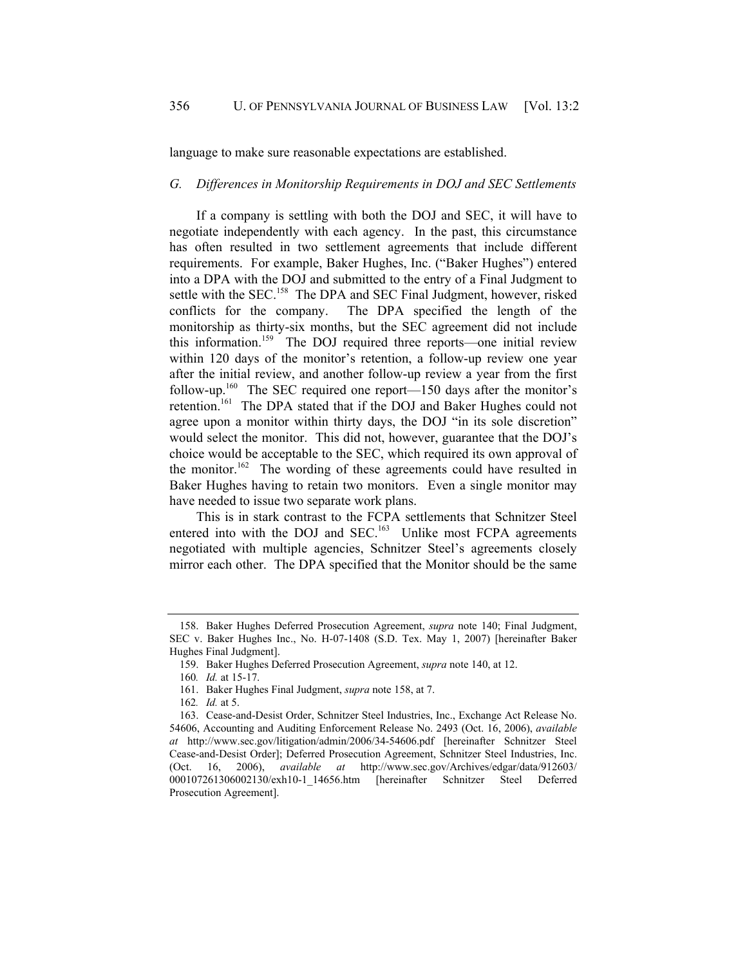language to make sure reasonable expectations are established.

#### *G. Differences in Monitorship Requirements in DOJ and SEC Settlements*

If a company is settling with both the DOJ and SEC, it will have to negotiate independently with each agency. In the past, this circumstance has often resulted in two settlement agreements that include different requirements. For example, Baker Hughes, Inc. ("Baker Hughes") entered into a DPA with the DOJ and submitted to the entry of a Final Judgment to settle with the SEC.<sup>158</sup> The DPA and SEC Final Judgment, however, risked conflicts for the company. The DPA specified the length of the monitorship as thirty-six months, but the SEC agreement did not include this information.<sup>159</sup> The DOJ required three reports—one initial review within 120 days of the monitor's retention, a follow-up review one year after the initial review, and another follow-up review a year from the first follow-up.<sup>160</sup> The SEC required one report—150 days after the monitor's retention.161 The DPA stated that if the DOJ and Baker Hughes could not agree upon a monitor within thirty days, the DOJ "in its sole discretion" would select the monitor. This did not, however, guarantee that the DOJ's choice would be acceptable to the SEC, which required its own approval of the monitor.<sup>162</sup> The wording of these agreements could have resulted in Baker Hughes having to retain two monitors. Even a single monitor may have needed to issue two separate work plans.

This is in stark contrast to the FCPA settlements that Schnitzer Steel entered into with the DOJ and SEC.<sup>163</sup> Unlike most FCPA agreements negotiated with multiple agencies, Schnitzer Steel's agreements closely mirror each other. The DPA specified that the Monitor should be the same

 <sup>158.</sup> Baker Hughes Deferred Prosecution Agreement, *supra* note 140; Final Judgment, SEC v. Baker Hughes Inc., No. H-07-1408 (S.D. Tex. May 1, 2007) [hereinafter Baker Hughes Final Judgment].

 <sup>159.</sup> Baker Hughes Deferred Prosecution Agreement, *supra* note 140, at 12.

<sup>160</sup>*. Id.* at 15-17.

 <sup>161.</sup> Baker Hughes Final Judgment, *supra* note 158, at 7.

<sup>162</sup>*. Id.* at 5.

 <sup>163.</sup> Cease-and-Desist Order, Schnitzer Steel Industries, Inc., Exchange Act Release No. 54606, Accounting and Auditing Enforcement Release No. 2493 (Oct. 16, 2006), *available at* http://www.sec.gov/litigation/admin/2006/34-54606.pdf [hereinafter Schnitzer Steel Cease-and-Desist Order]; Deferred Prosecution Agreement, Schnitzer Steel Industries, Inc. (Oct. 16, 2006), *available at* http://www.sec.gov/Archives/edgar/data/912603/ 000107261306002130/exh10-1\_14656.htm [hereinafter Schnitzer Steel Deferred Prosecution Agreement].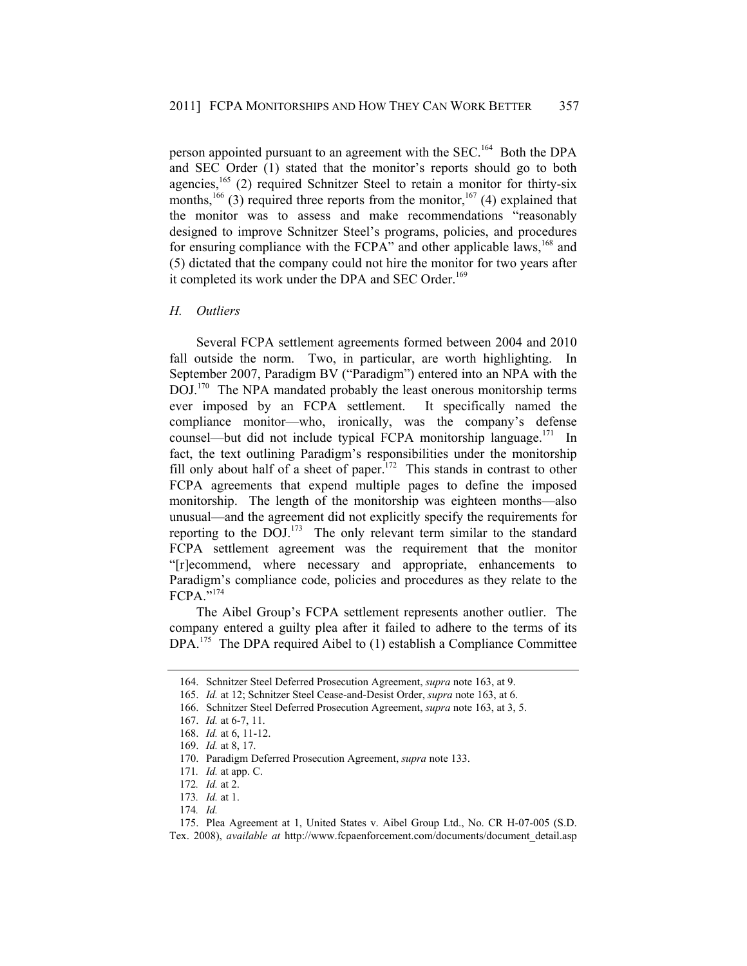person appointed pursuant to an agreement with the SEC.<sup>164</sup> Both the DPA and SEC Order (1) stated that the monitor's reports should go to both agencies, $165$  (2) required Schnitzer Steel to retain a monitor for thirty-six months,<sup>166</sup> (3) required three reports from the monitor,<sup>167</sup> (4) explained that the monitor was to assess and make recommendations "reasonably designed to improve Schnitzer Steel's programs, policies, and procedures for ensuring compliance with the FCPA" and other applicable laws,<sup>168</sup> and (5) dictated that the company could not hire the monitor for two years after it completed its work under the DPA and SEC Order.<sup>169</sup>

#### *H. Outliers*

Several FCPA settlement agreements formed between 2004 and 2010 fall outside the norm. Two, in particular, are worth highlighting. In September 2007, Paradigm BV ("Paradigm") entered into an NPA with the DOJ.<sup>170</sup> The NPA mandated probably the least onerous monitorship terms ever imposed by an FCPA settlement. It specifically named the compliance monitor—who, ironically, was the company's defense counsel—but did not include typical FCPA monitorship language. $171$  In fact, the text outlining Paradigm's responsibilities under the monitorship fill only about half of a sheet of paper.<sup>172</sup> This stands in contrast to other FCPA agreements that expend multiple pages to define the imposed monitorship. The length of the monitorship was eighteen months—also unusual—and the agreement did not explicitly specify the requirements for reporting to the DOJ.<sup>173</sup> The only relevant term similar to the standard FCPA settlement agreement was the requirement that the monitor "[r]ecommend, where necessary and appropriate, enhancements to Paradigm's compliance code, policies and procedures as they relate to the FCPA."<sup>174</sup>

The Aibel Group's FCPA settlement represents another outlier. The company entered a guilty plea after it failed to adhere to the terms of its DPA.<sup>175</sup> The DPA required Aibel to (1) establish a Compliance Committee

 <sup>164.</sup> Schnitzer Steel Deferred Prosecution Agreement, *supra* note 163, at 9.

<sup>165.</sup> *Id.* at 12; Schnitzer Steel Cease-and-Desist Order, *supra* note 163, at 6.

 <sup>166.</sup> Schnitzer Steel Deferred Prosecution Agreement, *supra* note 163, at 3, 5.

 <sup>167.</sup> *Id.* at 6-7, 11.

 <sup>168.</sup> *Id.* at 6, 11-12.

 <sup>169.</sup> *Id.* at 8, 17.

 <sup>170.</sup> Paradigm Deferred Prosecution Agreement, *supra* note 133.

<sup>171</sup>*. Id.* at app. C.

<sup>172</sup>*. Id.* at 2.

<sup>173</sup>*. Id.* at 1.

<sup>174</sup>*. Id.*

 <sup>175.</sup> Plea Agreement at 1, United States v. Aibel Group Ltd., No. CR H-07-005 (S.D. Tex. 2008), *available at* http://www.fcpaenforcement.com/documents/document\_detail.asp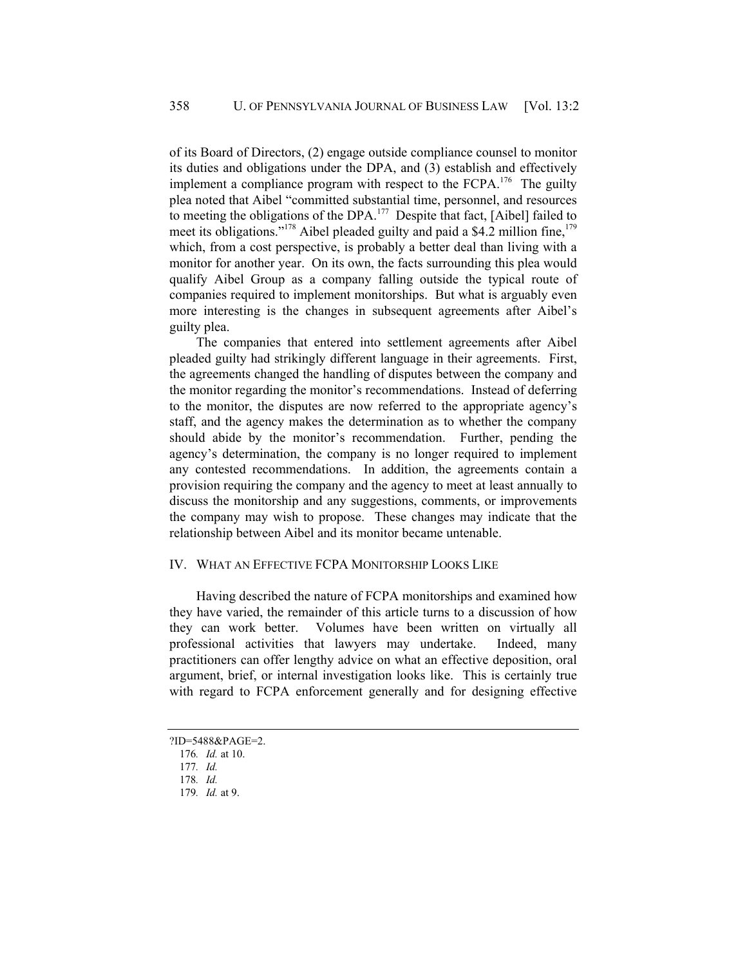of its Board of Directors, (2) engage outside compliance counsel to monitor its duties and obligations under the DPA, and (3) establish and effectively implement a compliance program with respect to the FCPA.<sup>176</sup> The guilty plea noted that Aibel "committed substantial time, personnel, and resources to meeting the obligations of the DPA.177 Despite that fact, [Aibel] failed to meet its obligations."<sup>178</sup> Aibel pleaded guilty and paid a  $\frac{64.2}{2}$  million fine,<sup>179</sup> which, from a cost perspective, is probably a better deal than living with a monitor for another year. On its own, the facts surrounding this plea would qualify Aibel Group as a company falling outside the typical route of companies required to implement monitorships. But what is arguably even more interesting is the changes in subsequent agreements after Aibel's guilty plea.

The companies that entered into settlement agreements after Aibel pleaded guilty had strikingly different language in their agreements. First, the agreements changed the handling of disputes between the company and the monitor regarding the monitor's recommendations. Instead of deferring to the monitor, the disputes are now referred to the appropriate agency's staff, and the agency makes the determination as to whether the company should abide by the monitor's recommendation. Further, pending the agency's determination, the company is no longer required to implement any contested recommendations. In addition, the agreements contain a provision requiring the company and the agency to meet at least annually to discuss the monitorship and any suggestions, comments, or improvements the company may wish to propose. These changes may indicate that the relationship between Aibel and its monitor became untenable.

# IV. WHAT AN EFFECTIVE FCPA MONITORSHIP LOOKS LIKE

Having described the nature of FCPA monitorships and examined how they have varied, the remainder of this article turns to a discussion of how they can work better. Volumes have been written on virtually all professional activities that lawyers may undertake. Indeed, many practitioners can offer lengthy advice on what an effective deposition, oral argument, brief, or internal investigation looks like. This is certainly true with regard to FCPA enforcement generally and for designing effective

<sup>?</sup>ID=5488&PAGE=2.

<sup>176</sup>*. Id.* at 10.

<sup>177</sup>*. Id.*

<sup>178</sup>*. Id.*

<sup>179</sup>*. Id.* at 9.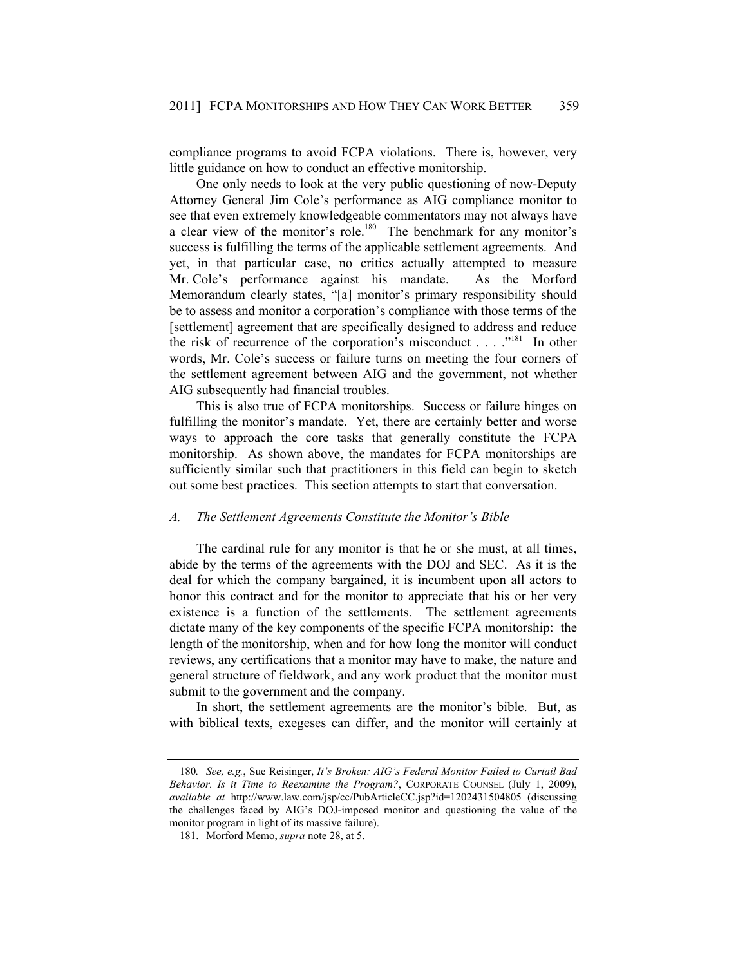compliance programs to avoid FCPA violations. There is, however, very little guidance on how to conduct an effective monitorship.

One only needs to look at the very public questioning of now-Deputy Attorney General Jim Cole's performance as AIG compliance monitor to see that even extremely knowledgeable commentators may not always have a clear view of the monitor's role.<sup>180</sup> The benchmark for any monitor's success is fulfilling the terms of the applicable settlement agreements. And yet, in that particular case, no critics actually attempted to measure Mr. Cole's performance against his mandate. As the Morford Memorandum clearly states, "[a] monitor's primary responsibility should be to assess and monitor a corporation's compliance with those terms of the [settlement] agreement that are specifically designed to address and reduce the risk of recurrence of the corporation's misconduct . . . . .<sup>"181</sup> In other words, Mr. Cole's success or failure turns on meeting the four corners of the settlement agreement between AIG and the government, not whether AIG subsequently had financial troubles.

This is also true of FCPA monitorships. Success or failure hinges on fulfilling the monitor's mandate. Yet, there are certainly better and worse ways to approach the core tasks that generally constitute the FCPA monitorship. As shown above, the mandates for FCPA monitorships are sufficiently similar such that practitioners in this field can begin to sketch out some best practices. This section attempts to start that conversation.

# *A. The Settlement Agreements Constitute the Monitor's Bible*

The cardinal rule for any monitor is that he or she must, at all times, abide by the terms of the agreements with the DOJ and SEC. As it is the deal for which the company bargained, it is incumbent upon all actors to honor this contract and for the monitor to appreciate that his or her very existence is a function of the settlements. The settlement agreements dictate many of the key components of the specific FCPA monitorship: the length of the monitorship, when and for how long the monitor will conduct reviews, any certifications that a monitor may have to make, the nature and general structure of fieldwork, and any work product that the monitor must submit to the government and the company.

In short, the settlement agreements are the monitor's bible. But, as with biblical texts, exegeses can differ, and the monitor will certainly at

<sup>180</sup>*. See, e.g.*, Sue Reisinger, *It's Broken: AIG's Federal Monitor Failed to Curtail Bad Behavior. Is it Time to Reexamine the Program?*, CORPORATE COUNSEL (July 1, 2009), *available at* http://www.law.com/jsp/cc/PubArticleCC.jsp?id=1202431504805 (discussing the challenges faced by AIG's DOJ-imposed monitor and questioning the value of the monitor program in light of its massive failure).

 <sup>181.</sup> Morford Memo, *supra* note 28, at 5.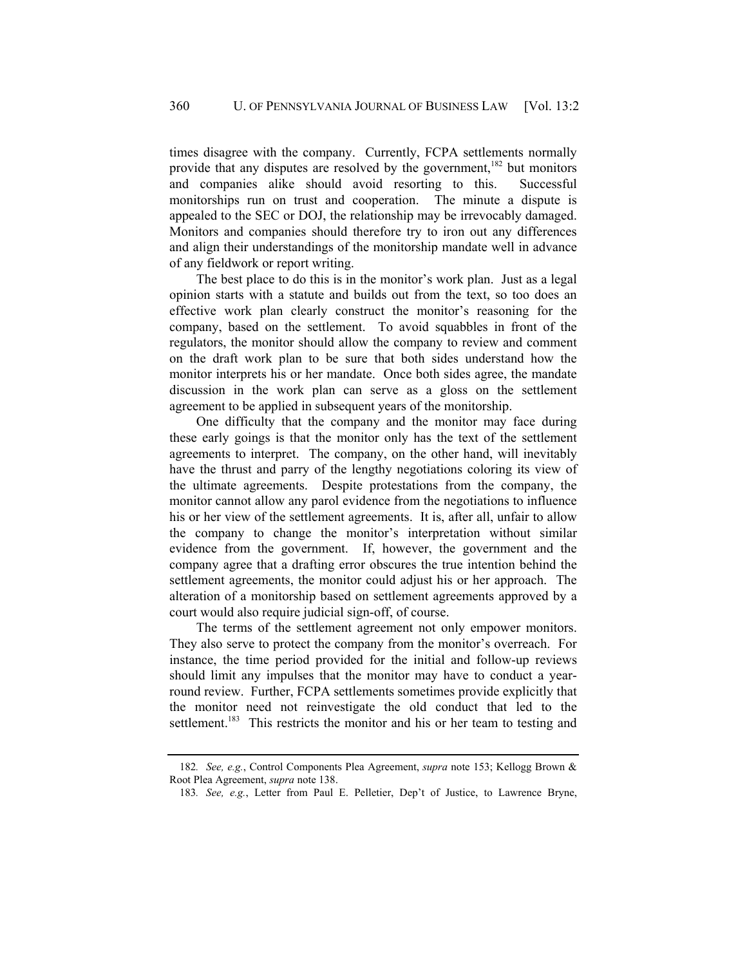times disagree with the company. Currently, FCPA settlements normally provide that any disputes are resolved by the government,<sup>182</sup> but monitors and companies alike should avoid resorting to this. Successful monitorships run on trust and cooperation. The minute a dispute is appealed to the SEC or DOJ, the relationship may be irrevocably damaged. Monitors and companies should therefore try to iron out any differences and align their understandings of the monitorship mandate well in advance of any fieldwork or report writing.

The best place to do this is in the monitor's work plan. Just as a legal opinion starts with a statute and builds out from the text, so too does an effective work plan clearly construct the monitor's reasoning for the company, based on the settlement. To avoid squabbles in front of the regulators, the monitor should allow the company to review and comment on the draft work plan to be sure that both sides understand how the monitor interprets his or her mandate. Once both sides agree, the mandate discussion in the work plan can serve as a gloss on the settlement agreement to be applied in subsequent years of the monitorship.

One difficulty that the company and the monitor may face during these early goings is that the monitor only has the text of the settlement agreements to interpret. The company, on the other hand, will inevitably have the thrust and parry of the lengthy negotiations coloring its view of the ultimate agreements. Despite protestations from the company, the monitor cannot allow any parol evidence from the negotiations to influence his or her view of the settlement agreements. It is, after all, unfair to allow the company to change the monitor's interpretation without similar evidence from the government. If, however, the government and the company agree that a drafting error obscures the true intention behind the settlement agreements, the monitor could adjust his or her approach. The alteration of a monitorship based on settlement agreements approved by a court would also require judicial sign-off, of course.

The terms of the settlement agreement not only empower monitors. They also serve to protect the company from the monitor's overreach. For instance, the time period provided for the initial and follow-up reviews should limit any impulses that the monitor may have to conduct a yearround review. Further, FCPA settlements sometimes provide explicitly that the monitor need not reinvestigate the old conduct that led to the settlement.<sup>183</sup> This restricts the monitor and his or her team to testing and

183*. See, e.g.*, Letter from Paul E. Pelletier, Dep't of Justice, to Lawrence Bryne,

<sup>182</sup>*. See, e.g.*, Control Components Plea Agreement, *supra* note 153; Kellogg Brown & Root Plea Agreement, *supra* note 138.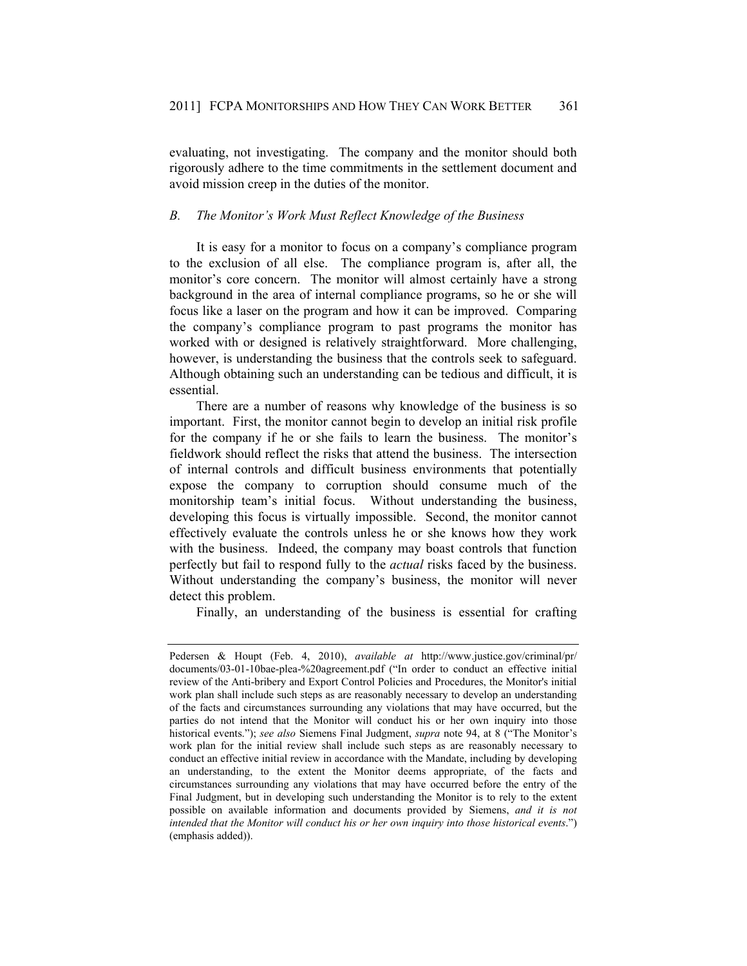evaluating, not investigating. The company and the monitor should both rigorously adhere to the time commitments in the settlement document and avoid mission creep in the duties of the monitor.

# *B. The Monitor's Work Must Reflect Knowledge of the Business*

It is easy for a monitor to focus on a company's compliance program to the exclusion of all else. The compliance program is, after all, the monitor's core concern. The monitor will almost certainly have a strong background in the area of internal compliance programs, so he or she will focus like a laser on the program and how it can be improved. Comparing the company's compliance program to past programs the monitor has worked with or designed is relatively straightforward. More challenging, however, is understanding the business that the controls seek to safeguard. Although obtaining such an understanding can be tedious and difficult, it is essential.

There are a number of reasons why knowledge of the business is so important. First, the monitor cannot begin to develop an initial risk profile for the company if he or she fails to learn the business. The monitor's fieldwork should reflect the risks that attend the business. The intersection of internal controls and difficult business environments that potentially expose the company to corruption should consume much of the monitorship team's initial focus. Without understanding the business, developing this focus is virtually impossible. Second, the monitor cannot effectively evaluate the controls unless he or she knows how they work with the business. Indeed, the company may boast controls that function perfectly but fail to respond fully to the *actual* risks faced by the business. Without understanding the company's business, the monitor will never detect this problem.

Finally, an understanding of the business is essential for crafting

Pedersen & Houpt (Feb. 4, 2010), *available at* http://www.justice.gov/criminal/pr/ documents/03-01-10bae-plea-%20agreement.pdf ("In order to conduct an effective initial review of the Anti-bribery and Export Control Policies and Procedures, the Monitor's initial work plan shall include such steps as are reasonably necessary to develop an understanding of the facts and circumstances surrounding any violations that may have occurred, but the parties do not intend that the Monitor will conduct his or her own inquiry into those historical events."); *see also* Siemens Final Judgment, *supra* note 94, at 8 ("The Monitor's work plan for the initial review shall include such steps as are reasonably necessary to conduct an effective initial review in accordance with the Mandate, including by developing an understanding, to the extent the Monitor deems appropriate, of the facts and circumstances surrounding any violations that may have occurred before the entry of the Final Judgment, but in developing such understanding the Monitor is to rely to the extent possible on available information and documents provided by Siemens, *and it is not intended that the Monitor will conduct his or her own inquiry into those historical events*.") (emphasis added)).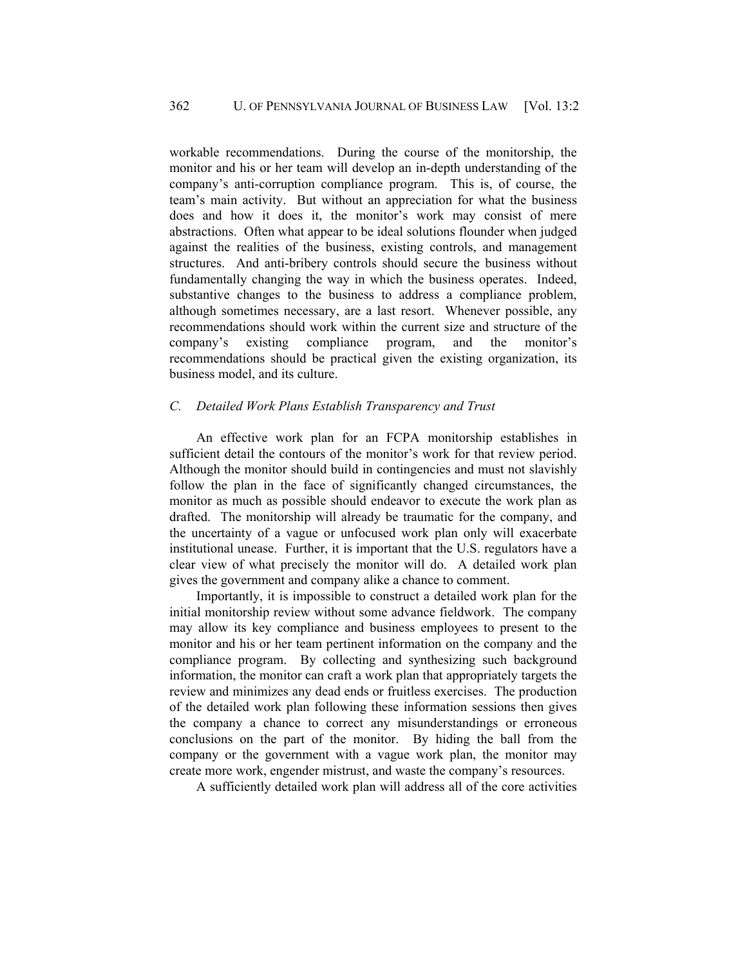workable recommendations. During the course of the monitorship, the monitor and his or her team will develop an in-depth understanding of the company's anti-corruption compliance program. This is, of course, the team's main activity. But without an appreciation for what the business does and how it does it, the monitor's work may consist of mere abstractions. Often what appear to be ideal solutions flounder when judged against the realities of the business, existing controls, and management structures. And anti-bribery controls should secure the business without fundamentally changing the way in which the business operates. Indeed, substantive changes to the business to address a compliance problem, although sometimes necessary, are a last resort. Whenever possible, any recommendations should work within the current size and structure of the company's existing compliance program, and the monitor's recommendations should be practical given the existing organization, its business model, and its culture.

# *C. Detailed Work Plans Establish Transparency and Trust*

An effective work plan for an FCPA monitorship establishes in sufficient detail the contours of the monitor's work for that review period. Although the monitor should build in contingencies and must not slavishly follow the plan in the face of significantly changed circumstances, the monitor as much as possible should endeavor to execute the work plan as drafted. The monitorship will already be traumatic for the company, and the uncertainty of a vague or unfocused work plan only will exacerbate institutional unease. Further, it is important that the U.S. regulators have a clear view of what precisely the monitor will do. A detailed work plan gives the government and company alike a chance to comment.

Importantly, it is impossible to construct a detailed work plan for the initial monitorship review without some advance fieldwork. The company may allow its key compliance and business employees to present to the monitor and his or her team pertinent information on the company and the compliance program. By collecting and synthesizing such background information, the monitor can craft a work plan that appropriately targets the review and minimizes any dead ends or fruitless exercises. The production of the detailed work plan following these information sessions then gives the company a chance to correct any misunderstandings or erroneous conclusions on the part of the monitor. By hiding the ball from the company or the government with a vague work plan, the monitor may create more work, engender mistrust, and waste the company's resources.

A sufficiently detailed work plan will address all of the core activities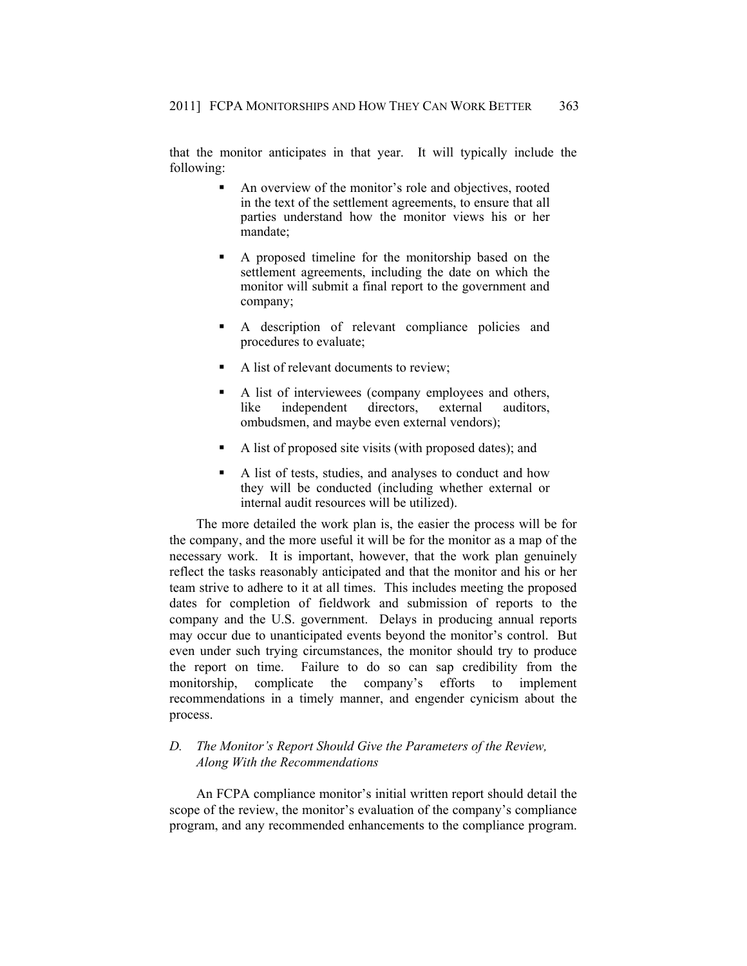that the monitor anticipates in that year. It will typically include the following:

- An overview of the monitor's role and objectives, rooted in the text of the settlement agreements, to ensure that all parties understand how the monitor views his or her mandate;
- A proposed timeline for the monitorship based on the settlement agreements, including the date on which the monitor will submit a final report to the government and company;
- A description of relevant compliance policies and procedures to evaluate;
- A list of relevant documents to review;
- A list of interviewees (company employees and others, like independent directors, external auditors, ombudsmen, and maybe even external vendors);
- A list of proposed site visits (with proposed dates); and
- A list of tests, studies, and analyses to conduct and how they will be conducted (including whether external or internal audit resources will be utilized).

The more detailed the work plan is, the easier the process will be for the company, and the more useful it will be for the monitor as a map of the necessary work. It is important, however, that the work plan genuinely reflect the tasks reasonably anticipated and that the monitor and his or her team strive to adhere to it at all times. This includes meeting the proposed dates for completion of fieldwork and submission of reports to the company and the U.S. government. Delays in producing annual reports may occur due to unanticipated events beyond the monitor's control. But even under such trying circumstances, the monitor should try to produce the report on time. Failure to do so can sap credibility from the monitorship, complicate the company's efforts to implement recommendations in a timely manner, and engender cynicism about the process.

# *D. The Monitor's Report Should Give the Parameters of the Review, Along With the Recommendations*

An FCPA compliance monitor's initial written report should detail the scope of the review, the monitor's evaluation of the company's compliance program, and any recommended enhancements to the compliance program.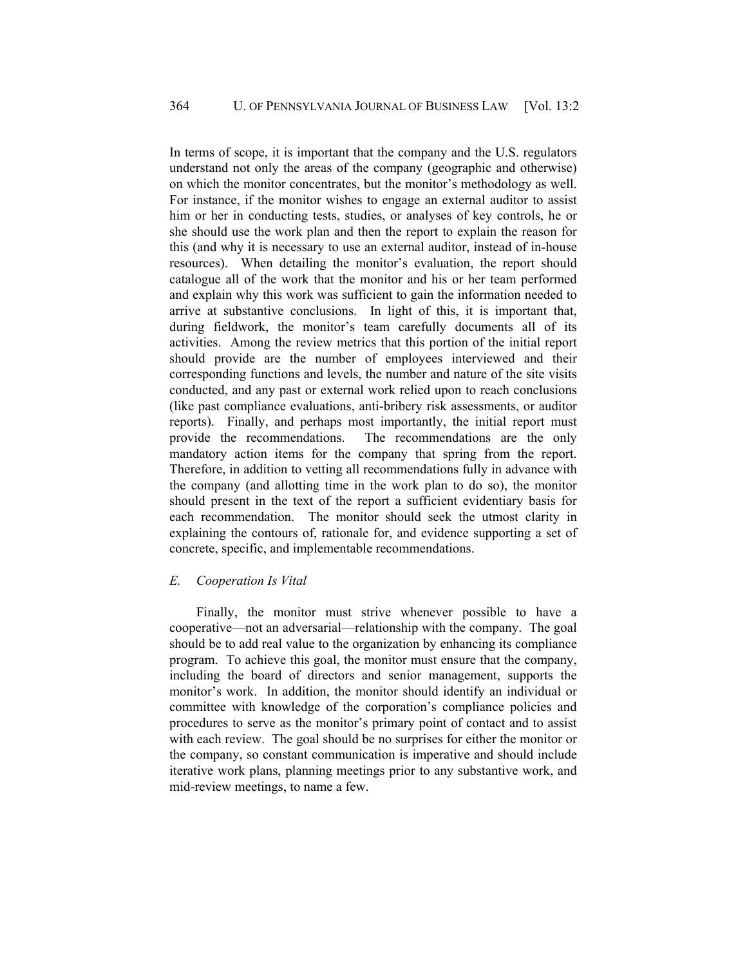In terms of scope, it is important that the company and the U.S. regulators understand not only the areas of the company (geographic and otherwise) on which the monitor concentrates, but the monitor's methodology as well. For instance, if the monitor wishes to engage an external auditor to assist him or her in conducting tests, studies, or analyses of key controls, he or she should use the work plan and then the report to explain the reason for this (and why it is necessary to use an external auditor, instead of in-house resources). When detailing the monitor's evaluation, the report should catalogue all of the work that the monitor and his or her team performed and explain why this work was sufficient to gain the information needed to arrive at substantive conclusions. In light of this, it is important that, during fieldwork, the monitor's team carefully documents all of its activities. Among the review metrics that this portion of the initial report should provide are the number of employees interviewed and their corresponding functions and levels, the number and nature of the site visits conducted, and any past or external work relied upon to reach conclusions (like past compliance evaluations, anti-bribery risk assessments, or auditor reports). Finally, and perhaps most importantly, the initial report must provide the recommendations. The recommendations are the only mandatory action items for the company that spring from the report. Therefore, in addition to vetting all recommendations fully in advance with the company (and allotting time in the work plan to do so), the monitor should present in the text of the report a sufficient evidentiary basis for each recommendation. The monitor should seek the utmost clarity in explaining the contours of, rationale for, and evidence supporting a set of concrete, specific, and implementable recommendations.

# *E. Cooperation Is Vital*

Finally, the monitor must strive whenever possible to have a cooperative—not an adversarial—relationship with the company. The goal should be to add real value to the organization by enhancing its compliance program. To achieve this goal, the monitor must ensure that the company, including the board of directors and senior management, supports the monitor's work. In addition, the monitor should identify an individual or committee with knowledge of the corporation's compliance policies and procedures to serve as the monitor's primary point of contact and to assist with each review. The goal should be no surprises for either the monitor or the company, so constant communication is imperative and should include iterative work plans, planning meetings prior to any substantive work, and mid-review meetings, to name a few.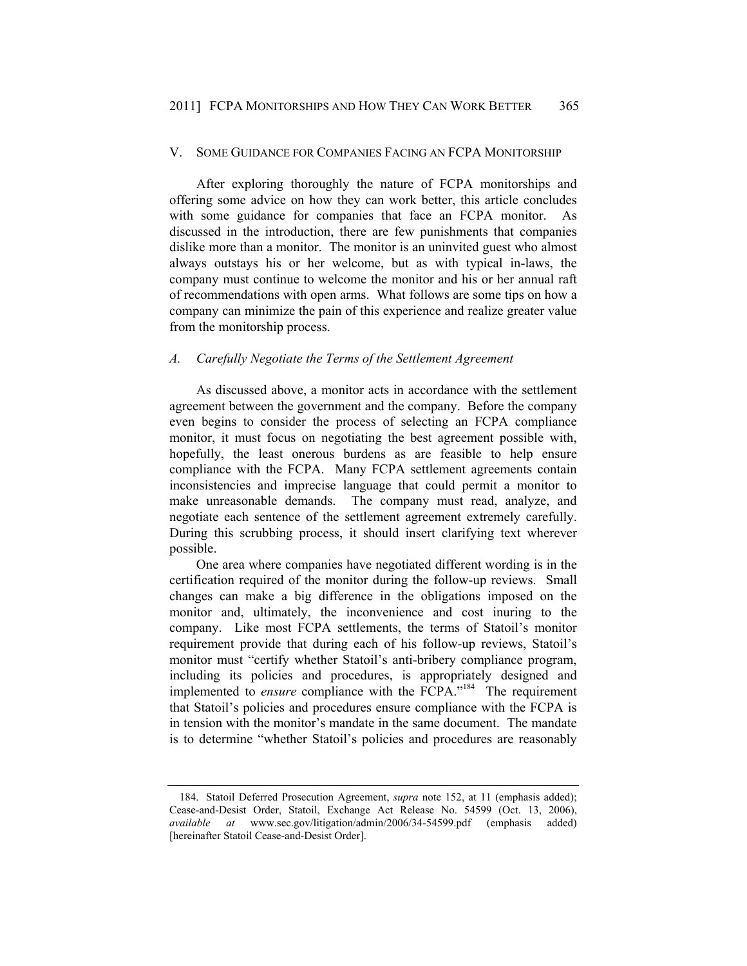#### V. SOME GUIDANCE FOR COMPANIES FACING AN FCPA MONITORSHIP

After exploring thoroughly the nature of FCPA monitorships and offering some advice on how they can work better, this article concludes with some guidance for companies that face an FCPA monitor. As discussed in the introduction, there are few punishments that companies dislike more than a monitor. The monitor is an uninvited guest who almost always outstays his or her welcome, but as with typical in-laws, the company must continue to welcome the monitor and his or her annual raft of recommendations with open arms. What follows are some tips on how a company can minimize the pain of this experience and realize greater value from the monitorship process.

# *A. Carefully Negotiate the Terms of the Settlement Agreement*

As discussed above, a monitor acts in accordance with the settlement agreement between the government and the company. Before the company even begins to consider the process of selecting an FCPA compliance monitor, it must focus on negotiating the best agreement possible with, hopefully, the least onerous burdens as are feasible to help ensure compliance with the FCPA. Many FCPA settlement agreements contain inconsistencies and imprecise language that could permit a monitor to make unreasonable demands. The company must read, analyze, and negotiate each sentence of the settlement agreement extremely carefully. During this scrubbing process, it should insert clarifying text wherever possible.

One area where companies have negotiated different wording is in the certification required of the monitor during the follow-up reviews. Small changes can make a big difference in the obligations imposed on the monitor and, ultimately, the inconvenience and cost inuring to the company. Like most FCPA settlements, the terms of Statoil's monitor requirement provide that during each of his follow-up reviews, Statoil's monitor must "certify whether Statoil's anti-bribery compliance program, including its policies and procedures, is appropriately designed and implemented to *ensure* compliance with the FCPA."<sup>184</sup> The requirement that Statoil's policies and procedures ensure compliance with the FCPA is in tension with the monitor's mandate in the same document. The mandate is to determine "whether Statoil's policies and procedures are reasonably

 <sup>184.</sup> Statoil Deferred Prosecution Agreement, *supra* note 152, at 11 (emphasis added); Cease-and-Desist Order, Statoil, Exchange Act Release No. 54599 (Oct. 13, 2006), *available at* www.sec.gov/litigation/admin/2006/34-54599.pdf (emphasis added) [hereinafter Statoil Cease-and-Desist Order].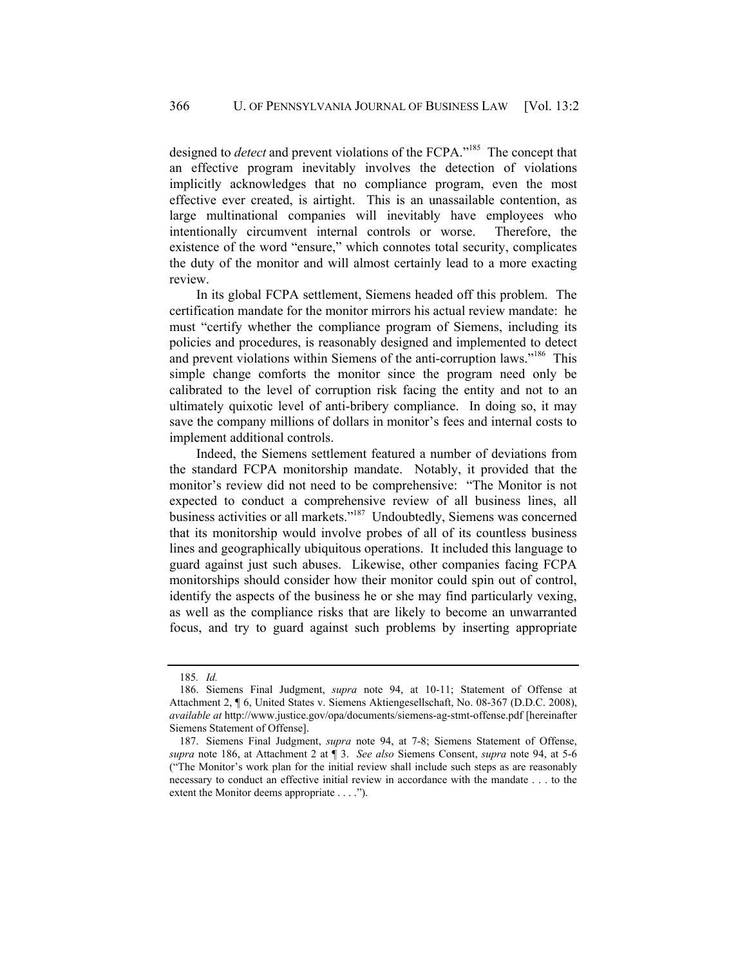designed to *detect* and prevent violations of the FCPA."<sup>185</sup> The concept that an effective program inevitably involves the detection of violations implicitly acknowledges that no compliance program, even the most effective ever created, is airtight. This is an unassailable contention, as large multinational companies will inevitably have employees who intentionally circumvent internal controls or worse. Therefore, the existence of the word "ensure," which connotes total security, complicates the duty of the monitor and will almost certainly lead to a more exacting review.

In its global FCPA settlement, Siemens headed off this problem. The certification mandate for the monitor mirrors his actual review mandate: he must "certify whether the compliance program of Siemens, including its policies and procedures, is reasonably designed and implemented to detect and prevent violations within Siemens of the anti-corruption laws."<sup>186</sup> This simple change comforts the monitor since the program need only be calibrated to the level of corruption risk facing the entity and not to an ultimately quixotic level of anti-bribery compliance. In doing so, it may save the company millions of dollars in monitor's fees and internal costs to implement additional controls.

Indeed, the Siemens settlement featured a number of deviations from the standard FCPA monitorship mandate. Notably, it provided that the monitor's review did not need to be comprehensive: "The Monitor is not expected to conduct a comprehensive review of all business lines, all business activities or all markets."<sup>187</sup> Undoubtedly, Siemens was concerned that its monitorship would involve probes of all of its countless business lines and geographically ubiquitous operations. It included this language to guard against just such abuses. Likewise, other companies facing FCPA monitorships should consider how their monitor could spin out of control, identify the aspects of the business he or she may find particularly vexing, as well as the compliance risks that are likely to become an unwarranted focus, and try to guard against such problems by inserting appropriate

<sup>185</sup>*. Id.*

 <sup>186.</sup> Siemens Final Judgment, *supra* note 94, at 10-11; Statement of Offense at Attachment 2, ¶ 6, United States v. Siemens Aktiengesellschaft, No. 08-367 (D.D.C. 2008), *available at* http://www.justice.gov/opa/documents/siemens-ag-stmt-offense.pdf [hereinafter Siemens Statement of Offense].

 <sup>187.</sup> Siemens Final Judgment, *supra* note 94, at 7-8; Siemens Statement of Offense, *supra* note 186, at Attachment 2 at ¶ 3. *See also* Siemens Consent, *supra* note 94, at 5-6 ("The Monitor's work plan for the initial review shall include such steps as are reasonably necessary to conduct an effective initial review in accordance with the mandate . . . to the extent the Monitor deems appropriate . . . .").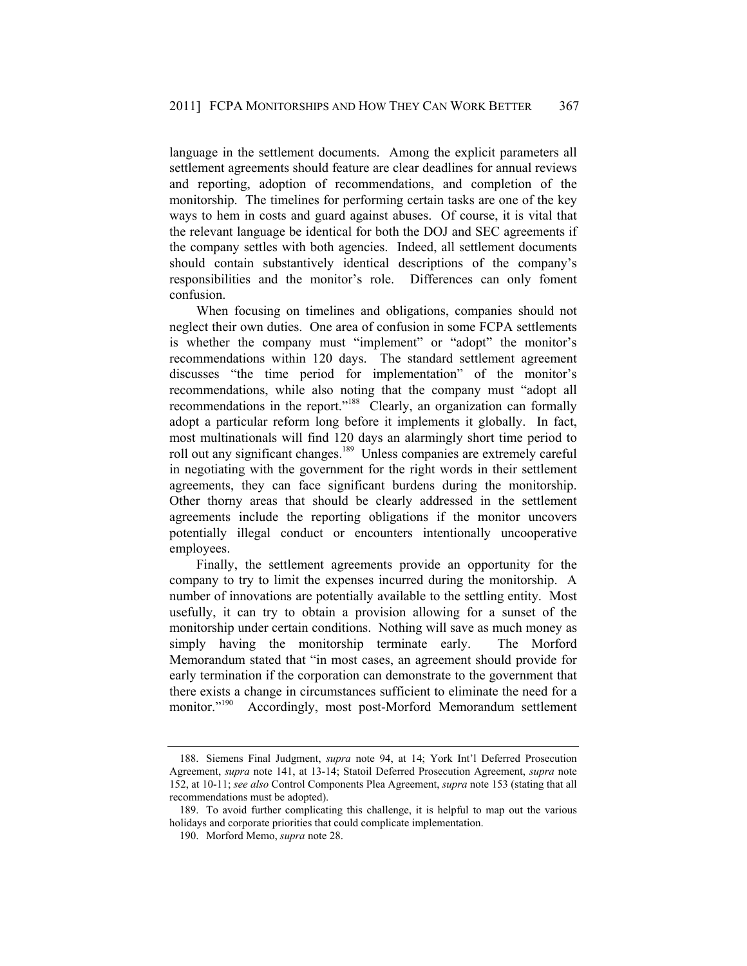language in the settlement documents. Among the explicit parameters all settlement agreements should feature are clear deadlines for annual reviews and reporting, adoption of recommendations, and completion of the monitorship. The timelines for performing certain tasks are one of the key ways to hem in costs and guard against abuses. Of course, it is vital that the relevant language be identical for both the DOJ and SEC agreements if the company settles with both agencies. Indeed, all settlement documents should contain substantively identical descriptions of the company's responsibilities and the monitor's role. Differences can only foment confusion.

When focusing on timelines and obligations, companies should not neglect their own duties. One area of confusion in some FCPA settlements is whether the company must "implement" or "adopt" the monitor's recommendations within 120 days. The standard settlement agreement discusses "the time period for implementation" of the monitor's recommendations, while also noting that the company must "adopt all recommendations in the report."188 Clearly, an organization can formally adopt a particular reform long before it implements it globally. In fact, most multinationals will find 120 days an alarmingly short time period to roll out any significant changes.<sup>189</sup> Unless companies are extremely careful in negotiating with the government for the right words in their settlement agreements, they can face significant burdens during the monitorship. Other thorny areas that should be clearly addressed in the settlement agreements include the reporting obligations if the monitor uncovers potentially illegal conduct or encounters intentionally uncooperative employees.

Finally, the settlement agreements provide an opportunity for the company to try to limit the expenses incurred during the monitorship. A number of innovations are potentially available to the settling entity. Most usefully, it can try to obtain a provision allowing for a sunset of the monitorship under certain conditions. Nothing will save as much money as simply having the monitorship terminate early. The Morford Memorandum stated that "in most cases, an agreement should provide for early termination if the corporation can demonstrate to the government that there exists a change in circumstances sufficient to eliminate the need for a monitor."<sup>190</sup> Accordingly, most post-Morford Memorandum settlement

 <sup>188.</sup> Siemens Final Judgment, *supra* note 94, at 14; York Int'l Deferred Prosecution Agreement, *supra* note 141, at 13-14; Statoil Deferred Prosecution Agreement, *supra* note 152, at 10-11; *see also* Control Components Plea Agreement, *supra* note 153 (stating that all recommendations must be adopted).

 <sup>189.</sup> To avoid further complicating this challenge, it is helpful to map out the various holidays and corporate priorities that could complicate implementation.

 <sup>190.</sup> Morford Memo, *supra* note 28.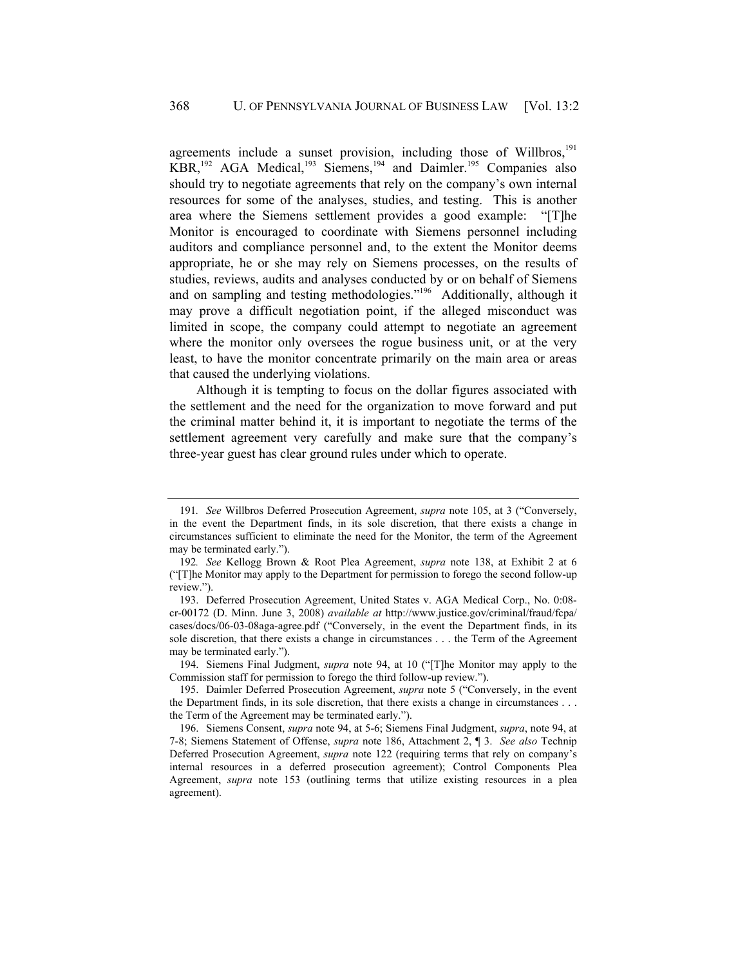agreements include a sunset provision, including those of Willbros, $191$ KBR,192 AGA Medical,193 Siemens,194 and Daimler.195 Companies also should try to negotiate agreements that rely on the company's own internal resources for some of the analyses, studies, and testing. This is another area where the Siemens settlement provides a good example: "[T]he Monitor is encouraged to coordinate with Siemens personnel including auditors and compliance personnel and, to the extent the Monitor deems appropriate, he or she may rely on Siemens processes, on the results of studies, reviews, audits and analyses conducted by or on behalf of Siemens and on sampling and testing methodologies."<sup>196</sup> Additionally, although it may prove a difficult negotiation point, if the alleged misconduct was limited in scope, the company could attempt to negotiate an agreement where the monitor only oversees the rogue business unit, or at the very least, to have the monitor concentrate primarily on the main area or areas that caused the underlying violations.

Although it is tempting to focus on the dollar figures associated with the settlement and the need for the organization to move forward and put the criminal matter behind it, it is important to negotiate the terms of the settlement agreement very carefully and make sure that the company's three-year guest has clear ground rules under which to operate.

<sup>191</sup>*. See* Willbros Deferred Prosecution Agreement, *supra* note 105, at 3 ("Conversely, in the event the Department finds, in its sole discretion, that there exists a change in circumstances sufficient to eliminate the need for the Monitor, the term of the Agreement may be terminated early.").

<sup>192</sup>*. See* Kellogg Brown & Root Plea Agreement, *supra* note 138, at Exhibit 2 at 6 ("[T]he Monitor may apply to the Department for permission to forego the second follow-up review.").

 <sup>193.</sup> Deferred Prosecution Agreement, United States v. AGA Medical Corp., No. 0:08 cr-00172 (D. Minn. June 3, 2008) *available at* http://www.justice.gov/criminal/fraud/fcpa/ cases/docs/06-03-08aga-agree.pdf ("Conversely, in the event the Department finds, in its sole discretion, that there exists a change in circumstances . . . the Term of the Agreement may be terminated early.").

 <sup>194.</sup> Siemens Final Judgment, *supra* note 94, at 10 ("[T]he Monitor may apply to the Commission staff for permission to forego the third follow-up review.").

 <sup>195.</sup> Daimler Deferred Prosecution Agreement, *supra* note 5 ("Conversely, in the event the Department finds, in its sole discretion, that there exists a change in circumstances . . . the Term of the Agreement may be terminated early.").

 <sup>196.</sup> Siemens Consent, *supra* note 94, at 5-6; Siemens Final Judgment, *supra*, note 94, at 7-8; Siemens Statement of Offense, *supra* note 186, Attachment 2, ¶ 3. *See also* Technip Deferred Prosecution Agreement, *supra* note 122 (requiring terms that rely on company's internal resources in a deferred prosecution agreement); Control Components Plea Agreement, *supra* note 153 (outlining terms that utilize existing resources in a plea agreement).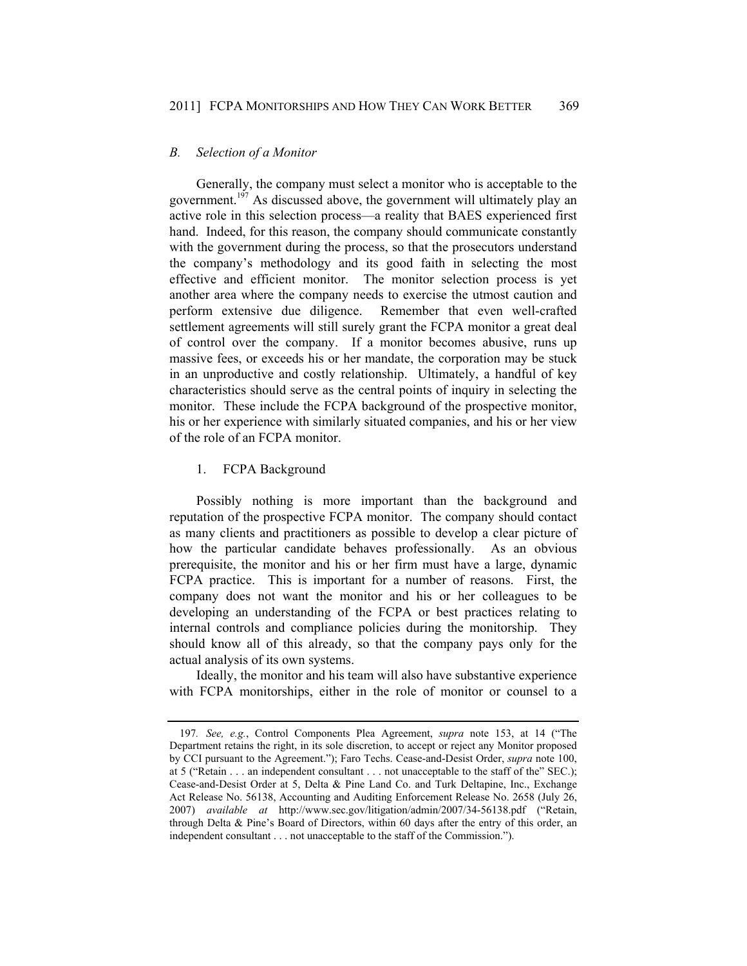#### *B. Selection of a Monitor*

Generally, the company must select a monitor who is acceptable to the government.<sup>197</sup> As discussed above, the government will ultimately play an active role in this selection process—a reality that BAES experienced first hand. Indeed, for this reason, the company should communicate constantly with the government during the process, so that the prosecutors understand the company's methodology and its good faith in selecting the most effective and efficient monitor. The monitor selection process is yet another area where the company needs to exercise the utmost caution and perform extensive due diligence. Remember that even well-crafted settlement agreements will still surely grant the FCPA monitor a great deal of control over the company. If a monitor becomes abusive, runs up massive fees, or exceeds his or her mandate, the corporation may be stuck in an unproductive and costly relationship. Ultimately, a handful of key characteristics should serve as the central points of inquiry in selecting the monitor. These include the FCPA background of the prospective monitor, his or her experience with similarly situated companies, and his or her view of the role of an FCPA monitor.

# 1. FCPA Background

Possibly nothing is more important than the background and reputation of the prospective FCPA monitor. The company should contact as many clients and practitioners as possible to develop a clear picture of how the particular candidate behaves professionally. As an obvious prerequisite, the monitor and his or her firm must have a large, dynamic FCPA practice. This is important for a number of reasons. First, the company does not want the monitor and his or her colleagues to be developing an understanding of the FCPA or best practices relating to internal controls and compliance policies during the monitorship. They should know all of this already, so that the company pays only for the actual analysis of its own systems.

Ideally, the monitor and his team will also have substantive experience with FCPA monitorships, either in the role of monitor or counsel to a

<sup>197</sup>*. See, e.g.*, Control Components Plea Agreement, *supra* note 153, at 14 ("The Department retains the right, in its sole discretion, to accept or reject any Monitor proposed by CCI pursuant to the Agreement."); Faro Techs. Cease-and-Desist Order, *supra* note 100, at 5 ("Retain . . . an independent consultant . . . not unacceptable to the staff of the" SEC.); Cease-and-Desist Order at 5, Delta & Pine Land Co. and Turk Deltapine, Inc., Exchange Act Release No. 56138, Accounting and Auditing Enforcement Release No. 2658 (July 26, 2007) *available at* http://www.sec.gov/litigation/admin/2007/34-56138.pdf ("Retain, through Delta & Pine's Board of Directors, within 60 days after the entry of this order, an independent consultant . . . not unacceptable to the staff of the Commission.").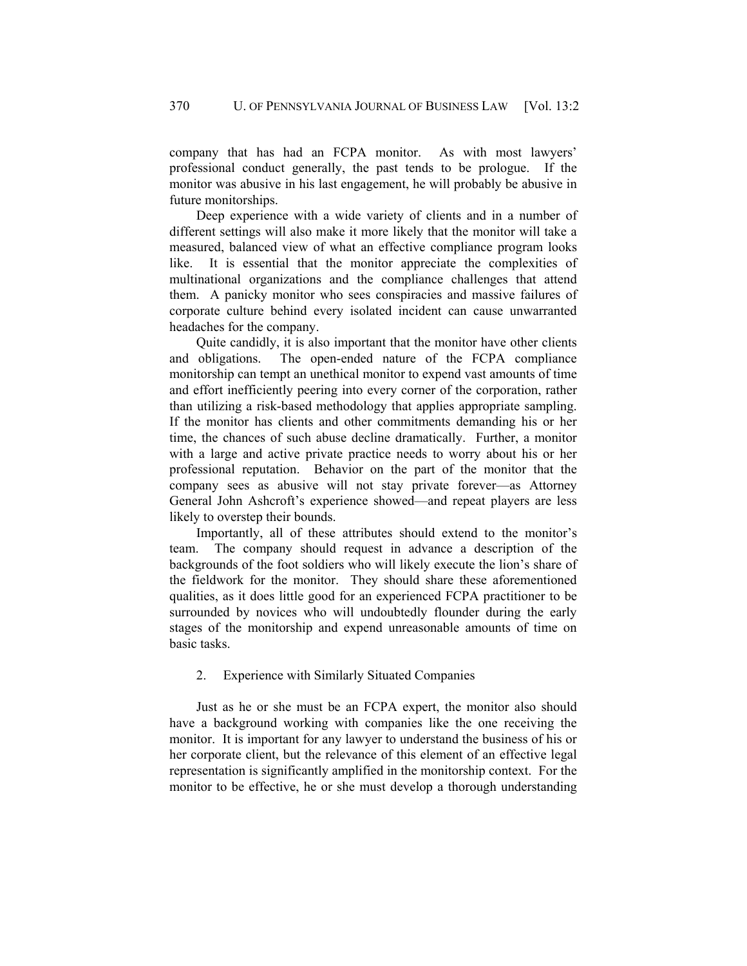company that has had an FCPA monitor. As with most lawyers' professional conduct generally, the past tends to be prologue. If the monitor was abusive in his last engagement, he will probably be abusive in future monitorships.

Deep experience with a wide variety of clients and in a number of different settings will also make it more likely that the monitor will take a measured, balanced view of what an effective compliance program looks like. It is essential that the monitor appreciate the complexities of multinational organizations and the compliance challenges that attend them. A panicky monitor who sees conspiracies and massive failures of corporate culture behind every isolated incident can cause unwarranted headaches for the company.

Quite candidly, it is also important that the monitor have other clients and obligations. The open-ended nature of the FCPA compliance monitorship can tempt an unethical monitor to expend vast amounts of time and effort inefficiently peering into every corner of the corporation, rather than utilizing a risk-based methodology that applies appropriate sampling. If the monitor has clients and other commitments demanding his or her time, the chances of such abuse decline dramatically. Further, a monitor with a large and active private practice needs to worry about his or her professional reputation. Behavior on the part of the monitor that the company sees as abusive will not stay private forever—as Attorney General John Ashcroft's experience showed—and repeat players are less likely to overstep their bounds.

Importantly, all of these attributes should extend to the monitor's team. The company should request in advance a description of the backgrounds of the foot soldiers who will likely execute the lion's share of the fieldwork for the monitor. They should share these aforementioned qualities, as it does little good for an experienced FCPA practitioner to be surrounded by novices who will undoubtedly flounder during the early stages of the monitorship and expend unreasonable amounts of time on basic tasks.

#### 2. Experience with Similarly Situated Companies

Just as he or she must be an FCPA expert, the monitor also should have a background working with companies like the one receiving the monitor. It is important for any lawyer to understand the business of his or her corporate client, but the relevance of this element of an effective legal representation is significantly amplified in the monitorship context. For the monitor to be effective, he or she must develop a thorough understanding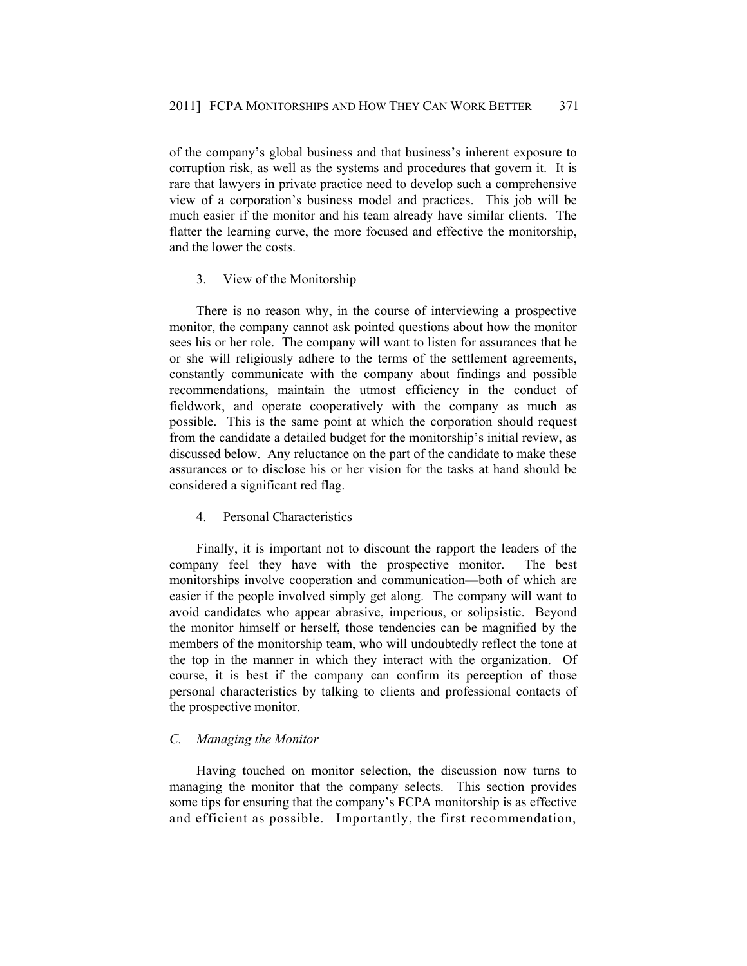of the company's global business and that business's inherent exposure to corruption risk, as well as the systems and procedures that govern it. It is rare that lawyers in private practice need to develop such a comprehensive view of a corporation's business model and practices. This job will be much easier if the monitor and his team already have similar clients. The flatter the learning curve, the more focused and effective the monitorship, and the lower the costs.

# 3. View of the Monitorship

There is no reason why, in the course of interviewing a prospective monitor, the company cannot ask pointed questions about how the monitor sees his or her role. The company will want to listen for assurances that he or she will religiously adhere to the terms of the settlement agreements, constantly communicate with the company about findings and possible recommendations, maintain the utmost efficiency in the conduct of fieldwork, and operate cooperatively with the company as much as possible. This is the same point at which the corporation should request from the candidate a detailed budget for the monitorship's initial review, as discussed below. Any reluctance on the part of the candidate to make these assurances or to disclose his or her vision for the tasks at hand should be considered a significant red flag.

# 4. Personal Characteristics

Finally, it is important not to discount the rapport the leaders of the company feel they have with the prospective monitor. The best monitorships involve cooperation and communication—both of which are easier if the people involved simply get along. The company will want to avoid candidates who appear abrasive, imperious, or solipsistic. Beyond the monitor himself or herself, those tendencies can be magnified by the members of the monitorship team, who will undoubtedly reflect the tone at the top in the manner in which they interact with the organization. Of course, it is best if the company can confirm its perception of those personal characteristics by talking to clients and professional contacts of the prospective monitor.

### *C. Managing the Monitor*

Having touched on monitor selection, the discussion now turns to managing the monitor that the company selects. This section provides some tips for ensuring that the company's FCPA monitorship is as effective and efficient as possible. Importantly, the first recommendation,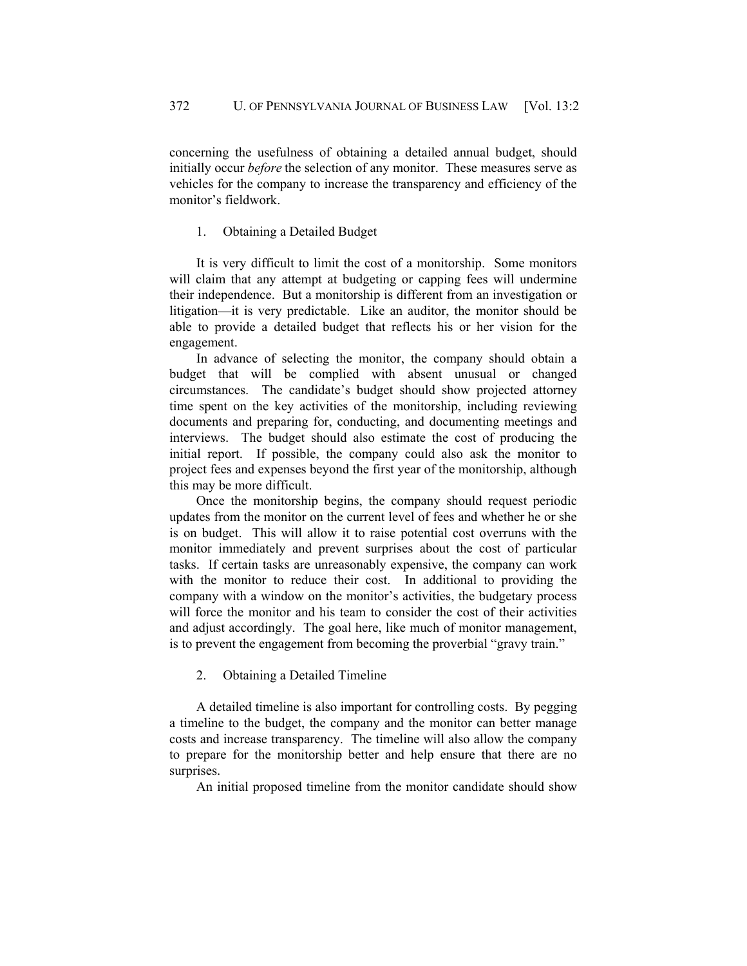concerning the usefulness of obtaining a detailed annual budget, should initially occur *before* the selection of any monitor. These measures serve as vehicles for the company to increase the transparency and efficiency of the monitor's fieldwork.

# 1. Obtaining a Detailed Budget

It is very difficult to limit the cost of a monitorship. Some monitors will claim that any attempt at budgeting or capping fees will undermine their independence. But a monitorship is different from an investigation or litigation—it is very predictable. Like an auditor, the monitor should be able to provide a detailed budget that reflects his or her vision for the engagement.

In advance of selecting the monitor, the company should obtain a budget that will be complied with absent unusual or changed circumstances. The candidate's budget should show projected attorney time spent on the key activities of the monitorship, including reviewing documents and preparing for, conducting, and documenting meetings and interviews. The budget should also estimate the cost of producing the initial report. If possible, the company could also ask the monitor to project fees and expenses beyond the first year of the monitorship, although this may be more difficult.

Once the monitorship begins, the company should request periodic updates from the monitor on the current level of fees and whether he or she is on budget. This will allow it to raise potential cost overruns with the monitor immediately and prevent surprises about the cost of particular tasks. If certain tasks are unreasonably expensive, the company can work with the monitor to reduce their cost. In additional to providing the company with a window on the monitor's activities, the budgetary process will force the monitor and his team to consider the cost of their activities and adjust accordingly. The goal here, like much of monitor management, is to prevent the engagement from becoming the proverbial "gravy train."

2. Obtaining a Detailed Timeline

A detailed timeline is also important for controlling costs. By pegging a timeline to the budget, the company and the monitor can better manage costs and increase transparency. The timeline will also allow the company to prepare for the monitorship better and help ensure that there are no surprises.

An initial proposed timeline from the monitor candidate should show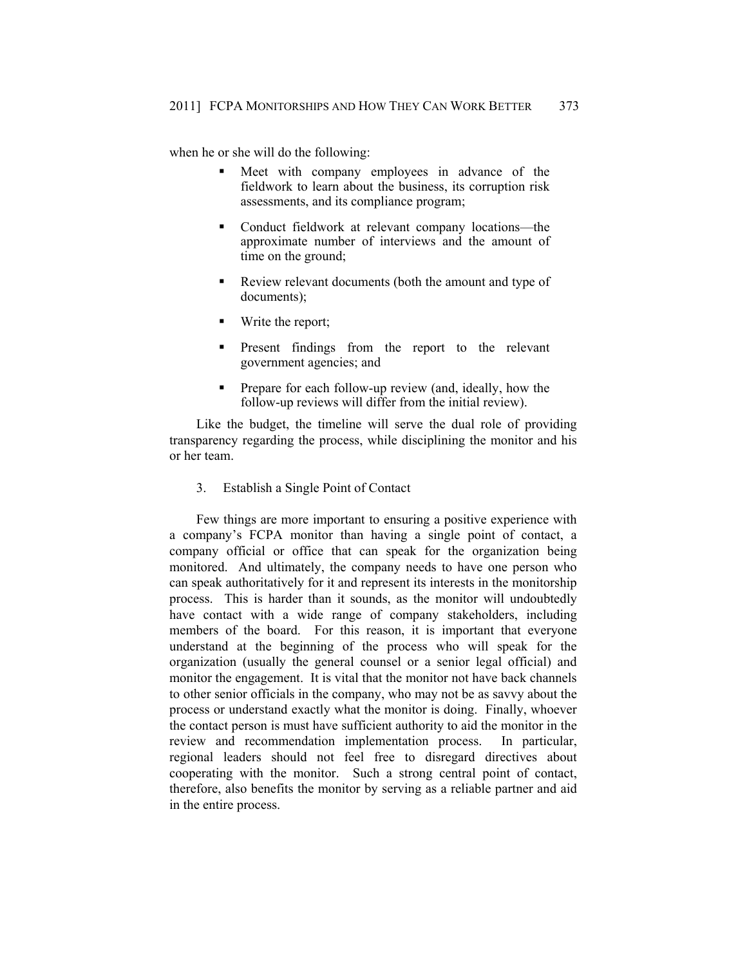when he or she will do the following:

- Meet with company employees in advance of the fieldwork to learn about the business, its corruption risk assessments, and its compliance program;
- Conduct fieldwork at relevant company locations—the approximate number of interviews and the amount of time on the ground;
- Review relevant documents (both the amount and type of documents);
- **Write the report;**
- Present findings from the report to the relevant government agencies; and
- Prepare for each follow-up review (and, ideally, how the follow-up reviews will differ from the initial review).

Like the budget, the timeline will serve the dual role of providing transparency regarding the process, while disciplining the monitor and his or her team.

3. Establish a Single Point of Contact

Few things are more important to ensuring a positive experience with a company's FCPA monitor than having a single point of contact, a company official or office that can speak for the organization being monitored. And ultimately, the company needs to have one person who can speak authoritatively for it and represent its interests in the monitorship process. This is harder than it sounds, as the monitor will undoubtedly have contact with a wide range of company stakeholders, including members of the board. For this reason, it is important that everyone understand at the beginning of the process who will speak for the organization (usually the general counsel or a senior legal official) and monitor the engagement. It is vital that the monitor not have back channels to other senior officials in the company, who may not be as savvy about the process or understand exactly what the monitor is doing. Finally, whoever the contact person is must have sufficient authority to aid the monitor in the review and recommendation implementation process. In particular, regional leaders should not feel free to disregard directives about cooperating with the monitor. Such a strong central point of contact, therefore, also benefits the monitor by serving as a reliable partner and aid in the entire process.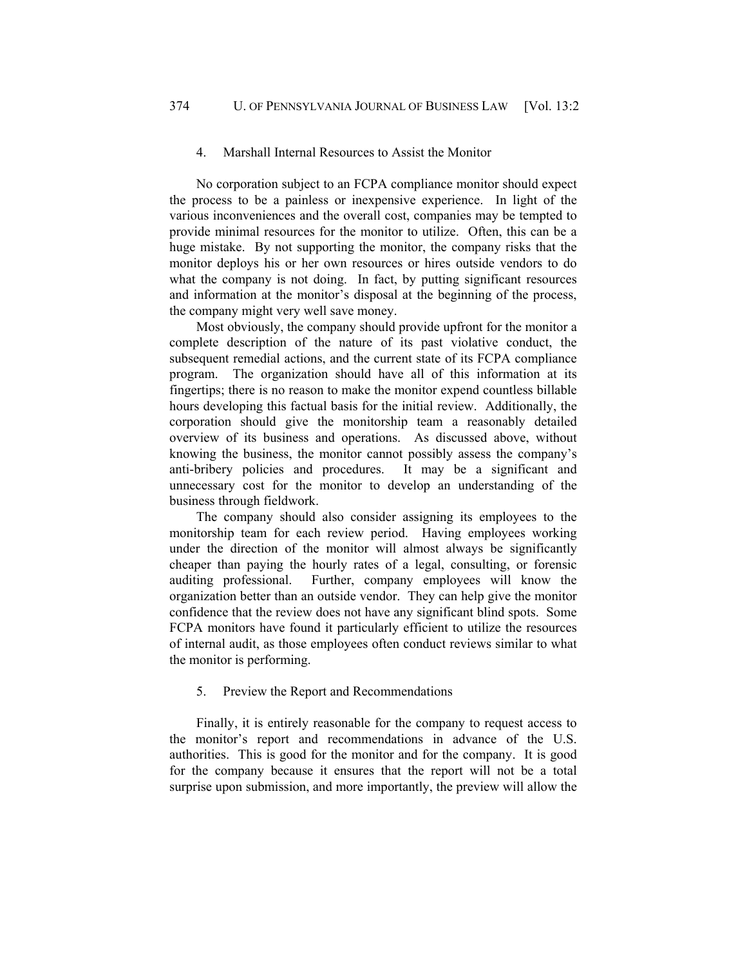#### 4. Marshall Internal Resources to Assist the Monitor

No corporation subject to an FCPA compliance monitor should expect the process to be a painless or inexpensive experience. In light of the various inconveniences and the overall cost, companies may be tempted to provide minimal resources for the monitor to utilize. Often, this can be a huge mistake. By not supporting the monitor, the company risks that the monitor deploys his or her own resources or hires outside vendors to do what the company is not doing. In fact, by putting significant resources and information at the monitor's disposal at the beginning of the process, the company might very well save money.

Most obviously, the company should provide upfront for the monitor a complete description of the nature of its past violative conduct, the subsequent remedial actions, and the current state of its FCPA compliance program. The organization should have all of this information at its fingertips; there is no reason to make the monitor expend countless billable hours developing this factual basis for the initial review. Additionally, the corporation should give the monitorship team a reasonably detailed overview of its business and operations. As discussed above, without knowing the business, the monitor cannot possibly assess the company's anti-bribery policies and procedures. It may be a significant and unnecessary cost for the monitor to develop an understanding of the business through fieldwork.

The company should also consider assigning its employees to the monitorship team for each review period. Having employees working under the direction of the monitor will almost always be significantly cheaper than paying the hourly rates of a legal, consulting, or forensic auditing professional. Further, company employees will know the organization better than an outside vendor. They can help give the monitor confidence that the review does not have any significant blind spots. Some FCPA monitors have found it particularly efficient to utilize the resources of internal audit, as those employees often conduct reviews similar to what the monitor is performing.

#### 5. Preview the Report and Recommendations

Finally, it is entirely reasonable for the company to request access to the monitor's report and recommendations in advance of the U.S. authorities. This is good for the monitor and for the company. It is good for the company because it ensures that the report will not be a total surprise upon submission, and more importantly, the preview will allow the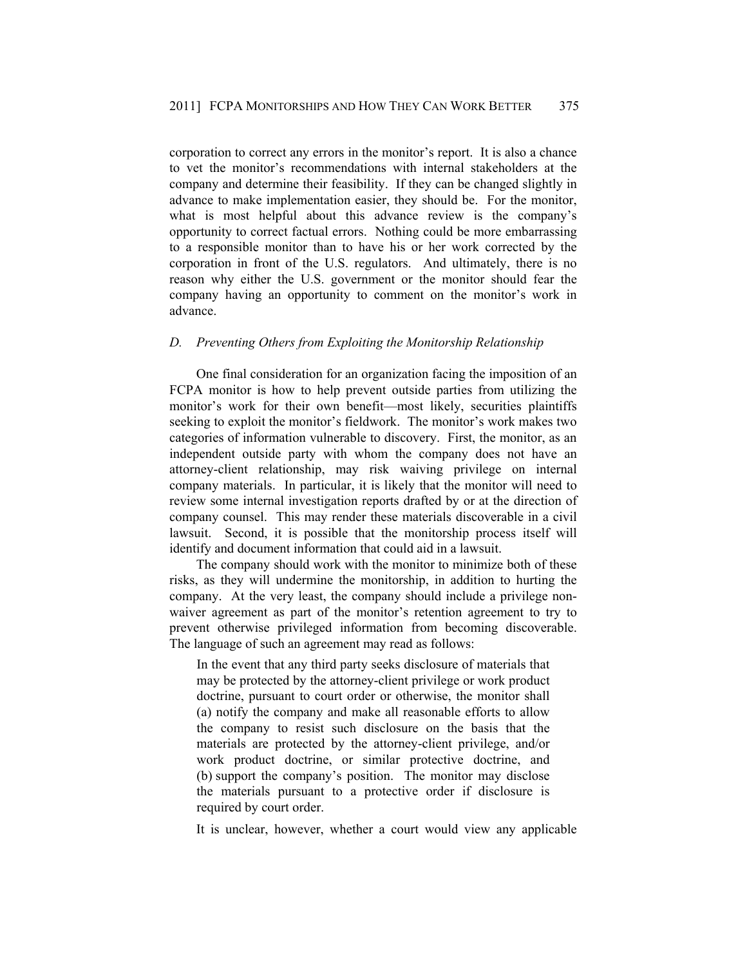corporation to correct any errors in the monitor's report. It is also a chance to vet the monitor's recommendations with internal stakeholders at the company and determine their feasibility. If they can be changed slightly in advance to make implementation easier, they should be. For the monitor, what is most helpful about this advance review is the company's opportunity to correct factual errors. Nothing could be more embarrassing to a responsible monitor than to have his or her work corrected by the corporation in front of the U.S. regulators. And ultimately, there is no reason why either the U.S. government or the monitor should fear the company having an opportunity to comment on the monitor's work in advance.

# *D. Preventing Others from Exploiting the Monitorship Relationship*

One final consideration for an organization facing the imposition of an FCPA monitor is how to help prevent outside parties from utilizing the monitor's work for their own benefit—most likely, securities plaintiffs seeking to exploit the monitor's fieldwork. The monitor's work makes two categories of information vulnerable to discovery. First, the monitor, as an independent outside party with whom the company does not have an attorney-client relationship, may risk waiving privilege on internal company materials. In particular, it is likely that the monitor will need to review some internal investigation reports drafted by or at the direction of company counsel. This may render these materials discoverable in a civil lawsuit. Second, it is possible that the monitorship process itself will identify and document information that could aid in a lawsuit.

The company should work with the monitor to minimize both of these risks, as they will undermine the monitorship, in addition to hurting the company. At the very least, the company should include a privilege nonwaiver agreement as part of the monitor's retention agreement to try to prevent otherwise privileged information from becoming discoverable. The language of such an agreement may read as follows:

In the event that any third party seeks disclosure of materials that may be protected by the attorney-client privilege or work product doctrine, pursuant to court order or otherwise, the monitor shall (a) notify the company and make all reasonable efforts to allow the company to resist such disclosure on the basis that the materials are protected by the attorney-client privilege, and/or work product doctrine, or similar protective doctrine, and (b) support the company's position. The monitor may disclose the materials pursuant to a protective order if disclosure is required by court order.

It is unclear, however, whether a court would view any applicable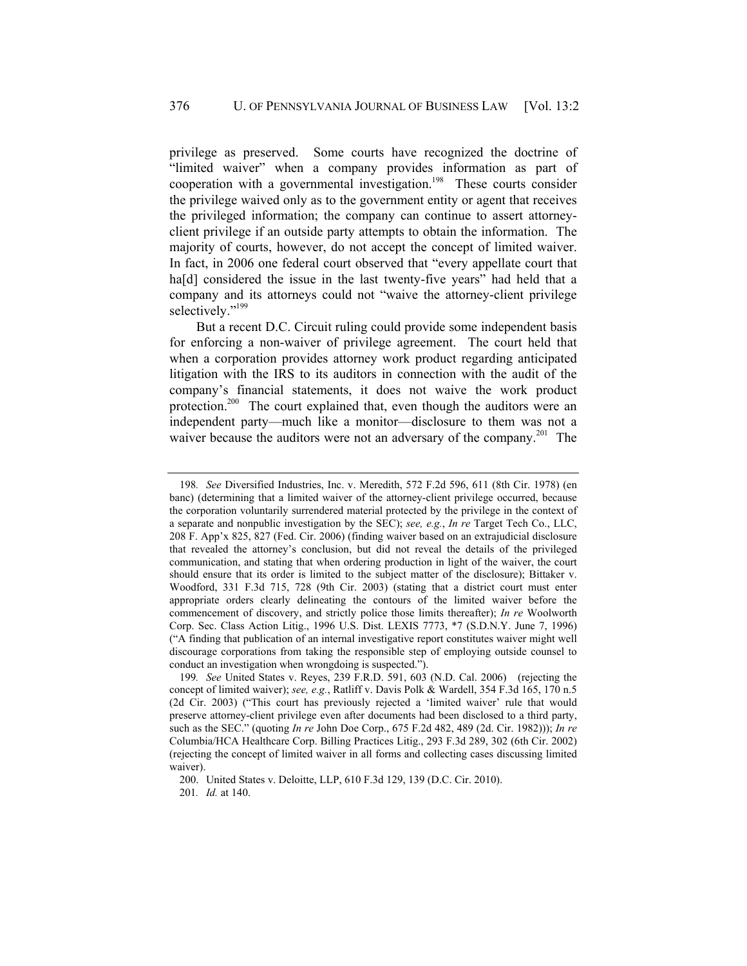privilege as preserved. Some courts have recognized the doctrine of "limited waiver" when a company provides information as part of cooperation with a governmental investigation.<sup>198</sup> These courts consider the privilege waived only as to the government entity or agent that receives the privileged information; the company can continue to assert attorneyclient privilege if an outside party attempts to obtain the information. The majority of courts, however, do not accept the concept of limited waiver. In fact, in 2006 one federal court observed that "every appellate court that ha<sup>[d]</sup> considered the issue in the last twenty-five years" had held that a company and its attorneys could not "waive the attorney-client privilege selectively."<sup>199</sup>

But a recent D.C. Circuit ruling could provide some independent basis for enforcing a non-waiver of privilege agreement. The court held that when a corporation provides attorney work product regarding anticipated litigation with the IRS to its auditors in connection with the audit of the company's financial statements, it does not waive the work product protection.<sup>200</sup> The court explained that, even though the auditors were an independent party—much like a monitor—disclosure to them was not a waiver because the auditors were not an adversary of the company.<sup>201</sup> The

 200. United States v. Deloitte, LLP, 610 F.3d 129, 139 (D.C. Cir. 2010). 201*. Id.* at 140.

<sup>198</sup>*. See* Diversified Industries, Inc. v. Meredith, 572 F.2d 596, 611 (8th Cir. 1978) (en banc) (determining that a limited waiver of the attorney-client privilege occurred, because the corporation voluntarily surrendered material protected by the privilege in the context of a separate and nonpublic investigation by the SEC); *see, e.g.*, *In re* Target Tech Co., LLC, 208 F. App'x 825, 827 (Fed. Cir. 2006) (finding waiver based on an extrajudicial disclosure that revealed the attorney's conclusion, but did not reveal the details of the privileged communication, and stating that when ordering production in light of the waiver, the court should ensure that its order is limited to the subject matter of the disclosure); Bittaker v. Woodford, 331 F.3d 715, 728 (9th Cir. 2003) (stating that a district court must enter appropriate orders clearly delineating the contours of the limited waiver before the commencement of discovery, and strictly police those limits thereafter); *In re* Woolworth Corp. Sec. Class Action Litig., 1996 U.S. Dist. LEXIS 7773, \*7 (S.D.N.Y. June 7, 1996) ("A finding that publication of an internal investigative report constitutes waiver might well discourage corporations from taking the responsible step of employing outside counsel to conduct an investigation when wrongdoing is suspected.").

<sup>199</sup>*. See* United States v. Reyes, 239 F.R.D. 591, 603 (N.D. Cal. 2006) (rejecting the concept of limited waiver); *see, e.g.*, Ratliff v. Davis Polk & Wardell, 354 F.3d 165, 170 n.5 (2d Cir. 2003) ("This court has previously rejected a 'limited waiver' rule that would preserve attorney-client privilege even after documents had been disclosed to a third party, such as the SEC." (quoting *In re* John Doe Corp., 675 F.2d 482, 489 (2d. Cir. 1982))); *In re* Columbia/HCA Healthcare Corp. Billing Practices Litig., 293 F.3d 289, 302 (6th Cir. 2002) (rejecting the concept of limited waiver in all forms and collecting cases discussing limited waiver).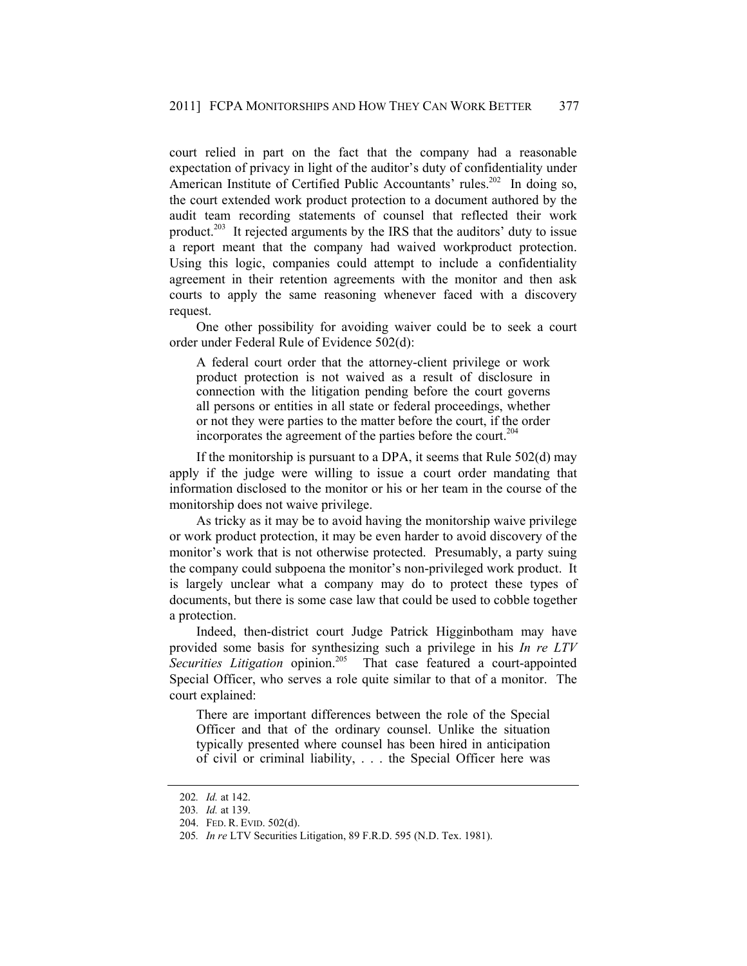court relied in part on the fact that the company had a reasonable expectation of privacy in light of the auditor's duty of confidentiality under American Institute of Certified Public Accountants' rules.<sup>202</sup> In doing so, the court extended work product protection to a document authored by the audit team recording statements of counsel that reflected their work product.<sup>203</sup> It rejected arguments by the IRS that the auditors' duty to issue a report meant that the company had waived workproduct protection. Using this logic, companies could attempt to include a confidentiality agreement in their retention agreements with the monitor and then ask courts to apply the same reasoning whenever faced with a discovery request.

One other possibility for avoiding waiver could be to seek a court order under Federal Rule of Evidence 502(d):

A federal court order that the attorney-client privilege or work product protection is not waived as a result of disclosure in connection with the litigation pending before the court governs all persons or entities in all state or federal proceedings, whether or not they were parties to the matter before the court, if the order incorporates the agreement of the parties before the court.<sup>204</sup>

If the monitorship is pursuant to a DPA, it seems that Rule 502(d) may apply if the judge were willing to issue a court order mandating that information disclosed to the monitor or his or her team in the course of the monitorship does not waive privilege.

As tricky as it may be to avoid having the monitorship waive privilege or work product protection, it may be even harder to avoid discovery of the monitor's work that is not otherwise protected. Presumably, a party suing the company could subpoena the monitor's non-privileged work product. It is largely unclear what a company may do to protect these types of documents, but there is some case law that could be used to cobble together a protection.

Indeed, then-district court Judge Patrick Higginbotham may have provided some basis for synthesizing such a privilege in his *In re LTV*  Securities Litigation opinion.<sup>205</sup> That case featured a court-appointed Special Officer, who serves a role quite similar to that of a monitor. The court explained:

There are important differences between the role of the Special Officer and that of the ordinary counsel. Unlike the situation typically presented where counsel has been hired in anticipation of civil or criminal liability, . . . the Special Officer here was

<sup>202</sup>*. Id.* at 142.

<sup>203</sup>*. Id.* at 139.

 <sup>204.</sup> FED. R. EVID. 502(d).

<sup>205</sup>*. In re* LTV Securities Litigation, 89 F.R.D. 595 (N.D. Tex. 1981).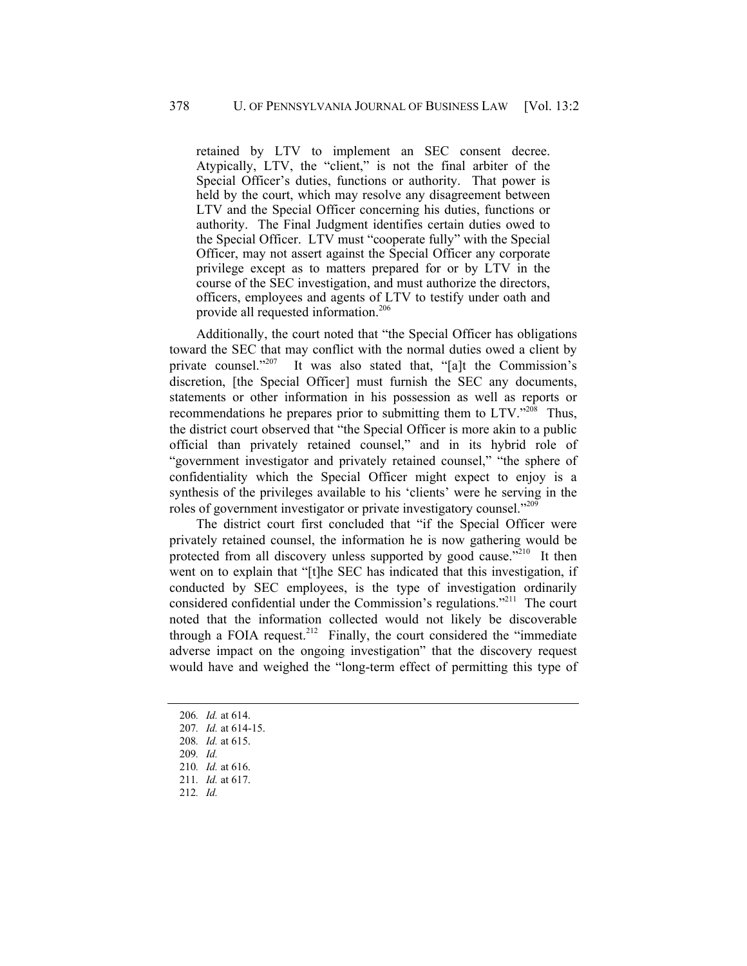retained by LTV to implement an SEC consent decree. Atypically, LTV, the "client," is not the final arbiter of the Special Officer's duties, functions or authority. That power is held by the court, which may resolve any disagreement between LTV and the Special Officer concerning his duties, functions or authority. The Final Judgment identifies certain duties owed to the Special Officer. LTV must "cooperate fully" with the Special Officer, may not assert against the Special Officer any corporate privilege except as to matters prepared for or by LTV in the course of the SEC investigation, and must authorize the directors, officers, employees and agents of LTV to testify under oath and provide all requested information.<sup>206</sup>

Additionally, the court noted that "the Special Officer has obligations toward the SEC that may conflict with the normal duties owed a client by private counsel."<sup>207</sup> It was also stated that, "[a]t the Commission's discretion, [the Special Officer] must furnish the SEC any documents, statements or other information in his possession as well as reports or recommendations he prepares prior to submitting them to LTV."<sup>208</sup> Thus, the district court observed that "the Special Officer is more akin to a public official than privately retained counsel," and in its hybrid role of "government investigator and privately retained counsel," "the sphere of confidentiality which the Special Officer might expect to enjoy is a synthesis of the privileges available to his 'clients' were he serving in the roles of government investigator or private investigatory counsel."<sup>209</sup>

The district court first concluded that "if the Special Officer were privately retained counsel, the information he is now gathering would be protected from all discovery unless supported by good cause."<sup>210</sup> It then went on to explain that "[t]he SEC has indicated that this investigation, if conducted by SEC employees, is the type of investigation ordinarily considered confidential under the Commission's regulations."<sup>211</sup> The court noted that the information collected would not likely be discoverable through a FOIA request.<sup>212</sup> Finally, the court considered the "immediate" adverse impact on the ongoing investigation" that the discovery request would have and weighed the "long-term effect of permitting this type of

<sup>206</sup>*. Id.* at 614.

<sup>207</sup>*. Id.* at 614-15.

<sup>208</sup>*. Id.* at 615.

<sup>209</sup>*. Id.*

<sup>210</sup>*. Id.* at 616. 211*. Id.* at 617.

<sup>212</sup>*. Id.*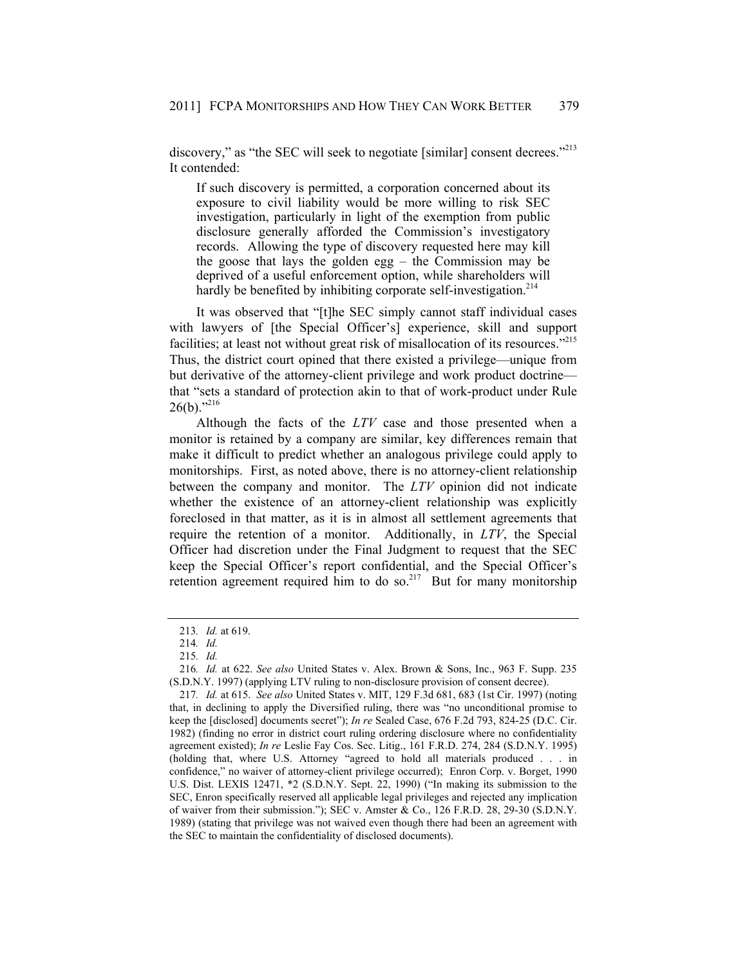discovery," as "the SEC will seek to negotiate [similar] consent decrees."<sup>213</sup> It contended:

If such discovery is permitted, a corporation concerned about its exposure to civil liability would be more willing to risk SEC investigation, particularly in light of the exemption from public disclosure generally afforded the Commission's investigatory records. Allowing the type of discovery requested here may kill the goose that lays the golden egg – the Commission may be deprived of a useful enforcement option, while shareholders will hardly be benefited by inhibiting corporate self-investigation.<sup>214</sup>

It was observed that "[t]he SEC simply cannot staff individual cases with lawyers of [the Special Officer's] experience, skill and support facilities; at least not without great risk of misallocation of its resources."<sup>215</sup> Thus, the district court opined that there existed a privilege—unique from but derivative of the attorney-client privilege and work product doctrine that "sets a standard of protection akin to that of work-product under Rule  $26(b)$ ."216

Although the facts of the *LTV* case and those presented when a monitor is retained by a company are similar, key differences remain that make it difficult to predict whether an analogous privilege could apply to monitorships. First, as noted above, there is no attorney-client relationship between the company and monitor. The *LTV* opinion did not indicate whether the existence of an attorney-client relationship was explicitly foreclosed in that matter, as it is in almost all settlement agreements that require the retention of a monitor. Additionally, in *LTV*, the Special Officer had discretion under the Final Judgment to request that the SEC keep the Special Officer's report confidential, and the Special Officer's retention agreement required him to do so.<sup>217</sup> But for many monitorship

<sup>213</sup>*. Id.* at 619.

<sup>214</sup>*. Id.*

<sup>215</sup>*. Id.*

<sup>216</sup>*. Id.* at 622. *See also* United States v. Alex. Brown & Sons, Inc., 963 F. Supp. 235 (S.D.N.Y. 1997) (applying LTV ruling to non-disclosure provision of consent decree).

<sup>217</sup>*. Id.* at 615. *See also* United States v. MIT, 129 F.3d 681, 683 (1st Cir. 1997) (noting that, in declining to apply the Diversified ruling, there was "no unconditional promise to keep the [disclosed] documents secret"); *In re* Sealed Case, 676 F.2d 793, 824-25 (D.C. Cir. 1982) (finding no error in district court ruling ordering disclosure where no confidentiality agreement existed); *In re* Leslie Fay Cos. Sec. Litig., 161 F.R.D. 274, 284 (S.D.N.Y. 1995) (holding that, where U.S. Attorney "agreed to hold all materials produced . . . in confidence," no waiver of attorney-client privilege occurred); Enron Corp. v. Borget, 1990 U.S. Dist. LEXIS 12471, \*2 (S.D.N.Y. Sept. 22, 1990) ("In making its submission to the SEC, Enron specifically reserved all applicable legal privileges and rejected any implication of waiver from their submission."); SEC v. Amster & Co., 126 F.R.D. 28, 29-30 (S.D.N.Y. 1989) (stating that privilege was not waived even though there had been an agreement with the SEC to maintain the confidentiality of disclosed documents).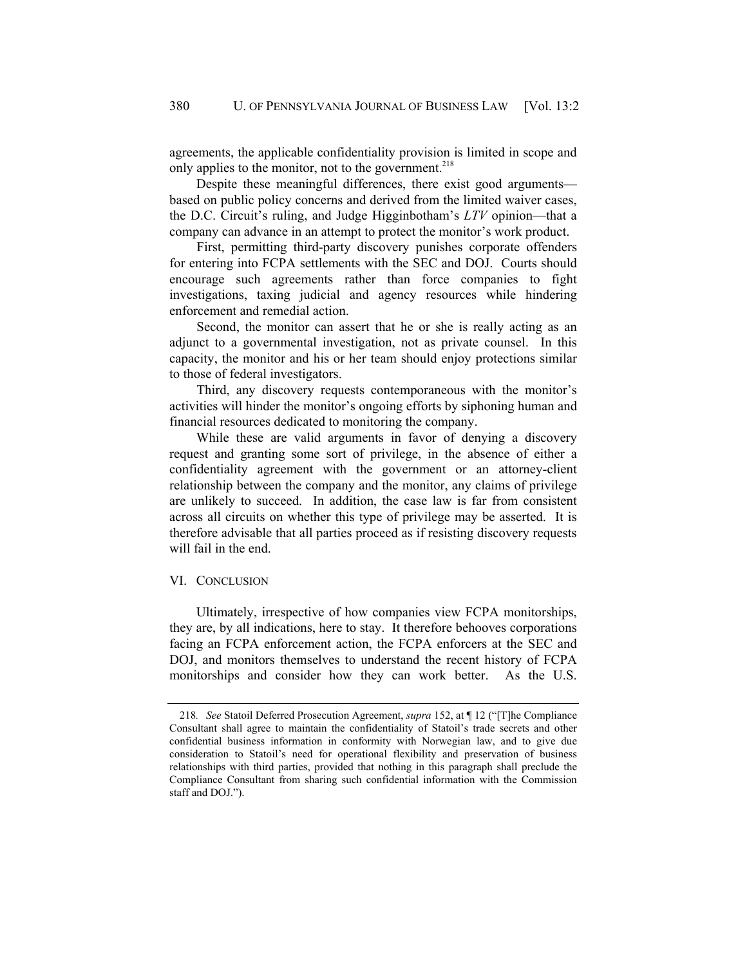agreements, the applicable confidentiality provision is limited in scope and only applies to the monitor, not to the government.<sup>218</sup>

Despite these meaningful differences, there exist good arguments based on public policy concerns and derived from the limited waiver cases, the D.C. Circuit's ruling, and Judge Higginbotham's *LTV* opinion—that a company can advance in an attempt to protect the monitor's work product.

First, permitting third-party discovery punishes corporate offenders for entering into FCPA settlements with the SEC and DOJ. Courts should encourage such agreements rather than force companies to fight investigations, taxing judicial and agency resources while hindering enforcement and remedial action.

Second, the monitor can assert that he or she is really acting as an adjunct to a governmental investigation, not as private counsel. In this capacity, the monitor and his or her team should enjoy protections similar to those of federal investigators.

Third, any discovery requests contemporaneous with the monitor's activities will hinder the monitor's ongoing efforts by siphoning human and financial resources dedicated to monitoring the company.

While these are valid arguments in favor of denying a discovery request and granting some sort of privilege, in the absence of either a confidentiality agreement with the government or an attorney-client relationship between the company and the monitor, any claims of privilege are unlikely to succeed. In addition, the case law is far from consistent across all circuits on whether this type of privilege may be asserted. It is therefore advisable that all parties proceed as if resisting discovery requests will fail in the end.

#### VI. CONCLUSION

Ultimately, irrespective of how companies view FCPA monitorships, they are, by all indications, here to stay. It therefore behooves corporations facing an FCPA enforcement action, the FCPA enforcers at the SEC and DOJ, and monitors themselves to understand the recent history of FCPA monitorships and consider how they can work better. As the U.S.

<sup>218</sup>*. See* Statoil Deferred Prosecution Agreement, *supra* 152, at ¶ 12 ("[T]he Compliance Consultant shall agree to maintain the confidentiality of Statoil's trade secrets and other confidential business information in conformity with Norwegian law, and to give due consideration to Statoil's need for operational flexibility and preservation of business relationships with third parties, provided that nothing in this paragraph shall preclude the Compliance Consultant from sharing such confidential information with the Commission staff and DOJ.").